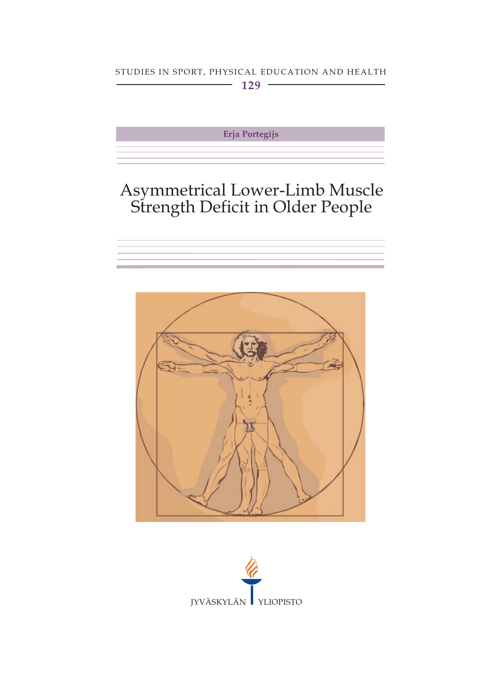#### STUDIES IN SPORT, PHYSICAL EDUCATION AND HEALTH  $\sim$  129  $\sim$

Erja Portegijs

# Asymmetrical Lower-Limb Muscle<br>Strength Deficit in Older People





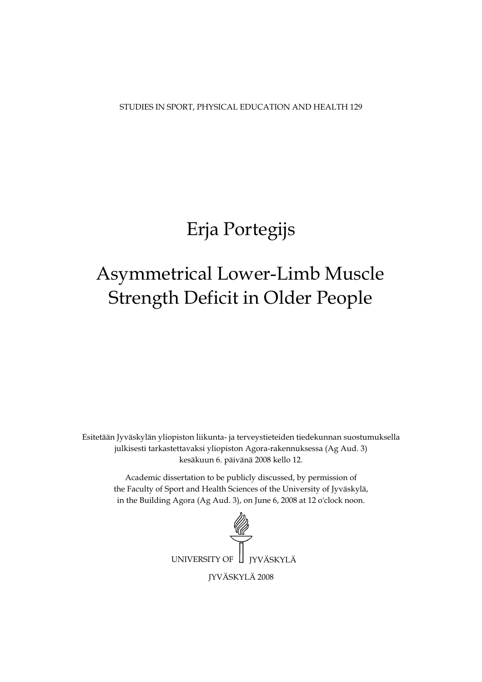STUDIES IN SPORT, PHYSICAL EDUCATION AND HEALTH 129

# Erja Portegijs

# Strength Deficit in Older People Asymmetrical Lower-Limb Muscle

Esitetään Jyväskylän yliopiston liikunta- ja terveystieteiden tiedekunnan suostumuksella julkisesti tarkastettavaksi yliopiston Agora-rakennuksessa (Ag Aud. 3) kesäkuun 6. päivänä 2008 kello 12.

Academic dissertation to be publicly discussed, by permission of the Faculty of Sport and Health Sciences of the University of Jyväskylä, in the Building Agora (Ag Aud. 3), on June 6, 2008 at 12 o'clock noon.

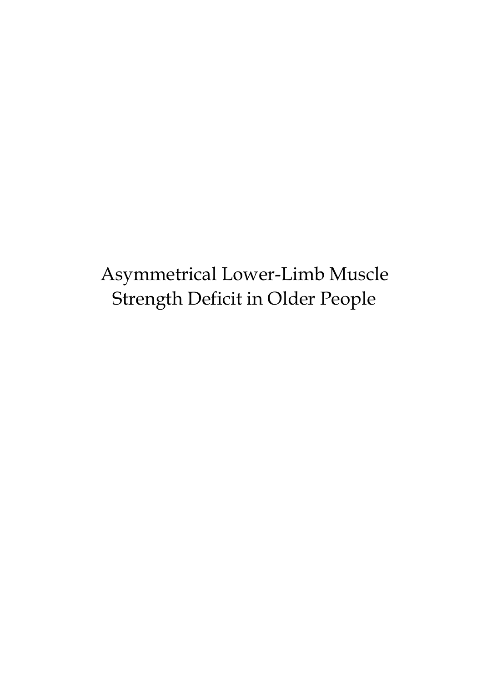# Asymmetrical Lower-Limb Muscle Strength Deficit in Older People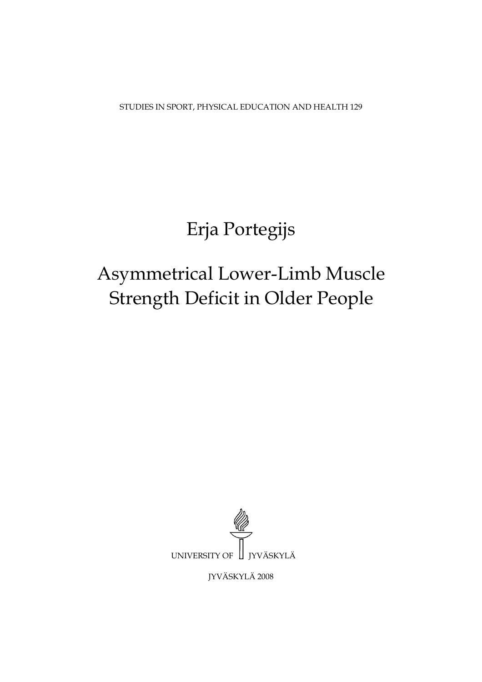STUDIES IN SPORT, PHYSICAL EDUCATION AND HEALTH 129

# Erja Portegijs

# Asymmetrical Lower-Limb Muscle Strength Deficit in Older People



JYVÄSKYLÄ 2008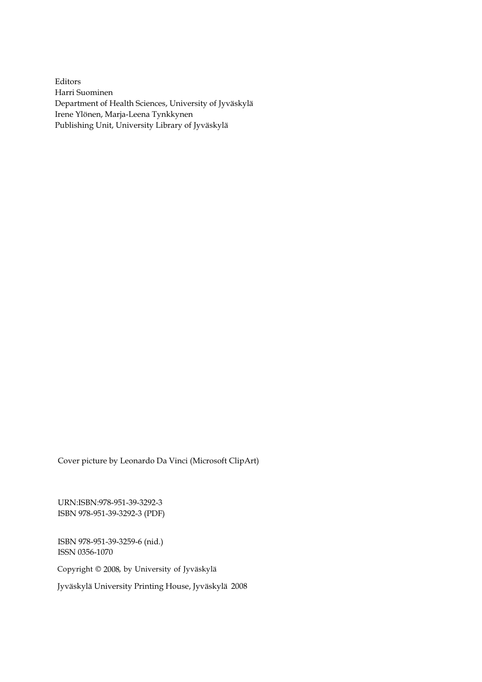Editors Harri Suominen Department of Health Sciences, University of Jyväskylä Irene Ylönen, Marja-Leena Tynkkynen Publishing Unit, University Library of Jyväskylä

Cover picture by Leonardo Da Vinci (Microsoft ClipArt)

URN:ISBN:978-951-39-3292-3 ISBN 978-951-39-3292-3 (PDF)

ISBN 978-951-39-3259-6 (nid.) ISSN 0356-1070

Copyright © 2008, by University of Jyväskylä

Jyväskylä University Printing House, Jyväskylä 2008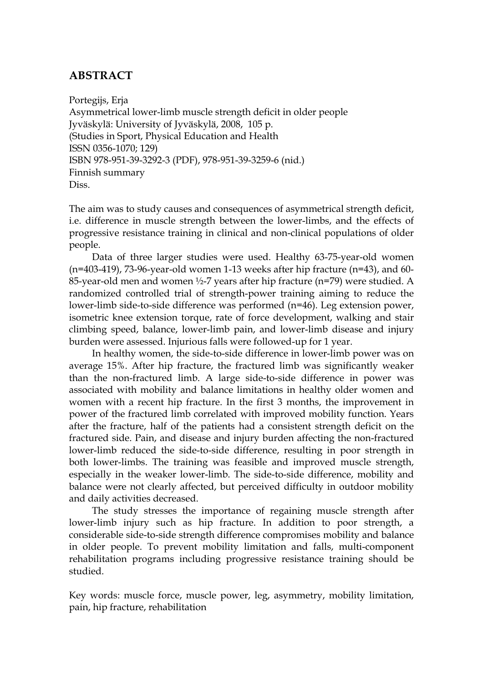## **ABSTRACT**

Portegijs, Erja Asymmetrical lower-limb muscle strength deficit in older people Jyväskylä: University of Jyväskylä, 2008, 105 p. (Studies in Sport, Physical Education and Health ISSN 0356-1070; 129) ISBN 978-951-39-3292-3 (PDF), 978-951-39-3259-6 (nid.) Finnish summary Diss.

The aim was to study causes and consequences of asymmetrical strength deficit, i.e. difference in muscle strength between the lower-limbs, and the effects of progressive resistance training in clinical and non-clinical populations of older people.

Data of three larger studies were used. Healthy 63-75-year-old women  $(n=403-419)$ , 73-96-year-old women 1-13 weeks after hip fracture  $(n=43)$ , and 60-85-year-old men and women ½-7 years after hip fracture (n=79) were studied. A randomized controlled trial of strength-power training aiming to reduce the lower-limb side-to-side difference was performed (n=46). Leg extension power, isometric knee extension torque, rate of force development, walking and stair climbing speed, balance, lower-limb pain, and lower-limb disease and injury burden were assessed. Injurious falls were followed-up for 1 year.

In healthy women, the side-to-side difference in lower-limb power was on average 15%. After hip fracture, the fractured limb was significantly weaker than the non-fractured limb. A large side-to-side difference in power was associated with mobility and balance limitations in healthy older women and women with a recent hip fracture. In the first 3 months, the improvement in power of the fractured limb correlated with improved mobility function. Years after the fracture, half of the patients had a consistent strength deficit on the fractured side. Pain, and disease and injury burden affecting the non-fractured lower-limb reduced the side-to-side difference, resulting in poor strength in both lower-limbs. The training was feasible and improved muscle strength, especially in the weaker lower-limb. The side-to-side difference, mobility and balance were not clearly affected, but perceived difficulty in outdoor mobility and daily activities decreased.

The study stresses the importance of regaining muscle strength after lower-limb injury such as hip fracture. In addition to poor strength, a considerable side-to-side strength difference compromises mobility and balance in older people. To prevent mobility limitation and falls, multi-component rehabilitation programs including progressive resistance training should be studied.

Key words: muscle force, muscle power, leg, asymmetry, mobility limitation, pain, hip fracture, rehabilitation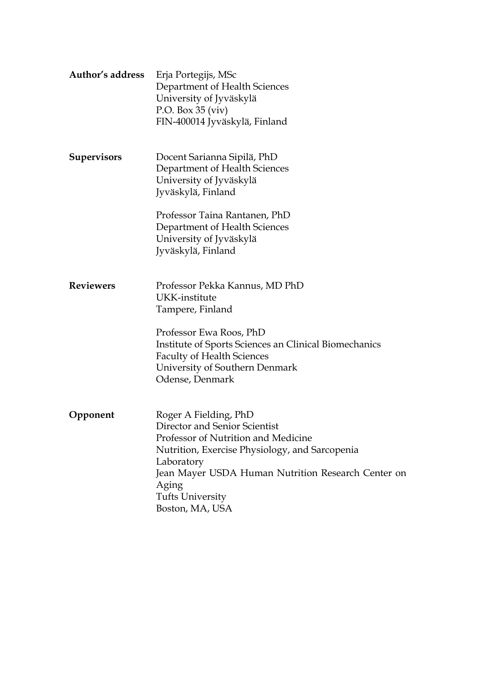| Author's address   | Erja Portegijs, MSc<br>Department of Health Sciences<br>University of Jyväskylä<br>P.O. Box $35 (viv)$<br>FIN-400014 Jyväskylä, Finland                                                                                                                                    |
|--------------------|----------------------------------------------------------------------------------------------------------------------------------------------------------------------------------------------------------------------------------------------------------------------------|
| <b>Supervisors</b> | Docent Sarianna Sipilä, PhD<br>Department of Health Sciences<br>University of Jyväskylä<br>Jyväskylä, Finland                                                                                                                                                              |
|                    | Professor Taina Rantanen, PhD<br>Department of Health Sciences<br>University of Jyväskylä<br>Jyväskylä, Finland                                                                                                                                                            |
| <b>Reviewers</b>   | Professor Pekka Kannus, MD PhD<br>UKK-institute<br>Tampere, Finland                                                                                                                                                                                                        |
|                    | Professor Ewa Roos, PhD<br>Institute of Sports Sciences an Clinical Biomechanics<br><b>Faculty of Health Sciences</b><br>University of Southern Denmark<br>Odense, Denmark                                                                                                 |
| Opponent           | Roger A Fielding, PhD<br>Director and Senior Scientist<br>Professor of Nutrition and Medicine<br>Nutrition, Exercise Physiology, and Sarcopenia<br>Laboratory<br>Jean Mayer USDA Human Nutrition Research Center on<br>Aging<br><b>Tufts University</b><br>Boston, MA, USA |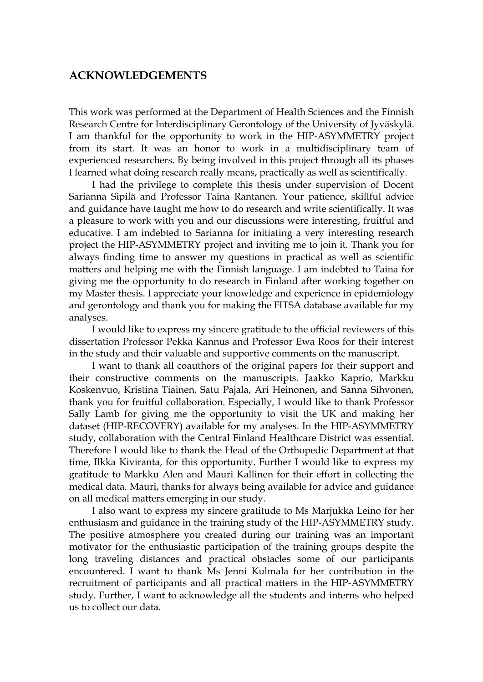#### **ACKNOWLEDGEMENTS**

This work was performed at the Department of Health Sciences and the Finnish Research Centre for Interdisciplinary Gerontology of the University of Jyväskylä. I am thankful for the opportunity to work in the HIP-ASYMMETRY project from its start. It was an honor to work in a multidisciplinary team of experienced researchers. By being involved in this project through all its phases I learned what doing research really means, practically as well as scientifically.

I had the privilege to complete this thesis under supervision of Docent Sarianna Sipilä and Professor Taina Rantanen. Your patience, skillful advice and guidance have taught me how to do research and write scientifically. It was a pleasure to work with you and our discussions were interesting, fruitful and educative. I am indebted to Sarianna for initiating a very interesting research project the HIP-ASYMMETRY project and inviting me to join it. Thank you for always finding time to answer my questions in practical as well as scientific matters and helping me with the Finnish language. I am indebted to Taina for giving me the opportunity to do research in Finland after working together on my Master thesis. I appreciate your knowledge and experience in epidemiology and gerontology and thank you for making the FITSA database available for my analyses.

I would like to express my sincere gratitude to the official reviewers of this dissertation Professor Pekka Kannus and Professor Ewa Roos for their interest in the study and their valuable and supportive comments on the manuscript.

I want to thank all coauthors of the original papers for their support and their constructive comments on the manuscripts. Jaakko Kaprio, Markku Koskenvuo, Kristina Tiainen, Satu Pajala, Ari Heinonen, and Sanna Sihvonen, thank you for fruitful collaboration. Especially, I would like to thank Professor Sally Lamb for giving me the opportunity to visit the UK and making her dataset (HIP-RECOVERY) available for my analyses. In the HIP-ASYMMETRY study, collaboration with the Central Finland Healthcare District was essential. Therefore I would like to thank the Head of the Orthopedic Department at that time, Ilkka Kiviranta, for this opportunity. Further I would like to express my gratitude to Markku Alen and Mauri Kallinen for their effort in collecting the medical data. Mauri, thanks for always being available for advice and guidance on all medical matters emerging in our study.

I also want to express my sincere gratitude to Ms Marjukka Leino for her enthusiasm and guidance in the training study of the HIP-ASYMMETRY study. The positive atmosphere you created during our training was an important motivator for the enthusiastic participation of the training groups despite the long traveling distances and practical obstacles some of our participants encountered. I want to thank Ms Jenni Kulmala for her contribution in the recruitment of participants and all practical matters in the HIP-ASYMMETRY study. Further, I want to acknowledge all the students and interns who helped us to collect our data.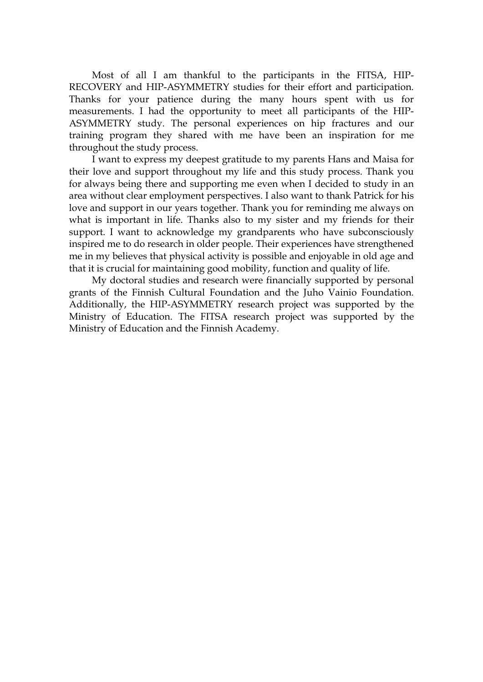Most of all I am thankful to the participants in the FITSA, HIP-RECOVERY and HIP-ASYMMETRY studies for their effort and participation. Thanks for your patience during the many hours spent with us for measurements. I had the opportunity to meet all participants of the HIP-ASYMMETRY study. The personal experiences on hip fractures and our training program they shared with me have been an inspiration for me throughout the study process.

I want to express my deepest gratitude to my parents Hans and Maisa for their love and support throughout my life and this study process. Thank you for always being there and supporting me even when I decided to study in an area without clear employment perspectives. I also want to thank Patrick for his love and support in our years together. Thank you for reminding me always on what is important in life. Thanks also to my sister and my friends for their support. I want to acknowledge my grandparents who have subconsciously inspired me to do research in older people. Their experiences have strengthened me in my believes that physical activity is possible and enjoyable in old age and that it is crucial for maintaining good mobility, function and quality of life.

My doctoral studies and research were financially supported by personal grants of the Finnish Cultural Foundation and the Juho Vainio Foundation. Additionally, the HIP-ASYMMETRY research project was supported by the Ministry of Education. The FITSA research project was supported by the Ministry of Education and the Finnish Academy.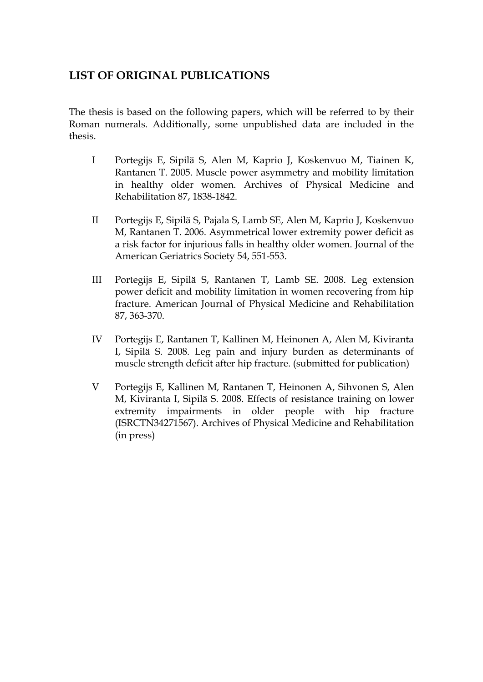### **LIST OF ORIGINAL PUBLICATIONS**

The thesis is based on the following papers, which will be referred to by their Roman numerals. Additionally, some unpublished data are included in the thesis.

- I Portegijs E, Sipilä S, Alen M, Kaprio J, Koskenvuo M, Tiainen K, Rantanen T. 2005. Muscle power asymmetry and mobility limitation in healthy older women. Archives of Physical Medicine and Rehabilitation 87, 1838-1842.
- II Portegijs E, Sipilä S, Pajala S, Lamb SE, Alen M, Kaprio J, Koskenvuo M, Rantanen T. 2006. Asymmetrical lower extremity power deficit as a risk factor for injurious falls in healthy older women. Journal of the American Geriatrics Society 54, 551-553.
- III Portegijs E, Sipilä S, Rantanen T, Lamb SE. 2008. Leg extension power deficit and mobility limitation in women recovering from hip fracture. American Journal of Physical Medicine and Rehabilitation 87, 363-370.
- IV Portegijs E, Rantanen T, Kallinen M, Heinonen A, Alen M, Kiviranta I, Sipilä S. 2008. Leg pain and injury burden as determinants of muscle strength deficit after hip fracture. (submitted for publication)
- V Portegijs E, Kallinen M, Rantanen T, Heinonen A, Sihvonen S, Alen M, Kiviranta I, Sipilä S. 2008. Effects of resistance training on lower extremity impairments in older people with hip fracture (ISRCTN34271567). Archives of Physical Medicine and Rehabilitation (in press)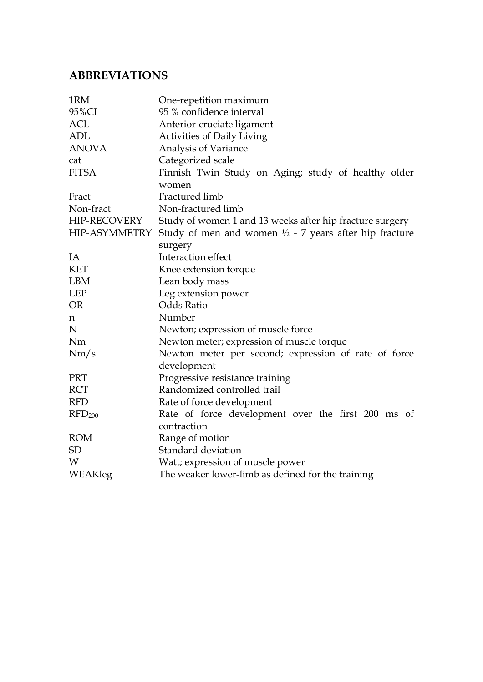# **ABBREVIATIONS**

| 1RM                | One-repetition maximum                                            |  |  |  |  |  |
|--------------------|-------------------------------------------------------------------|--|--|--|--|--|
| 95%CI              | 95 % confidence interval                                          |  |  |  |  |  |
| <b>ACL</b>         | Anterior-cruciate ligament                                        |  |  |  |  |  |
| <b>ADL</b>         | <b>Activities of Daily Living</b>                                 |  |  |  |  |  |
| <b>ANOVA</b>       | Analysis of Variance                                              |  |  |  |  |  |
| cat                | Categorized scale                                                 |  |  |  |  |  |
| <b>FITSA</b>       | Finnish Twin Study on Aging; study of healthy older               |  |  |  |  |  |
|                    | women                                                             |  |  |  |  |  |
| Fract              | Fractured limb                                                    |  |  |  |  |  |
| Non-fract          | Non-fractured limb                                                |  |  |  |  |  |
| HIP-RECOVERY       | Study of women 1 and 13 weeks after hip fracture surgery          |  |  |  |  |  |
| HIP-ASYMMETRY      | Study of men and women $\frac{1}{2}$ - 7 years after hip fracture |  |  |  |  |  |
|                    | surgery                                                           |  |  |  |  |  |
| IA                 | Interaction effect                                                |  |  |  |  |  |
| <b>KET</b>         | Knee extension torque                                             |  |  |  |  |  |
| <b>LBM</b>         | Lean body mass                                                    |  |  |  |  |  |
| <b>LEP</b>         | Leg extension power                                               |  |  |  |  |  |
| <b>OR</b>          | <b>Odds Ratio</b>                                                 |  |  |  |  |  |
| n                  | Number                                                            |  |  |  |  |  |
| N                  | Newton; expression of muscle force                                |  |  |  |  |  |
| <b>Nm</b>          | Newton meter; expression of muscle torque                         |  |  |  |  |  |
| Nm/s               | Newton meter per second; expression of rate of force              |  |  |  |  |  |
|                    | development                                                       |  |  |  |  |  |
| <b>PRT</b>         | Progressive resistance training                                   |  |  |  |  |  |
| <b>RCT</b>         | Randomized controlled trail                                       |  |  |  |  |  |
| <b>RFD</b>         | Rate of force development                                         |  |  |  |  |  |
| RFD <sub>200</sub> | Rate of force development over the first 200 ms of                |  |  |  |  |  |
|                    | contraction                                                       |  |  |  |  |  |
| <b>ROM</b>         | Range of motion                                                   |  |  |  |  |  |
| <b>SD</b>          | Standard deviation                                                |  |  |  |  |  |
| W                  | Watt; expression of muscle power                                  |  |  |  |  |  |
| WEAKleg            | The weaker lower-limb as defined for the training                 |  |  |  |  |  |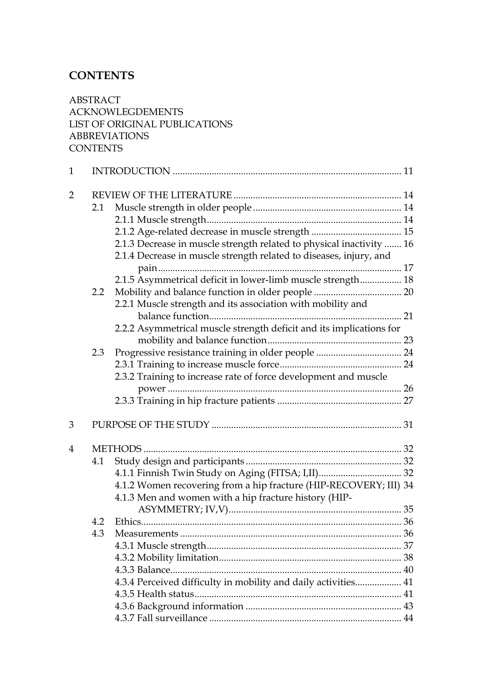# **CONTENTS**

ABSTRACT ACKNOWLEGDEMENTS LIST OF ORIGINAL PUBLICATIONS ABBREVIATIONS **CONTENTS** 

| $\mathbf{1}$   |                  |                                                                      |  |
|----------------|------------------|----------------------------------------------------------------------|--|
| $\overline{2}$ |                  |                                                                      |  |
|                | 2.1              |                                                                      |  |
|                |                  |                                                                      |  |
|                |                  |                                                                      |  |
|                |                  | 2.1.3 Decrease in muscle strength related to physical inactivity  16 |  |
|                |                  | 2.1.4 Decrease in muscle strength related to diseases, injury, and   |  |
|                |                  |                                                                      |  |
|                |                  | 2.1.5 Asymmetrical deficit in lower-limb muscle strength 18          |  |
|                | $2.2\phantom{0}$ |                                                                      |  |
|                |                  | 2.2.1 Muscle strength and its association with mobility and          |  |
|                |                  |                                                                      |  |
|                |                  | 2.2.2 Asymmetrical muscle strength deficit and its implications for  |  |
|                |                  |                                                                      |  |
|                | 2.3              |                                                                      |  |
|                |                  |                                                                      |  |
|                |                  | 2.3.2 Training to increase rate of force development and muscle      |  |
|                |                  |                                                                      |  |
|                |                  |                                                                      |  |
| 3              |                  |                                                                      |  |
| $\overline{4}$ |                  |                                                                      |  |
|                | 4.1              |                                                                      |  |
|                |                  |                                                                      |  |
|                |                  | 4.1.2 Women recovering from a hip fracture (HIP-RECOVERY; III) 34    |  |
|                |                  | 4.1.3 Men and women with a hip fracture history (HIP-                |  |
|                |                  |                                                                      |  |
|                | 4.2              |                                                                      |  |
|                | 4.3              |                                                                      |  |
|                |                  |                                                                      |  |
|                |                  |                                                                      |  |
|                |                  |                                                                      |  |
|                |                  | 4.3.4 Perceived difficulty in mobility and daily activities 41       |  |
|                |                  |                                                                      |  |
|                |                  |                                                                      |  |
|                |                  |                                                                      |  |
|                |                  |                                                                      |  |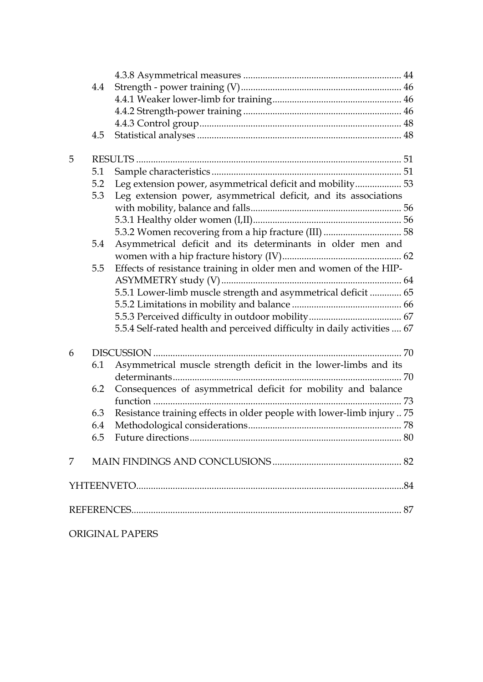|   | 4.4 |                                                                          |  |
|---|-----|--------------------------------------------------------------------------|--|
|   |     |                                                                          |  |
|   |     |                                                                          |  |
|   |     |                                                                          |  |
|   | 4.5 |                                                                          |  |
| 5 |     |                                                                          |  |
|   | 5.1 |                                                                          |  |
|   | 5.2 | Leg extension power, asymmetrical deficit and mobility 53                |  |
|   | 5.3 | Leg extension power, asymmetrical deficit, and its associations          |  |
|   |     |                                                                          |  |
|   |     |                                                                          |  |
|   |     |                                                                          |  |
|   | 5.4 | Asymmetrical deficit and its determinants in older men and               |  |
|   |     |                                                                          |  |
|   | 5.5 | Effects of resistance training in older men and women of the HIP-        |  |
|   |     |                                                                          |  |
|   |     | 5.5.1 Lower-limb muscle strength and asymmetrical deficit  65            |  |
|   |     |                                                                          |  |
|   |     |                                                                          |  |
|   |     | 5.5.4 Self-rated health and perceived difficulty in daily activities  67 |  |
| 6 |     |                                                                          |  |
|   | 6.1 | Asymmetrical muscle strength deficit in the lower-limbs and its          |  |
|   |     |                                                                          |  |
|   | 6.2 | Consequences of asymmetrical deficit for mobility and balance            |  |
|   |     |                                                                          |  |
|   | 6.3 | Resistance training effects in older people with lower-limb injury  75   |  |
|   | 6.4 |                                                                          |  |
|   | 6.5 |                                                                          |  |
| 7 |     |                                                                          |  |
|   |     |                                                                          |  |
|   |     |                                                                          |  |
|   |     |                                                                          |  |
|   |     | ORIGINAL PAPERS                                                          |  |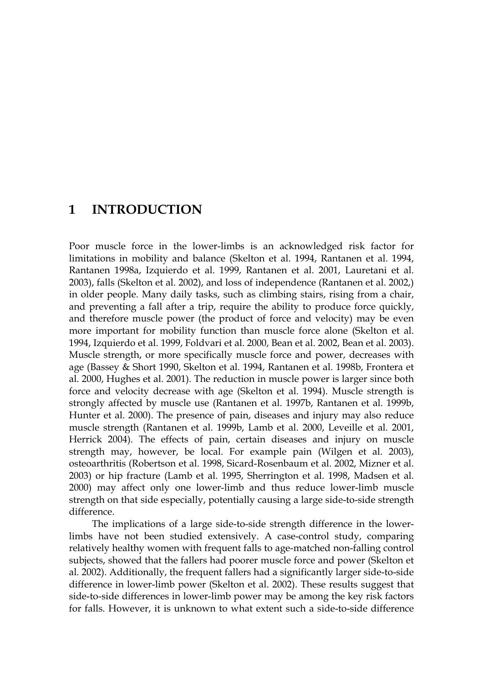### **1 INTRODUCTION**

Poor muscle force in the lower-limbs is an acknowledged risk factor for limitations in mobility and balance (Skelton et al. 1994, Rantanen et al. 1994, Rantanen 1998a, Izquierdo et al. 1999, Rantanen et al. 2001, Lauretani et al. 2003), falls (Skelton et al. 2002), and loss of independence (Rantanen et al. 2002,) in older people. Many daily tasks, such as climbing stairs, rising from a chair, and preventing a fall after a trip, require the ability to produce force quickly, and therefore muscle power (the product of force and velocity) may be even more important for mobility function than muscle force alone (Skelton et al. 1994, Izquierdo et al. 1999, Foldvari et al. 2000, Bean et al. 2002, Bean et al. 2003). Muscle strength, or more specifically muscle force and power, decreases with age (Bassey & Short 1990, Skelton et al. 1994, Rantanen et al. 1998b, Frontera et al. 2000, Hughes et al. 2001). The reduction in muscle power is larger since both force and velocity decrease with age (Skelton et al. 1994). Muscle strength is strongly affected by muscle use (Rantanen et al. 1997b, Rantanen et al. 1999b, Hunter et al. 2000). The presence of pain, diseases and injury may also reduce muscle strength (Rantanen et al. 1999b, Lamb et al. 2000, Leveille et al. 2001, Herrick 2004). The effects of pain, certain diseases and injury on muscle strength may, however, be local. For example pain (Wilgen et al. 2003), osteoarthritis (Robertson et al. 1998, Sicard-Rosenbaum et al. 2002, Mizner et al. 2003) or hip fracture (Lamb et al. 1995, Sherrington et al. 1998, Madsen et al. 2000) may affect only one lower-limb and thus reduce lower-limb muscle strength on that side especially, potentially causing a large side-to-side strength difference.

The implications of a large side-to-side strength difference in the lowerlimbs have not been studied extensively. A case-control study, comparing relatively healthy women with frequent falls to age-matched non-falling control subjects, showed that the fallers had poorer muscle force and power (Skelton et al. 2002). Additionally, the frequent fallers had a significantly larger side-to-side difference in lower-limb power (Skelton et al. 2002). These results suggest that side-to-side differences in lower-limb power may be among the key risk factors for falls. However, it is unknown to what extent such a side-to-side difference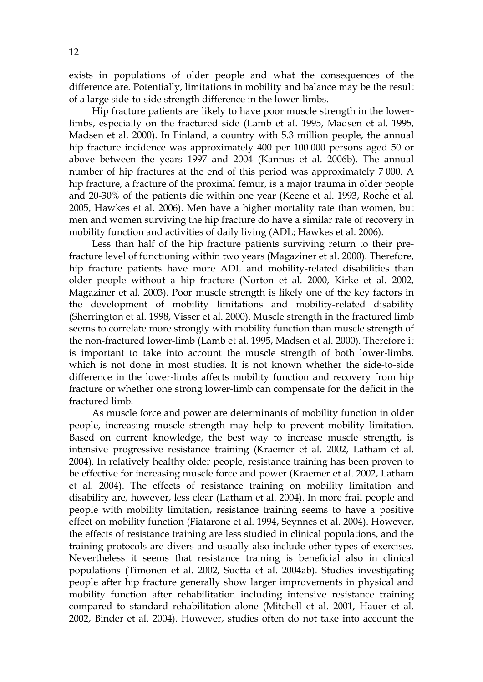exists in populations of older people and what the consequences of the difference are. Potentially, limitations in mobility and balance may be the result of a large side-to-side strength difference in the lower-limbs.

Hip fracture patients are likely to have poor muscle strength in the lowerlimbs, especially on the fractured side (Lamb et al. 1995, Madsen et al. 1995, Madsen et al. 2000). In Finland, a country with 5.3 million people, the annual hip fracture incidence was approximately 400 per 100 000 persons aged 50 or above between the years 1997 and 2004 (Kannus et al. 2006b). The annual number of hip fractures at the end of this period was approximately 7 000. A hip fracture, a fracture of the proximal femur, is a major trauma in older people and 20-30% of the patients die within one year (Keene et al. 1993, Roche et al. 2005, Hawkes et al. 2006). Men have a higher mortality rate than women, but men and women surviving the hip fracture do have a similar rate of recovery in mobility function and activities of daily living (ADL; Hawkes et al. 2006).

Less than half of the hip fracture patients surviving return to their prefracture level of functioning within two years (Magaziner et al. 2000). Therefore, hip fracture patients have more ADL and mobility-related disabilities than older people without a hip fracture (Norton et al. 2000, Kirke et al. 2002, Magaziner et al. 2003). Poor muscle strength is likely one of the key factors in the development of mobility limitations and mobility-related disability (Sherrington et al. 1998, Visser et al. 2000). Muscle strength in the fractured limb seems to correlate more strongly with mobility function than muscle strength of the non-fractured lower-limb (Lamb et al. 1995, Madsen et al. 2000). Therefore it is important to take into account the muscle strength of both lower-limbs, which is not done in most studies. It is not known whether the side-to-side difference in the lower-limbs affects mobility function and recovery from hip fracture or whether one strong lower-limb can compensate for the deficit in the fractured limb.

As muscle force and power are determinants of mobility function in older people, increasing muscle strength may help to prevent mobility limitation. Based on current knowledge, the best way to increase muscle strength, is intensive progressive resistance training (Kraemer et al. 2002, Latham et al. 2004). In relatively healthy older people, resistance training has been proven to be effective for increasing muscle force and power (Kraemer et al. 2002, Latham et al. 2004). The effects of resistance training on mobility limitation and disability are, however, less clear (Latham et al. 2004). In more frail people and people with mobility limitation, resistance training seems to have a positive effect on mobility function (Fiatarone et al. 1994, Seynnes et al. 2004). However, the effects of resistance training are less studied in clinical populations, and the training protocols are divers and usually also include other types of exercises. Nevertheless it seems that resistance training is beneficial also in clinical populations (Timonen et al. 2002, Suetta et al. 2004ab). Studies investigating people after hip fracture generally show larger improvements in physical and mobility function after rehabilitation including intensive resistance training compared to standard rehabilitation alone (Mitchell et al. 2001, Hauer et al. 2002, Binder et al. 2004). However, studies often do not take into account the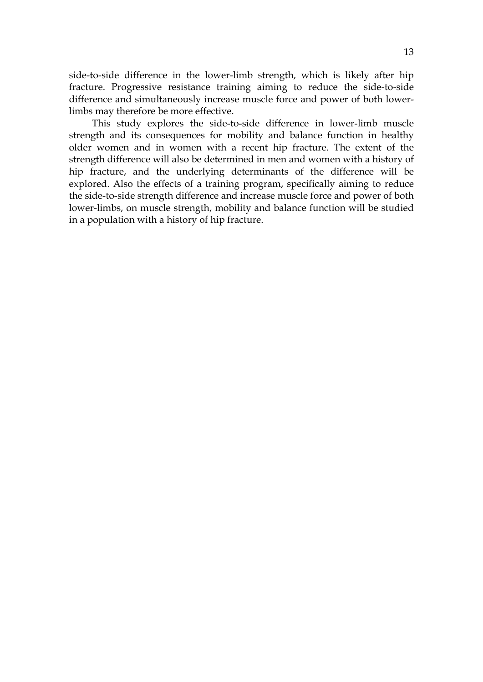side-to-side difference in the lower-limb strength, which is likely after hip fracture. Progressive resistance training aiming to reduce the side-to-side difference and simultaneously increase muscle force and power of both lowerlimbs may therefore be more effective.

This study explores the side-to-side difference in lower-limb muscle strength and its consequences for mobility and balance function in healthy older women and in women with a recent hip fracture. The extent of the strength difference will also be determined in men and women with a history of hip fracture, and the underlying determinants of the difference will be explored. Also the effects of a training program, specifically aiming to reduce the side-to-side strength difference and increase muscle force and power of both lower-limbs, on muscle strength, mobility and balance function will be studied in a population with a history of hip fracture.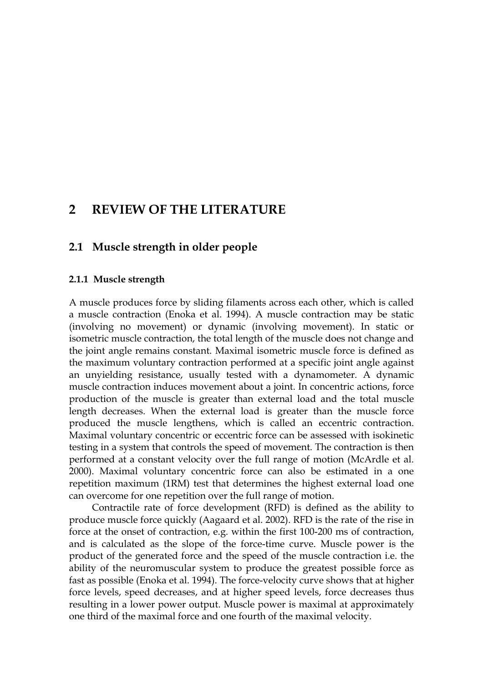# **2 REVIEW OF THE LITERATURE**

#### **2.1 Muscle strength in older people**

#### **2.1.1 Muscle strength**

A muscle produces force by sliding filaments across each other, which is called a muscle contraction (Enoka et al. 1994). A muscle contraction may be static (involving no movement) or dynamic (involving movement). In static or isometric muscle contraction, the total length of the muscle does not change and the joint angle remains constant. Maximal isometric muscle force is defined as the maximum voluntary contraction performed at a specific joint angle against an unyielding resistance, usually tested with a dynamometer. A dynamic muscle contraction induces movement about a joint. In concentric actions, force production of the muscle is greater than external load and the total muscle length decreases. When the external load is greater than the muscle force produced the muscle lengthens, which is called an eccentric contraction. Maximal voluntary concentric or eccentric force can be assessed with isokinetic testing in a system that controls the speed of movement. The contraction is then performed at a constant velocity over the full range of motion (McArdle et al. 2000). Maximal voluntary concentric force can also be estimated in a one repetition maximum (1RM) test that determines the highest external load one can overcome for one repetition over the full range of motion.

Contractile rate of force development (RFD) is defined as the ability to produce muscle force quickly (Aagaard et al. 2002). RFD is the rate of the rise in force at the onset of contraction, e.g. within the first 100-200 ms of contraction, and is calculated as the slope of the force-time curve. Muscle power is the product of the generated force and the speed of the muscle contraction i.e. the ability of the neuromuscular system to produce the greatest possible force as fast as possible (Enoka et al. 1994). The force-velocity curve shows that at higher force levels, speed decreases, and at higher speed levels, force decreases thus resulting in a lower power output. Muscle power is maximal at approximately one third of the maximal force and one fourth of the maximal velocity.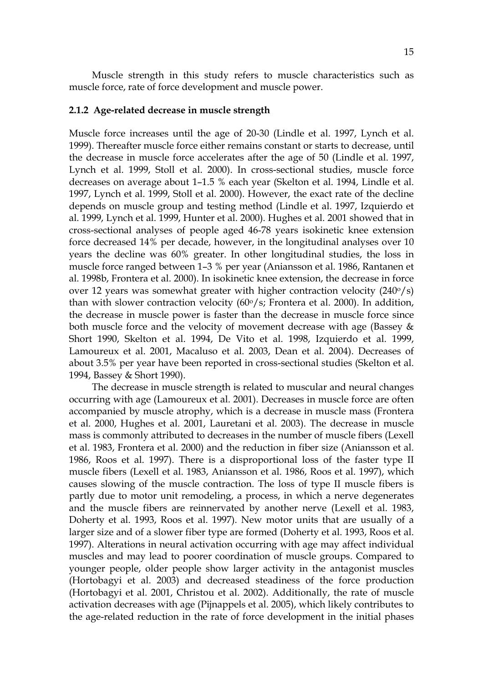Muscle strength in this study refers to muscle characteristics such as muscle force, rate of force development and muscle power.

#### **2.1.2 Age-related decrease in muscle strength**

Muscle force increases until the age of 20-30 (Lindle et al. 1997, Lynch et al. 1999). Thereafter muscle force either remains constant or starts to decrease, until the decrease in muscle force accelerates after the age of 50 (Lindle et al. 1997, Lynch et al. 1999, Stoll et al. 2000). In cross-sectional studies, muscle force decreases on average about 1–1.5 % each year (Skelton et al. 1994, Lindle et al. 1997, Lynch et al. 1999, Stoll et al. 2000). However, the exact rate of the decline depends on muscle group and testing method (Lindle et al. 1997, Izquierdo et al. 1999, Lynch et al. 1999, Hunter et al. 2000). Hughes et al. 2001 showed that in cross-sectional analyses of people aged 46-78 years isokinetic knee extension force decreased 14% per decade, however, in the longitudinal analyses over 10 years the decline was 60% greater. In other longitudinal studies, the loss in muscle force ranged between 1–3 % per year (Aniansson et al. 1986, Rantanen et al. 1998b, Frontera et al. 2000). In isokinetic knee extension, the decrease in force over 12 years was somewhat greater with higher contraction velocity  $(240\degree/s)$ than with slower contraction velocity  $(60\degree/s;$  Frontera et al. 2000). In addition, the decrease in muscle power is faster than the decrease in muscle force since both muscle force and the velocity of movement decrease with age (Bassey & Short 1990, Skelton et al. 1994, De Vito et al. 1998, Izquierdo et al. 1999, Lamoureux et al. 2001, Macaluso et al. 2003, Dean et al. 2004). Decreases of about 3.5% per year have been reported in cross-sectional studies (Skelton et al. 1994, Bassey & Short 1990).

The decrease in muscle strength is related to muscular and neural changes occurring with age (Lamoureux et al. 2001). Decreases in muscle force are often accompanied by muscle atrophy, which is a decrease in muscle mass (Frontera et al. 2000, Hughes et al. 2001, Lauretani et al. 2003). The decrease in muscle mass is commonly attributed to decreases in the number of muscle fibers (Lexell et al. 1983, Frontera et al. 2000) and the reduction in fiber size (Aniansson et al. 1986, Roos et al. 1997). There is a disproportional loss of the faster type II muscle fibers (Lexell et al. 1983, Aniansson et al. 1986, Roos et al. 1997), which causes slowing of the muscle contraction. The loss of type II muscle fibers is partly due to motor unit remodeling, a process, in which a nerve degenerates and the muscle fibers are reinnervated by another nerve (Lexell et al. 1983, Doherty et al. 1993, Roos et al. 1997). New motor units that are usually of a larger size and of a slower fiber type are formed (Doherty et al. 1993, Roos et al. 1997). Alterations in neural activation occurring with age may affect individual muscles and may lead to poorer coordination of muscle groups. Compared to younger people, older people show larger activity in the antagonist muscles (Hortobagyi et al. 2003) and decreased steadiness of the force production (Hortobagyi et al. 2001, Christou et al. 2002). Additionally, the rate of muscle activation decreases with age (Pijnappels et al. 2005), which likely contributes to the age-related reduction in the rate of force development in the initial phases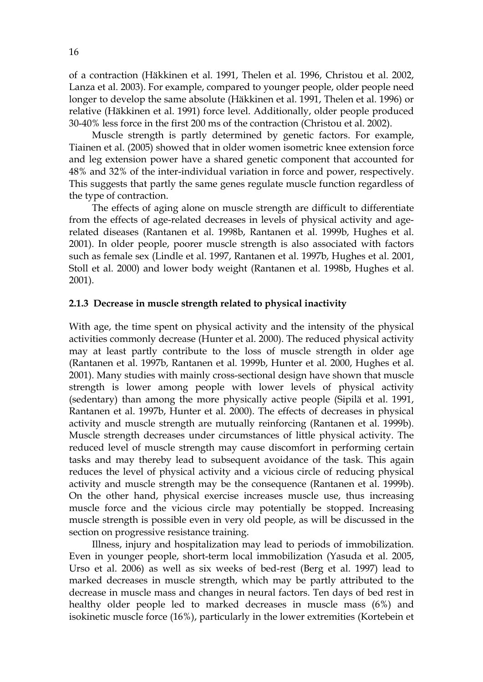of a contraction (Häkkinen et al. 1991, Thelen et al. 1996, Christou et al. 2002, Lanza et al. 2003). For example, compared to younger people, older people need longer to develop the same absolute (Häkkinen et al. 1991, Thelen et al. 1996) or relative (Häkkinen et al. 1991) force level. Additionally, older people produced 30-40% less force in the first 200 ms of the contraction (Christou et al. 2002).

Muscle strength is partly determined by genetic factors. For example, Tiainen et al. (2005) showed that in older women isometric knee extension force and leg extension power have a shared genetic component that accounted for 48% and 32% of the inter-individual variation in force and power, respectively. This suggests that partly the same genes regulate muscle function regardless of the type of contraction.

The effects of aging alone on muscle strength are difficult to differentiate from the effects of age-related decreases in levels of physical activity and agerelated diseases (Rantanen et al. 1998b, Rantanen et al. 1999b, Hughes et al. 2001). In older people, poorer muscle strength is also associated with factors such as female sex (Lindle et al. 1997, Rantanen et al. 1997b, Hughes et al. 2001, Stoll et al. 2000) and lower body weight (Rantanen et al. 1998b, Hughes et al. 2001).

#### **2.1.3 Decrease in muscle strength related to physical inactivity**

With age, the time spent on physical activity and the intensity of the physical activities commonly decrease (Hunter et al. 2000). The reduced physical activity may at least partly contribute to the loss of muscle strength in older age (Rantanen et al. 1997b, Rantanen et al. 1999b, Hunter et al. 2000, Hughes et al. 2001). Many studies with mainly cross-sectional design have shown that muscle strength is lower among people with lower levels of physical activity (sedentary) than among the more physically active people (Sipilä et al. 1991, Rantanen et al. 1997b, Hunter et al. 2000). The effects of decreases in physical activity and muscle strength are mutually reinforcing (Rantanen et al. 1999b). Muscle strength decreases under circumstances of little physical activity. The reduced level of muscle strength may cause discomfort in performing certain tasks and may thereby lead to subsequent avoidance of the task. This again reduces the level of physical activity and a vicious circle of reducing physical activity and muscle strength may be the consequence (Rantanen et al. 1999b). On the other hand, physical exercise increases muscle use, thus increasing muscle force and the vicious circle may potentially be stopped. Increasing muscle strength is possible even in very old people, as will be discussed in the section on progressive resistance training.

Illness, injury and hospitalization may lead to periods of immobilization. Even in younger people, short-term local immobilization (Yasuda et al. 2005, Urso et al. 2006) as well as six weeks of bed-rest (Berg et al. 1997) lead to marked decreases in muscle strength, which may be partly attributed to the decrease in muscle mass and changes in neural factors. Ten days of bed rest in healthy older people led to marked decreases in muscle mass (6%) and isokinetic muscle force (16%), particularly in the lower extremities (Kortebein et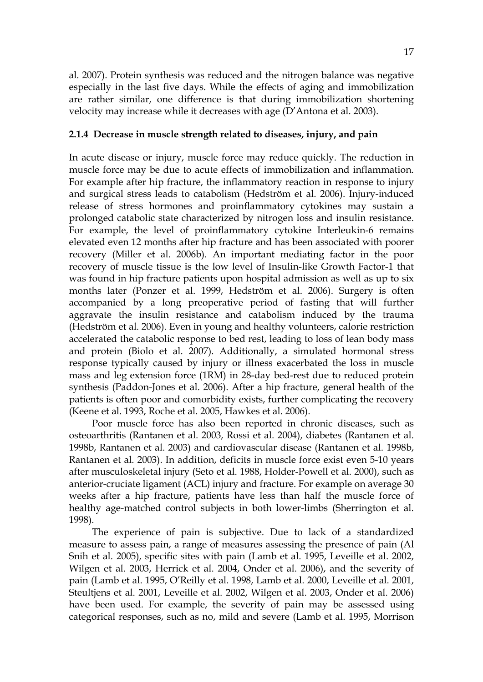al. 2007). Protein synthesis was reduced and the nitrogen balance was negative especially in the last five days. While the effects of aging and immobilization are rather similar, one difference is that during immobilization shortening velocity may increase while it decreases with age (D'Antona et al. 2003).

#### **2.1.4 Decrease in muscle strength related to diseases, injury, and pain**

In acute disease or injury, muscle force may reduce quickly. The reduction in muscle force may be due to acute effects of immobilization and inflammation. For example after hip fracture, the inflammatory reaction in response to injury and surgical stress leads to catabolism (Hedström et al. 2006). Injury-induced release of stress hormones and proinflammatory cytokines may sustain a prolonged catabolic state characterized by nitrogen loss and insulin resistance. For example, the level of proinflammatory cytokine Interleukin-6 remains elevated even 12 months after hip fracture and has been associated with poorer recovery (Miller et al. 2006b). An important mediating factor in the poor recovery of muscle tissue is the low level of Insulin-like Growth Factor-1 that was found in hip fracture patients upon hospital admission as well as up to six months later (Ponzer et al. 1999, Hedström et al. 2006). Surgery is often accompanied by a long preoperative period of fasting that will further aggravate the insulin resistance and catabolism induced by the trauma (Hedström et al. 2006). Even in young and healthy volunteers, calorie restriction accelerated the catabolic response to bed rest, leading to loss of lean body mass and protein (Biolo et al. 2007). Additionally, a simulated hormonal stress response typically caused by injury or illness exacerbated the loss in muscle mass and leg extension force (1RM) in 28-day bed-rest due to reduced protein synthesis (Paddon-Jones et al. 2006). After a hip fracture, general health of the patients is often poor and comorbidity exists, further complicating the recovery (Keene et al. 1993, Roche et al. 2005, Hawkes et al. 2006).

Poor muscle force has also been reported in chronic diseases, such as osteoarthritis (Rantanen et al. 2003, Rossi et al. 2004), diabetes (Rantanen et al. 1998b, Rantanen et al. 2003) and cardiovascular disease (Rantanen et al. 1998b, Rantanen et al. 2003). In addition, deficits in muscle force exist even 5-10 years after musculoskeletal injury (Seto et al. 1988, Holder-Powell et al. 2000), such as anterior-cruciate ligament (ACL) injury and fracture. For example on average 30 weeks after a hip fracture, patients have less than half the muscle force of healthy age-matched control subjects in both lower-limbs (Sherrington et al. 1998).

The experience of pain is subjective. Due to lack of a standardized measure to assess pain, a range of measures assessing the presence of pain (Al Snih et al. 2005), specific sites with pain (Lamb et al. 1995, Leveille et al. 2002, Wilgen et al. 2003, Herrick et al. 2004, Onder et al. 2006), and the severity of pain (Lamb et al. 1995, O'Reilly et al. 1998, Lamb et al. 2000, Leveille et al. 2001, Steultjens et al. 2001, Leveille et al. 2002, Wilgen et al. 2003, Onder et al. 2006) have been used. For example, the severity of pain may be assessed using categorical responses, such as no, mild and severe (Lamb et al. 1995, Morrison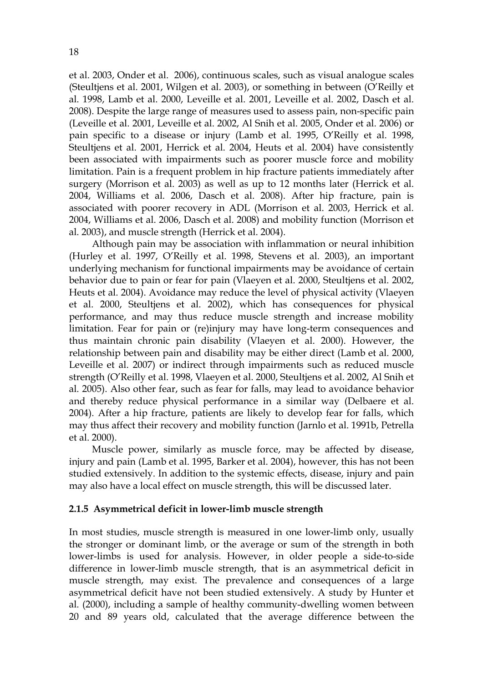et al. 2003, Onder et al. 2006), continuous scales, such as visual analogue scales (Steultjens et al. 2001, Wilgen et al. 2003), or something in between (O'Reilly et al. 1998, Lamb et al. 2000, Leveille et al. 2001, Leveille et al. 2002, Dasch et al. 2008). Despite the large range of measures used to assess pain, non-specific pain (Leveille et al. 2001, Leveille et al. 2002, Al Snih et al. 2005, Onder et al. 2006) or pain specific to a disease or injury (Lamb et al. 1995, O'Reilly et al. 1998, Steultjens et al. 2001, Herrick et al. 2004, Heuts et al. 2004) have consistently been associated with impairments such as poorer muscle force and mobility limitation. Pain is a frequent problem in hip fracture patients immediately after surgery (Morrison et al. 2003) as well as up to 12 months later (Herrick et al. 2004, Williams et al. 2006, Dasch et al. 2008). After hip fracture, pain is associated with poorer recovery in ADL (Morrison et al. 2003, Herrick et al. 2004, Williams et al. 2006, Dasch et al. 2008) and mobility function (Morrison et al. 2003), and muscle strength (Herrick et al. 2004).

Although pain may be association with inflammation or neural inhibition (Hurley et al. 1997, O'Reilly et al. 1998, Stevens et al. 2003), an important underlying mechanism for functional impairments may be avoidance of certain behavior due to pain or fear for pain (Vlaeyen et al. 2000, Steultjens et al. 2002, Heuts et al. 2004). Avoidance may reduce the level of physical activity (Vlaeyen et al. 2000, Steultjens et al. 2002), which has consequences for physical performance, and may thus reduce muscle strength and increase mobility limitation. Fear for pain or (re)injury may have long-term consequences and thus maintain chronic pain disability (Vlaeyen et al. 2000). However, the relationship between pain and disability may be either direct (Lamb et al. 2000, Leveille et al. 2007) or indirect through impairments such as reduced muscle strength (O'Reilly et al. 1998, Vlaeyen et al. 2000, Steultjens et al. 2002, Al Snih et al. 2005). Also other fear, such as fear for falls, may lead to avoidance behavior and thereby reduce physical performance in a similar way (Delbaere et al. 2004). After a hip fracture, patients are likely to develop fear for falls, which may thus affect their recovery and mobility function (Jarnlo et al. 1991b, Petrella et al. 2000).

Muscle power, similarly as muscle force, may be affected by disease, injury and pain (Lamb et al. 1995, Barker et al. 2004), however, this has not been studied extensively. In addition to the systemic effects, disease, injury and pain may also have a local effect on muscle strength, this will be discussed later.

#### **2.1.5 Asymmetrical deficit in lower-limb muscle strength**

In most studies, muscle strength is measured in one lower-limb only, usually the stronger or dominant limb, or the average or sum of the strength in both lower-limbs is used for analysis. However, in older people a side-to-side difference in lower-limb muscle strength, that is an asymmetrical deficit in muscle strength, may exist. The prevalence and consequences of a large asymmetrical deficit have not been studied extensively. A study by Hunter et al. (2000), including a sample of healthy community-dwelling women between 20 and 89 years old, calculated that the average difference between the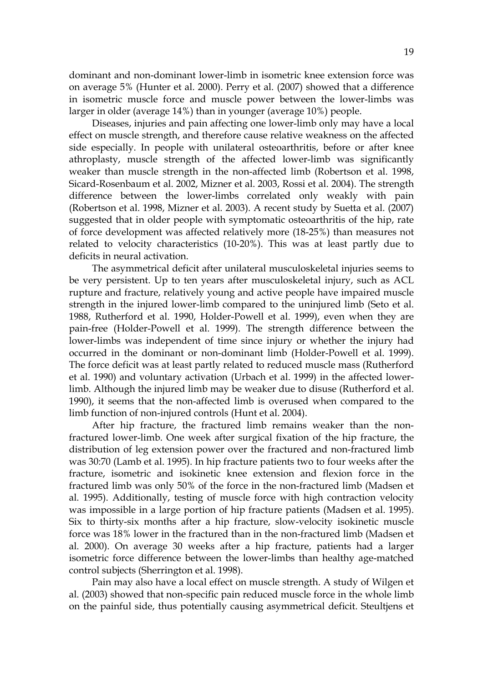dominant and non-dominant lower-limb in isometric knee extension force was on average 5% (Hunter et al. 2000). Perry et al. (2007) showed that a difference in isometric muscle force and muscle power between the lower-limbs was larger in older (average 14%) than in younger (average 10%) people.

Diseases, injuries and pain affecting one lower-limb only may have a local effect on muscle strength, and therefore cause relative weakness on the affected side especially. In people with unilateral osteoarthritis, before or after knee athroplasty, muscle strength of the affected lower-limb was significantly weaker than muscle strength in the non-affected limb (Robertson et al. 1998, Sicard-Rosenbaum et al. 2002, Mizner et al. 2003, Rossi et al. 2004). The strength difference between the lower-limbs correlated only weakly with pain (Robertson et al. 1998, Mizner et al. 2003). A recent study by Suetta et al. (2007) suggested that in older people with symptomatic osteoarthritis of the hip, rate of force development was affected relatively more (18-25%) than measures not related to velocity characteristics (10-20%). This was at least partly due to deficits in neural activation.

The asymmetrical deficit after unilateral musculoskeletal injuries seems to be very persistent. Up to ten years after musculoskeletal injury, such as ACL rupture and fracture, relatively young and active people have impaired muscle strength in the injured lower-limb compared to the uninjured limb (Seto et al. 1988, Rutherford et al. 1990, Holder-Powell et al. 1999), even when they are pain-free (Holder-Powell et al. 1999). The strength difference between the lower-limbs was independent of time since injury or whether the injury had occurred in the dominant or non-dominant limb (Holder-Powell et al. 1999). The force deficit was at least partly related to reduced muscle mass (Rutherford et al. 1990) and voluntary activation (Urbach et al. 1999) in the affected lowerlimb. Although the injured limb may be weaker due to disuse (Rutherford et al. 1990), it seems that the non-affected limb is overused when compared to the limb function of non-injured controls (Hunt et al. 2004).

After hip fracture, the fractured limb remains weaker than the nonfractured lower-limb. One week after surgical fixation of the hip fracture, the distribution of leg extension power over the fractured and non-fractured limb was 30:70 (Lamb et al. 1995). In hip fracture patients two to four weeks after the fracture, isometric and isokinetic knee extension and flexion force in the fractured limb was only 50% of the force in the non-fractured limb (Madsen et al. 1995). Additionally, testing of muscle force with high contraction velocity was impossible in a large portion of hip fracture patients (Madsen et al. 1995). Six to thirty-six months after a hip fracture, slow-velocity isokinetic muscle force was 18% lower in the fractured than in the non-fractured limb (Madsen et al. 2000). On average 30 weeks after a hip fracture, patients had a larger isometric force difference between the lower-limbs than healthy age-matched control subjects (Sherrington et al. 1998).

Pain may also have a local effect on muscle strength. A study of Wilgen et al. (2003) showed that non-specific pain reduced muscle force in the whole limb on the painful side, thus potentially causing asymmetrical deficit. Steultjens et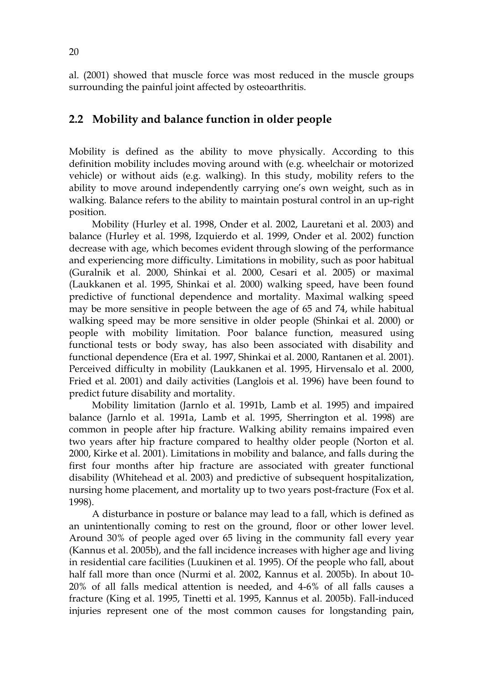al. (2001) showed that muscle force was most reduced in the muscle groups surrounding the painful joint affected by osteoarthritis.

#### **2.2 Mobility and balance function in older people**

Mobility is defined as the ability to move physically. According to this definition mobility includes moving around with (e.g. wheelchair or motorized vehicle) or without aids (e.g. walking). In this study, mobility refers to the ability to move around independently carrying one's own weight, such as in walking. Balance refers to the ability to maintain postural control in an up-right position.

Mobility (Hurley et al. 1998, Onder et al. 2002, Lauretani et al. 2003) and balance (Hurley et al. 1998, Izquierdo et al. 1999, Onder et al. 2002) function decrease with age, which becomes evident through slowing of the performance and experiencing more difficulty. Limitations in mobility, such as poor habitual (Guralnik et al. 2000, Shinkai et al. 2000, Cesari et al. 2005) or maximal (Laukkanen et al. 1995, Shinkai et al. 2000) walking speed, have been found predictive of functional dependence and mortality. Maximal walking speed may be more sensitive in people between the age of 65 and 74, while habitual walking speed may be more sensitive in older people (Shinkai et al. 2000) or people with mobility limitation. Poor balance function, measured using functional tests or body sway, has also been associated with disability and functional dependence (Era et al. 1997, Shinkai et al. 2000, Rantanen et al. 2001). Perceived difficulty in mobility (Laukkanen et al. 1995, Hirvensalo et al. 2000, Fried et al. 2001) and daily activities (Langlois et al. 1996) have been found to predict future disability and mortality.

Mobility limitation (Jarnlo et al. 1991b, Lamb et al. 1995) and impaired balance (Jarnlo et al. 1991a, Lamb et al. 1995, Sherrington et al. 1998) are common in people after hip fracture. Walking ability remains impaired even two years after hip fracture compared to healthy older people (Norton et al. 2000, Kirke et al. 2001). Limitations in mobility and balance, and falls during the first four months after hip fracture are associated with greater functional disability (Whitehead et al. 2003) and predictive of subsequent hospitalization, nursing home placement, and mortality up to two years post-fracture (Fox et al. 1998).

A disturbance in posture or balance may lead to a fall, which is defined as an unintentionally coming to rest on the ground, floor or other lower level. Around 30% of people aged over 65 living in the community fall every year (Kannus et al. 2005b), and the fall incidence increases with higher age and living in residential care facilities (Luukinen et al. 1995). Of the people who fall, about half fall more than once (Nurmi et al. 2002, Kannus et al. 2005b). In about 10- 20% of all falls medical attention is needed, and 4-6% of all falls causes a fracture (King et al. 1995, Tinetti et al. 1995, Kannus et al. 2005b). Fall-induced injuries represent one of the most common causes for longstanding pain,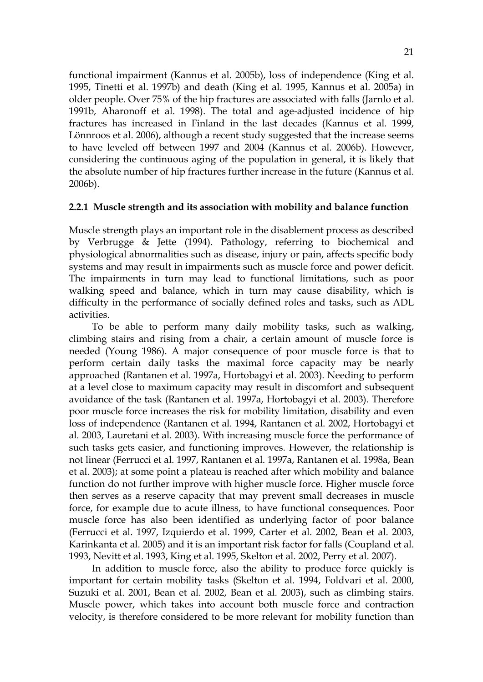functional impairment (Kannus et al. 2005b), loss of independence (King et al. 1995, Tinetti et al. 1997b) and death (King et al. 1995, Kannus et al. 2005a) in older people. Over 75% of the hip fractures are associated with falls (Jarnlo et al. 1991b, Aharonoff et al. 1998). The total and age-adjusted incidence of hip fractures has increased in Finland in the last decades (Kannus et al. 1999, Lönnroos et al. 2006), although a recent study suggested that the increase seems to have leveled off between 1997 and 2004 (Kannus et al. 2006b). However, considering the continuous aging of the population in general, it is likely that the absolute number of hip fractures further increase in the future (Kannus et al. 2006b).

#### **2.2.1 Muscle strength and its association with mobility and balance function**

Muscle strength plays an important role in the disablement process as described by Verbrugge & Jette (1994). Pathology, referring to biochemical and physiological abnormalities such as disease, injury or pain, affects specific body systems and may result in impairments such as muscle force and power deficit. The impairments in turn may lead to functional limitations, such as poor walking speed and balance, which in turn may cause disability, which is difficulty in the performance of socially defined roles and tasks, such as ADL activities.

To be able to perform many daily mobility tasks, such as walking, climbing stairs and rising from a chair, a certain amount of muscle force is needed (Young 1986). A major consequence of poor muscle force is that to perform certain daily tasks the maximal force capacity may be nearly approached (Rantanen et al. 1997a, Hortobagyi et al. 2003). Needing to perform at a level close to maximum capacity may result in discomfort and subsequent avoidance of the task (Rantanen et al. 1997a, Hortobagyi et al. 2003). Therefore poor muscle force increases the risk for mobility limitation, disability and even loss of independence (Rantanen et al. 1994, Rantanen et al. 2002, Hortobagyi et al. 2003, Lauretani et al. 2003). With increasing muscle force the performance of such tasks gets easier, and functioning improves. However, the relationship is not linear (Ferrucci et al. 1997, Rantanen et al. 1997a, Rantanen et al. 1998a, Bean et al. 2003); at some point a plateau is reached after which mobility and balance function do not further improve with higher muscle force. Higher muscle force then serves as a reserve capacity that may prevent small decreases in muscle force, for example due to acute illness, to have functional consequences. Poor muscle force has also been identified as underlying factor of poor balance (Ferrucci et al. 1997, Izquierdo et al. 1999, Carter et al. 2002, Bean et al. 2003, Karinkanta et al. 2005) and it is an important risk factor for falls (Coupland et al. 1993, Nevitt et al. 1993, King et al. 1995, Skelton et al. 2002, Perry et al. 2007).

In addition to muscle force, also the ability to produce force quickly is important for certain mobility tasks (Skelton et al. 1994, Foldvari et al. 2000, Suzuki et al. 2001, Bean et al. 2002, Bean et al. 2003), such as climbing stairs. Muscle power, which takes into account both muscle force and contraction velocity, is therefore considered to be more relevant for mobility function than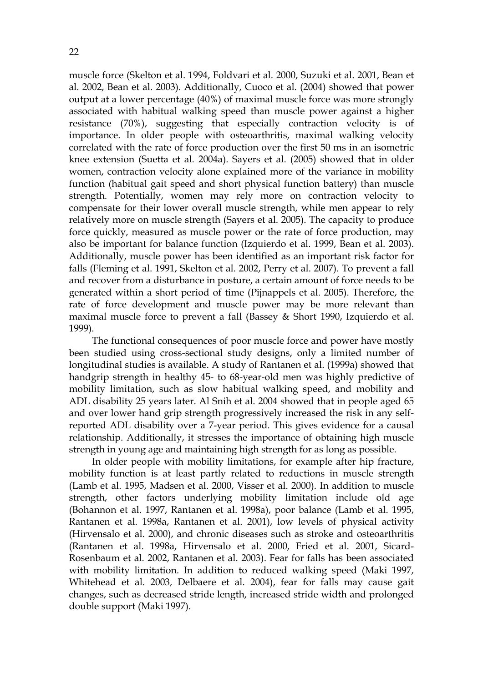muscle force (Skelton et al. 1994, Foldvari et al. 2000, Suzuki et al. 2001, Bean et al. 2002, Bean et al. 2003). Additionally, Cuoco et al. (2004) showed that power output at a lower percentage (40%) of maximal muscle force was more strongly associated with habitual walking speed than muscle power against a higher resistance (70%), suggesting that especially contraction velocity is of importance. In older people with osteoarthritis, maximal walking velocity correlated with the rate of force production over the first 50 ms in an isometric knee extension (Suetta et al. 2004a). Sayers et al. (2005) showed that in older women, contraction velocity alone explained more of the variance in mobility function (habitual gait speed and short physical function battery) than muscle strength. Potentially, women may rely more on contraction velocity to compensate for their lower overall muscle strength, while men appear to rely relatively more on muscle strength (Sayers et al. 2005). The capacity to produce force quickly, measured as muscle power or the rate of force production, may also be important for balance function (Izquierdo et al. 1999, Bean et al. 2003). Additionally, muscle power has been identified as an important risk factor for falls (Fleming et al. 1991, Skelton et al. 2002, Perry et al. 2007). To prevent a fall and recover from a disturbance in posture, a certain amount of force needs to be generated within a short period of time (Pijnappels et al. 2005). Therefore, the rate of force development and muscle power may be more relevant than maximal muscle force to prevent a fall (Bassey & Short 1990, Izquierdo et al. 1999).

The functional consequences of poor muscle force and power have mostly been studied using cross-sectional study designs, only a limited number of longitudinal studies is available. A study of Rantanen et al. (1999a) showed that handgrip strength in healthy 45- to 68-year-old men was highly predictive of mobility limitation, such as slow habitual walking speed, and mobility and ADL disability 25 years later. Al Snih et al. 2004 showed that in people aged 65 and over lower hand grip strength progressively increased the risk in any selfreported ADL disability over a 7-year period. This gives evidence for a causal relationship. Additionally, it stresses the importance of obtaining high muscle strength in young age and maintaining high strength for as long as possible.

In older people with mobility limitations, for example after hip fracture, mobility function is at least partly related to reductions in muscle strength (Lamb et al. 1995, Madsen et al. 2000, Visser et al. 2000). In addition to muscle strength, other factors underlying mobility limitation include old age (Bohannon et al. 1997, Rantanen et al. 1998a), poor balance (Lamb et al. 1995, Rantanen et al. 1998a, Rantanen et al. 2001), low levels of physical activity (Hirvensalo et al. 2000), and chronic diseases such as stroke and osteoarthritis (Rantanen et al. 1998a, Hirvensalo et al. 2000, Fried et al. 2001, Sicard-Rosenbaum et al. 2002, Rantanen et al. 2003). Fear for falls has been associated with mobility limitation. In addition to reduced walking speed (Maki 1997, Whitehead et al. 2003, Delbaere et al. 2004), fear for falls may cause gait changes, such as decreased stride length, increased stride width and prolonged double support (Maki 1997).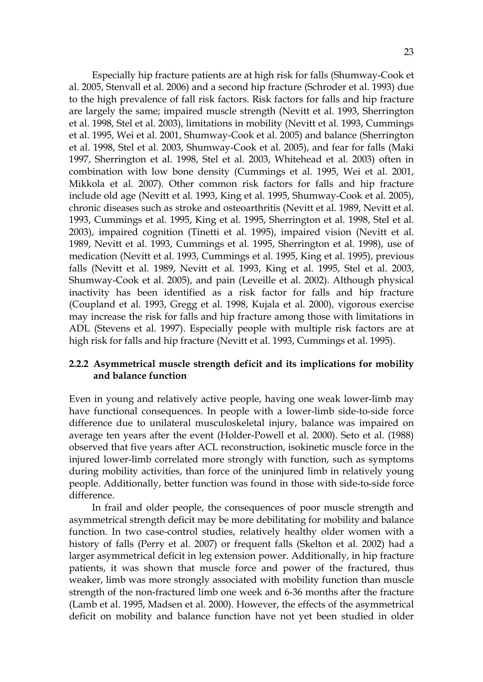Especially hip fracture patients are at high risk for falls (Shumway-Cook et al. 2005, Stenvall et al. 2006) and a second hip fracture (Schroder et al. 1993) due to the high prevalence of fall risk factors. Risk factors for falls and hip fracture are largely the same; impaired muscle strength (Nevitt et al. 1993, Sherrington et al. 1998, Stel et al. 2003), limitations in mobility (Nevitt et al. 1993, Cummings et al. 1995, Wei et al. 2001, Shumway-Cook et al. 2005) and balance (Sherrington et al. 1998, Stel et al. 2003, Shumway-Cook et al. 2005), and fear for falls (Maki 1997, Sherrington et al. 1998, Stel et al. 2003, Whitehead et al. 2003) often in combination with low bone density (Cummings et al. 1995, Wei et al. 2001, Mikkola et al. 2007). Other common risk factors for falls and hip fracture include old age (Nevitt et al. 1993, King et al. 1995, Shumway-Cook et al. 2005), chronic diseases such as stroke and osteoarthritis (Nevitt et al. 1989, Nevitt et al. 1993, Cummings et al. 1995, King et al. 1995, Sherrington et al. 1998, Stel et al. 2003), impaired cognition (Tinetti et al. 1995), impaired vision (Nevitt et al. 1989, Nevitt et al. 1993, Cummings et al. 1995, Sherrington et al. 1998), use of medication (Nevitt et al. 1993, Cummings et al. 1995, King et al. 1995), previous falls (Nevitt et al. 1989, Nevitt et al. 1993, King et al. 1995, Stel et al. 2003, Shumway-Cook et al. 2005), and pain (Leveille et al. 2002). Although physical inactivity has been identified as a risk factor for falls and hip fracture (Coupland et al. 1993, Gregg et al. 1998, Kujala et al. 2000), vigorous exercise may increase the risk for falls and hip fracture among those with limitations in ADL (Stevens et al. 1997). Especially people with multiple risk factors are at high risk for falls and hip fracture (Nevitt et al. 1993, Cummings et al. 1995).

#### **2.2.2 Asymmetrical muscle strength deficit and its implications for mobility and balance function**

Even in young and relatively active people, having one weak lower-limb may have functional consequences. In people with a lower-limb side-to-side force difference due to unilateral musculoskeletal injury, balance was impaired on average ten years after the event (Holder-Powell et al. 2000). Seto et al. (1988) observed that five years after ACL reconstruction, isokinetic muscle force in the injured lower-limb correlated more strongly with function, such as symptoms during mobility activities, than force of the uninjured limb in relatively young people. Additionally, better function was found in those with side-to-side force difference.

In frail and older people, the consequences of poor muscle strength and asymmetrical strength deficit may be more debilitating for mobility and balance function. In two case-control studies, relatively healthy older women with a history of falls (Perry et al. 2007) or frequent falls (Skelton et al. 2002) had a larger asymmetrical deficit in leg extension power. Additionally, in hip fracture patients, it was shown that muscle force and power of the fractured, thus weaker, limb was more strongly associated with mobility function than muscle strength of the non-fractured limb one week and 6-36 months after the fracture (Lamb et al. 1995, Madsen et al. 2000). However, the effects of the asymmetrical deficit on mobility and balance function have not yet been studied in older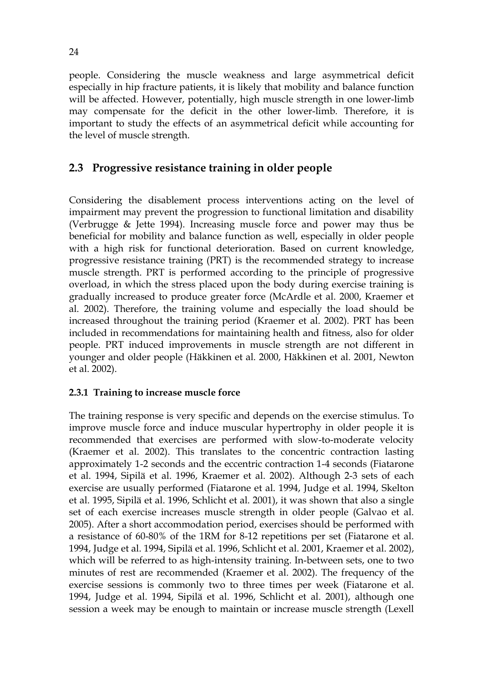people. Considering the muscle weakness and large asymmetrical deficit especially in hip fracture patients, it is likely that mobility and balance function will be affected. However, potentially, high muscle strength in one lower-limb may compensate for the deficit in the other lower-limb. Therefore, it is important to study the effects of an asymmetrical deficit while accounting for the level of muscle strength.

### **2.3 Progressive resistance training in older people**

Considering the disablement process interventions acting on the level of impairment may prevent the progression to functional limitation and disability (Verbrugge & Jette 1994). Increasing muscle force and power may thus be beneficial for mobility and balance function as well, especially in older people with a high risk for functional deterioration. Based on current knowledge, progressive resistance training (PRT) is the recommended strategy to increase muscle strength. PRT is performed according to the principle of progressive overload, in which the stress placed upon the body during exercise training is gradually increased to produce greater force (McArdle et al. 2000, Kraemer et al. 2002). Therefore, the training volume and especially the load should be increased throughout the training period (Kraemer et al. 2002). PRT has been included in recommendations for maintaining health and fitness, also for older people. PRT induced improvements in muscle strength are not different in younger and older people (Häkkinen et al. 2000, Häkkinen et al. 2001, Newton et al. 2002).

#### **2.3.1 Training to increase muscle force**

The training response is very specific and depends on the exercise stimulus. To improve muscle force and induce muscular hypertrophy in older people it is recommended that exercises are performed with slow-to-moderate velocity (Kraemer et al. 2002). This translates to the concentric contraction lasting approximately 1-2 seconds and the eccentric contraction 1-4 seconds (Fiatarone et al. 1994, Sipilä et al. 1996, Kraemer et al. 2002). Although 2-3 sets of each exercise are usually performed (Fiatarone et al. 1994, Judge et al. 1994, Skelton et al. 1995, Sipilä et al. 1996, Schlicht et al. 2001), it was shown that also a single set of each exercise increases muscle strength in older people (Galvao et al. 2005). After a short accommodation period, exercises should be performed with a resistance of 60-80% of the 1RM for 8-12 repetitions per set (Fiatarone et al. 1994, Judge et al. 1994, Sipilä et al. 1996, Schlicht et al. 2001, Kraemer et al. 2002), which will be referred to as high-intensity training. In-between sets, one to two minutes of rest are recommended (Kraemer et al. 2002). The frequency of the exercise sessions is commonly two to three times per week (Fiatarone et al. 1994, Judge et al. 1994, Sipilä et al. 1996, Schlicht et al. 2001), although one session a week may be enough to maintain or increase muscle strength (Lexell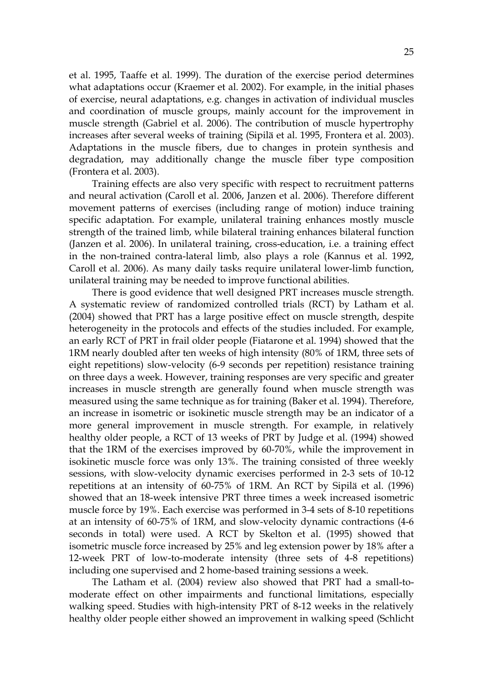et al. 1995, Taaffe et al. 1999). The duration of the exercise period determines what adaptations occur (Kraemer et al. 2002). For example, in the initial phases of exercise, neural adaptations, e.g. changes in activation of individual muscles and coordination of muscle groups, mainly account for the improvement in muscle strength (Gabriel et al. 2006). The contribution of muscle hypertrophy increases after several weeks of training (Sipilä et al. 1995, Frontera et al. 2003). Adaptations in the muscle fibers, due to changes in protein synthesis and degradation, may additionally change the muscle fiber type composition (Frontera et al. 2003).

Training effects are also very specific with respect to recruitment patterns and neural activation (Caroll et al. 2006, Janzen et al. 2006). Therefore different movement patterns of exercises (including range of motion) induce training specific adaptation. For example, unilateral training enhances mostly muscle strength of the trained limb, while bilateral training enhances bilateral function (Janzen et al. 2006). In unilateral training, cross-education, i.e. a training effect in the non-trained contra-lateral limb, also plays a role (Kannus et al. 1992, Caroll et al. 2006). As many daily tasks require unilateral lower-limb function, unilateral training may be needed to improve functional abilities.

There is good evidence that well designed PRT increases muscle strength. A systematic review of randomized controlled trials (RCT) by Latham et al. (2004) showed that PRT has a large positive effect on muscle strength, despite heterogeneity in the protocols and effects of the studies included. For example, an early RCT of PRT in frail older people (Fiatarone et al. 1994) showed that the 1RM nearly doubled after ten weeks of high intensity (80% of 1RM, three sets of eight repetitions) slow-velocity (6-9 seconds per repetition) resistance training on three days a week. However, training responses are very specific and greater increases in muscle strength are generally found when muscle strength was measured using the same technique as for training (Baker et al. 1994). Therefore, an increase in isometric or isokinetic muscle strength may be an indicator of a more general improvement in muscle strength. For example, in relatively healthy older people, a RCT of 13 weeks of PRT by Judge et al. (1994) showed that the 1RM of the exercises improved by 60-70%, while the improvement in isokinetic muscle force was only 13%. The training consisted of three weekly sessions, with slow-velocity dynamic exercises performed in 2-3 sets of 10-12 repetitions at an intensity of 60-75% of 1RM. An RCT by Sipilä et al. (1996) showed that an 18-week intensive PRT three times a week increased isometric muscle force by 19%. Each exercise was performed in 3-4 sets of 8-10 repetitions at an intensity of 60-75% of 1RM, and slow-velocity dynamic contractions (4-6 seconds in total) were used. A RCT by Skelton et al. (1995) showed that isometric muscle force increased by 25% and leg extension power by 18% after a 12-week PRT of low-to-moderate intensity (three sets of 4-8 repetitions) including one supervised and 2 home-based training sessions a week.

The Latham et al. (2004) review also showed that PRT had a small-tomoderate effect on other impairments and functional limitations, especially walking speed. Studies with high-intensity PRT of 8-12 weeks in the relatively healthy older people either showed an improvement in walking speed (Schlicht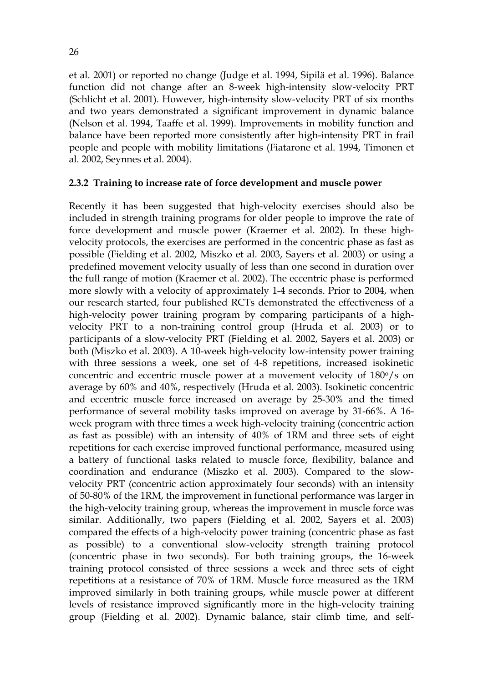et al. 2001) or reported no change (Judge et al. 1994, Sipilä et al. 1996). Balance function did not change after an 8-week high-intensity slow-velocity PRT (Schlicht et al. 2001). However, high-intensity slow-velocity PRT of six months and two years demonstrated a significant improvement in dynamic balance (Nelson et al. 1994, Taaffe et al. 1999). Improvements in mobility function and balance have been reported more consistently after high-intensity PRT in frail people and people with mobility limitations (Fiatarone et al. 1994, Timonen et al. 2002, Seynnes et al. 2004).

#### **2.3.2 Training to increase rate of force development and muscle power**

Recently it has been suggested that high-velocity exercises should also be included in strength training programs for older people to improve the rate of force development and muscle power (Kraemer et al. 2002). In these highvelocity protocols, the exercises are performed in the concentric phase as fast as possible (Fielding et al. 2002, Miszko et al. 2003, Sayers et al. 2003) or using a predefined movement velocity usually of less than one second in duration over the full range of motion (Kraemer et al. 2002). The eccentric phase is performed more slowly with a velocity of approximately 1-4 seconds. Prior to 2004, when our research started, four published RCTs demonstrated the effectiveness of a high-velocity power training program by comparing participants of a highvelocity PRT to a non-training control group (Hruda et al. 2003) or to participants of a slow-velocity PRT (Fielding et al. 2002, Sayers et al. 2003) or both (Miszko et al. 2003). A 10-week high-velocity low-intensity power training with three sessions a week, one set of 4-8 repetitions, increased isokinetic concentric and eccentric muscle power at a movement velocity of 180% on average by 60% and 40%, respectively (Hruda et al. 2003). Isokinetic concentric and eccentric muscle force increased on average by 25-30% and the timed performance of several mobility tasks improved on average by 31-66%. A 16 week program with three times a week high-velocity training (concentric action as fast as possible) with an intensity of 40% of 1RM and three sets of eight repetitions for each exercise improved functional performance, measured using a battery of functional tasks related to muscle force, flexibility, balance and coordination and endurance (Miszko et al. 2003). Compared to the slowvelocity PRT (concentric action approximately four seconds) with an intensity of 50-80% of the 1RM, the improvement in functional performance was larger in the high-velocity training group, whereas the improvement in muscle force was similar. Additionally, two papers (Fielding et al. 2002, Sayers et al. 2003) compared the effects of a high-velocity power training (concentric phase as fast as possible) to a conventional slow-velocity strength training protocol (concentric phase in two seconds). For both training groups, the 16-week training protocol consisted of three sessions a week and three sets of eight repetitions at a resistance of 70% of 1RM. Muscle force measured as the 1RM improved similarly in both training groups, while muscle power at different levels of resistance improved significantly more in the high-velocity training group (Fielding et al. 2002). Dynamic balance, stair climb time, and self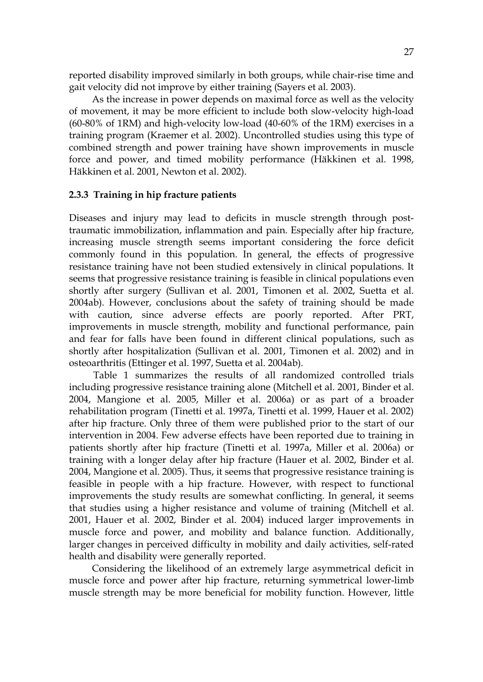reported disability improved similarly in both groups, while chair-rise time and gait velocity did not improve by either training (Sayers et al. 2003).

As the increase in power depends on maximal force as well as the velocity of movement, it may be more efficient to include both slow-velocity high-load (60-80% of 1RM) and high-velocity low-load (40-60% of the 1RM) exercises in a training program (Kraemer et al. 2002). Uncontrolled studies using this type of combined strength and power training have shown improvements in muscle force and power, and timed mobility performance (Häkkinen et al. 1998, Häkkinen et al. 2001, Newton et al. 2002).

#### **2.3.3 Training in hip fracture patients**

Diseases and injury may lead to deficits in muscle strength through posttraumatic immobilization, inflammation and pain. Especially after hip fracture, increasing muscle strength seems important considering the force deficit commonly found in this population. In general, the effects of progressive resistance training have not been studied extensively in clinical populations. It seems that progressive resistance training is feasible in clinical populations even shortly after surgery (Sullivan et al. 2001, Timonen et al. 2002, Suetta et al. 2004ab). However, conclusions about the safety of training should be made with caution, since adverse effects are poorly reported. After PRT, improvements in muscle strength, mobility and functional performance, pain and fear for falls have been found in different clinical populations, such as shortly after hospitalization (Sullivan et al. 2001, Timonen et al. 2002) and in osteoarthritis (Ettinger et al. 1997, Suetta et al. 2004ab).

 Table 1 summarizes the results of all randomized controlled trials including progressive resistance training alone (Mitchell et al. 2001, Binder et al. 2004, Mangione et al. 2005, Miller et al. 2006a) or as part of a broader rehabilitation program (Tinetti et al. 1997a, Tinetti et al. 1999, Hauer et al. 2002) after hip fracture. Only three of them were published prior to the start of our intervention in 2004. Few adverse effects have been reported due to training in patients shortly after hip fracture (Tinetti et al. 1997a, Miller et al. 2006a) or training with a longer delay after hip fracture (Hauer et al. 2002, Binder et al. 2004, Mangione et al. 2005). Thus, it seems that progressive resistance training is feasible in people with a hip fracture. However, with respect to functional improvements the study results are somewhat conflicting. In general, it seems that studies using a higher resistance and volume of training (Mitchell et al. 2001, Hauer et al. 2002, Binder et al. 2004) induced larger improvements in muscle force and power, and mobility and balance function. Additionally, larger changes in perceived difficulty in mobility and daily activities, self-rated health and disability were generally reported.

Considering the likelihood of an extremely large asymmetrical deficit in muscle force and power after hip fracture, returning symmetrical lower-limb muscle strength may be more beneficial for mobility function. However, little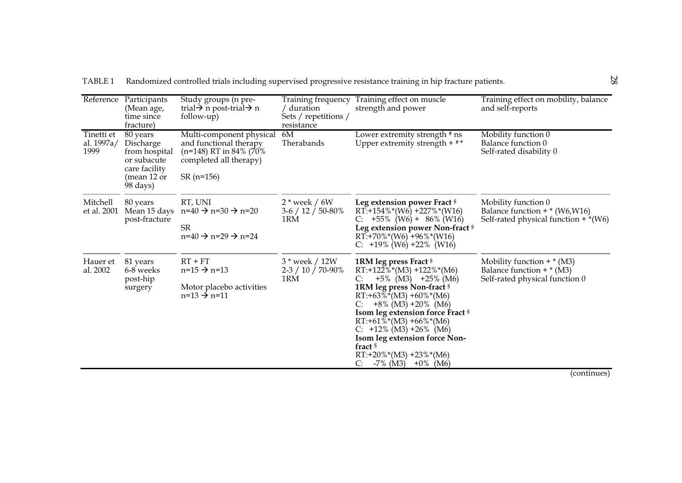|                                  | Reference Participants<br>(Mean age,<br>time since<br>fracture)                                   | Study groups (n pre-<br>trial $\rightarrow$ n post-trial $\rightarrow$ n<br>follow-up)                                 | Training frequency<br>duration<br>Sets / repetitions /<br>resistance | Training effect on muscle<br>strength and power                                                                                                                                                                                                                                                                                                                                                 | Training effect on mobility, balance<br>and self-reports                                         |
|----------------------------------|---------------------------------------------------------------------------------------------------|------------------------------------------------------------------------------------------------------------------------|----------------------------------------------------------------------|-------------------------------------------------------------------------------------------------------------------------------------------------------------------------------------------------------------------------------------------------------------------------------------------------------------------------------------------------------------------------------------------------|--------------------------------------------------------------------------------------------------|
| Tinetti et<br>al. 1997a/<br>1999 | 80 years<br>Discharge<br>from hospital<br>or subacute<br>care facility<br>(mean 12 or<br>98 days) | Multi-component physical<br>and functional therapy<br>(n=148) RT in 84% (70%)<br>completed all therapy)<br>$SR(n=156)$ | 6M<br>Therabands                                                     | Lower extremity strength # ns<br>Upper extremity strength $+$ $*$ $*$                                                                                                                                                                                                                                                                                                                           | Mobility function 0<br>Balance function 0<br>Self-rated disability 0                             |
| Mitchell<br>et al. 2001          | 80 years<br>Mean 15 days<br>post-fracture                                                         | RT, UNI<br>$n=40 \rightarrow n=30 \rightarrow n=20$<br><b>SR</b><br>$n=40 \rightarrow n=29 \rightarrow n=24$           | $2*$ week / 6W<br>$3-6/12/50-80\%$<br>1RM                            | Leg extension power Fract §<br>$RT: +154\%*(W6) +227\%*(W16)$<br>$+55\%$ (W6) + 86% (W16)<br>Leg extension power Non-fract §<br>$RT: +70\%*(W6) +96\%*(W16)$<br>C: $+19\%$ (W6) $+22\%$ (W16)                                                                                                                                                                                                   | Mobility function 0<br>Balance function $+$ * (W6, W16)<br>Self-rated physical function $+*(W6)$ |
| Hauer et<br>al. 2002             | 81 years<br>6-8 weeks<br>post-hip<br>surgery                                                      | $RT + FT$<br>$n=15 \rightarrow n=13$<br>Motor placebo activities<br>$n=13 \rightarrow n=11$                            | 3 * week / 12W<br>$2-3/10/70-90\%$<br>1RM                            | 1RM leg press Fract §<br>$RT: +122\%*(M3) +122\%*(M6)$<br>$+5\%$ (M3) $+25\%$ (M6)<br>C:<br>1RM leg press Non-fract §<br>$RT: +63\%*(M3) +60\%*(M6)$<br>$+8\%$ (M3) $+20\%$ (M6)<br>Isom leg extension force Fract §<br>$RT: +61\%*(M3) +66\%*(M6)$<br>C: $+12\%$ (M3) $+26\%$ (M6)<br>Isom leg extension force Non-<br>fract §<br>$RT: +20\%*(M3) +23\%*(M6)$<br>$-7\%$ (M3) $+0\%$ (M6)<br>C: | Mobility function $+*(M3)$<br>Balance function $+*(M3)$<br>Self-rated physical function 0        |

TABLE 1 Randomized controlled trials including supervised progressive resistance training in hip fracture patients.

(continues)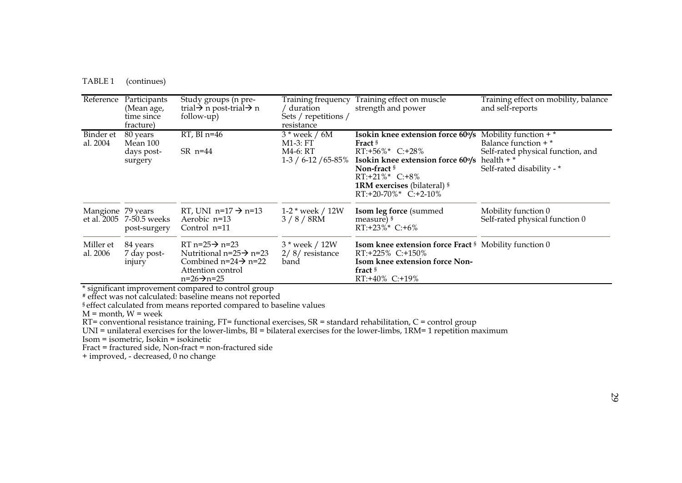| TABLE <sub>1</sub> | (continues) |  |
|--------------------|-------------|--|
|--------------------|-------------|--|

|                            | Reference Participants<br>(Mean age,<br>time since<br>fracture) | Study groups (n pre-<br>trial $\rightarrow$ n post-trial $\rightarrow$ n<br>follow-up)                                                                                               | Training frequency<br>duration<br>Sets / repetitions /<br>resistance | Training effect on muscle<br>strength and power                                                                                                                                                    | Training effect on mobility, balance<br>and self-reports                         |
|----------------------------|-----------------------------------------------------------------|--------------------------------------------------------------------------------------------------------------------------------------------------------------------------------------|----------------------------------------------------------------------|----------------------------------------------------------------------------------------------------------------------------------------------------------------------------------------------------|----------------------------------------------------------------------------------|
| Binder et<br>al. 2004      | 80 years<br>Mean 100                                            | $RT$ , BI n=46                                                                                                                                                                       | $3*$ week / $6M$<br>$M1-3: FT$                                       | <b>Isokin knee extension force 60%</b> Mobility function $+$ *<br>Fract <sup>§</sup>                                                                                                               | Balance function $+$ $*$                                                         |
|                            | days post-<br>surgery                                           | $SR$ n=44                                                                                                                                                                            | M4-6: RT                                                             | $RT: +56\%$ * C:+28%<br>1-3 / 6-12 / 65-85% Isokin knee extension force 60%<br>Non-fract $\frac{8}{3}$<br>$RT: +21\% * C: +8\%$<br><b>1RM</b> exercises (bilateral) §<br>$RT: +20-70\%*$ C: +2-10% | Self-rated physical function, and<br>health $+$ $*$<br>Self-rated disability - * |
| Mangione 79 years          | et al. 2005 7-50.5 weeks<br>post-surgery                        | RT, UNI n=17 $\rightarrow$ n=13<br>Aerobic n=13<br>Control n=11                                                                                                                      | 1-2 $*$ week / 12W<br>$3/8/8$ RM                                     | Isom leg force (summed<br>measure) §<br>$RT: +23\% * C: +6\%$                                                                                                                                      | Mobility function 0<br>Self-rated physical function 0                            |
| Miller et<br>al. 2006<br>. | 84 years<br>7 day post-<br>injury                               | RT $n=25 \rightarrow n=23$<br>Nutritional n=25 $\rightarrow$ n=23<br>Combined n=24 $\rightarrow$ n=22<br>Attention control<br>$n=26 \rightarrow n=25$<br>$\mathbf{u}$ , $\mathbf{v}$ | 3 * week / 12W<br>$2/8$ / resistance<br>band                         | <b>Isom knee extension force Fract 8 Mobility function 0</b><br>RT:+225% C:+150%<br>Isom knee extension force Non-<br>fract <sup>§</sup><br>$RT: +40\%$ C: +19%                                    |                                                                                  |

\* significant improvement compared to control group

# effect was not calculated: baseline means not reported

§ effect calculated from means reported compared to baseline values

M = month, W = week

RT= conventional resistance training, FT= functional exercises, SR = standard rehabilitation, C = control group

UNI = unilateral exercises for the lower-limbs, BI = bilateral exercises for the lower-limbs, 1RM= 1 repetition maximum

Isom = isometric, Isokin = isokinetic

Fract = fractured side, Non-fract = non-fractured side

+ improved, - decreased, 0 no change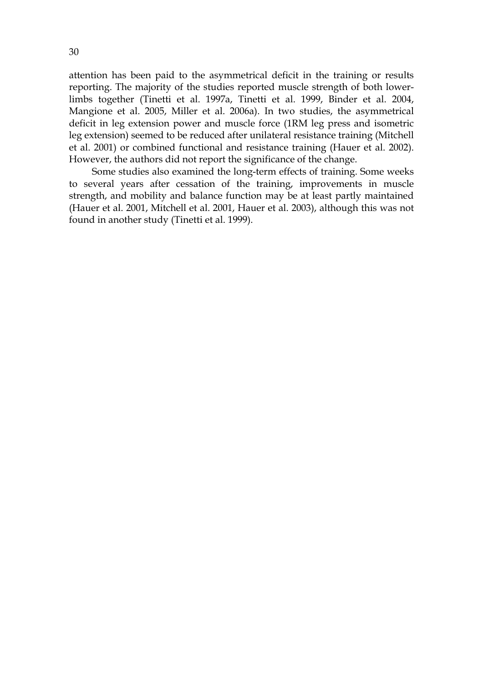attention has been paid to the asymmetrical deficit in the training or results reporting. The majority of the studies reported muscle strength of both lowerlimbs together (Tinetti et al. 1997a, Tinetti et al. 1999, Binder et al. 2004, Mangione et al. 2005, Miller et al. 2006a). In two studies, the asymmetrical deficit in leg extension power and muscle force (1RM leg press and isometric leg extension) seemed to be reduced after unilateral resistance training (Mitchell et al. 2001) or combined functional and resistance training (Hauer et al. 2002). However, the authors did not report the significance of the change.

Some studies also examined the long-term effects of training. Some weeks to several years after cessation of the training, improvements in muscle strength, and mobility and balance function may be at least partly maintained (Hauer et al. 2001, Mitchell et al. 2001, Hauer et al. 2003), although this was not found in another study (Tinetti et al. 1999).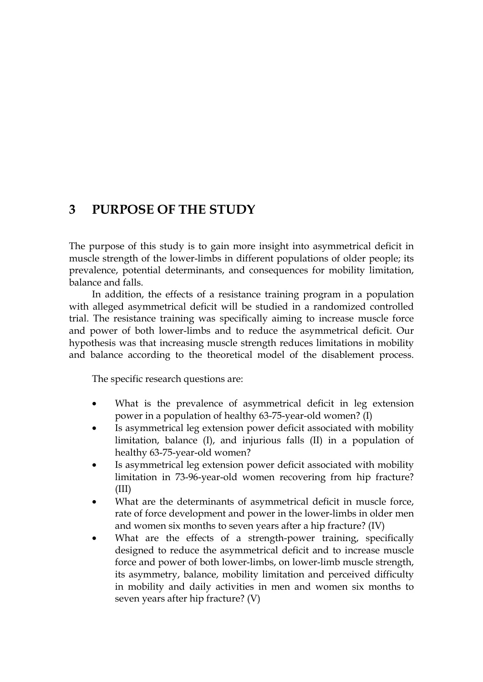# **3 PURPOSE OF THE STUDY**

The purpose of this study is to gain more insight into asymmetrical deficit in muscle strength of the lower-limbs in different populations of older people; its prevalence, potential determinants, and consequences for mobility limitation, balance and falls.

In addition, the effects of a resistance training program in a population with alleged asymmetrical deficit will be studied in a randomized controlled trial. The resistance training was specifically aiming to increase muscle force and power of both lower-limbs and to reduce the asymmetrical deficit. Our hypothesis was that increasing muscle strength reduces limitations in mobility and balance according to the theoretical model of the disablement process.

The specific research questions are:

- What is the prevalence of asymmetrical deficit in leg extension power in a population of healthy 63-75-year-old women? (I)
- Is asymmetrical leg extension power deficit associated with mobility limitation, balance (I), and injurious falls (II) in a population of healthy 63-75-year-old women?
- Is asymmetrical leg extension power deficit associated with mobility limitation in 73-96-year-old women recovering from hip fracture? (III)
- What are the determinants of asymmetrical deficit in muscle force, rate of force development and power in the lower-limbs in older men and women six months to seven years after a hip fracture? (IV)
- What are the effects of a strength-power training, specifically designed to reduce the asymmetrical deficit and to increase muscle force and power of both lower-limbs, on lower-limb muscle strength, its asymmetry, balance, mobility limitation and perceived difficulty in mobility and daily activities in men and women six months to seven years after hip fracture? (V)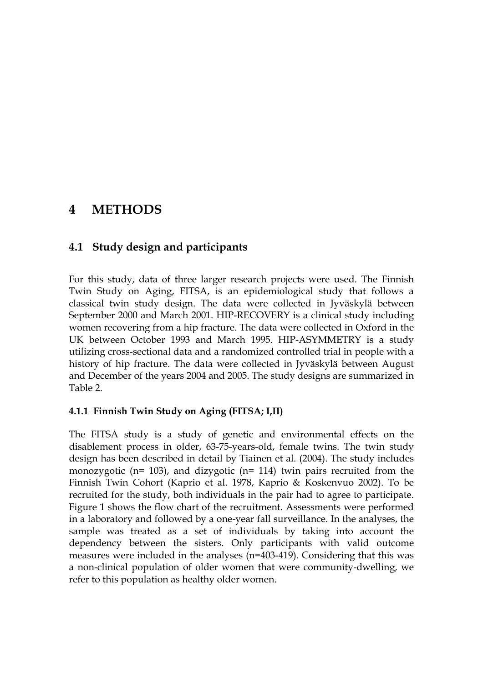# **4 METHODS**

### **4.1 Study design and participants**

For this study, data of three larger research projects were used. The Finnish Twin Study on Aging, FITSA, is an epidemiological study that follows a classical twin study design. The data were collected in Jyväskylä between September 2000 and March 2001. HIP-RECOVERY is a clinical study including women recovering from a hip fracture. The data were collected in Oxford in the UK between October 1993 and March 1995. HIP-ASYMMETRY is a study utilizing cross-sectional data and a randomized controlled trial in people with a history of hip fracture. The data were collected in Jyväskylä between August and December of the years 2004 and 2005. The study designs are summarized in Table 2.

#### **4.1.1 Finnish Twin Study on Aging (FITSA; I,II)**

The FITSA study is a study of genetic and environmental effects on the disablement process in older, 63-75-years-old, female twins. The twin study design has been described in detail by Tiainen et al. (2004). The study includes monozygotic (n= 103), and dizygotic (n= 114) twin pairs recruited from the Finnish Twin Cohort (Kaprio et al. 1978, Kaprio & Koskenvuo 2002). To be recruited for the study, both individuals in the pair had to agree to participate. Figure 1 shows the flow chart of the recruitment. Assessments were performed in a laboratory and followed by a one-year fall surveillance. In the analyses, the sample was treated as a set of individuals by taking into account the dependency between the sisters. Only participants with valid outcome measures were included in the analyses (n=403-419). Considering that this was a non-clinical population of older women that were community-dwelling, we refer to this population as healthy older women.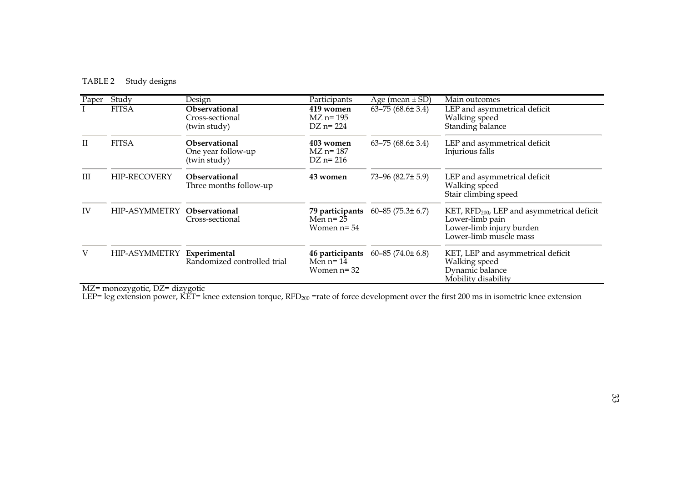#### TABLE 2 Study designs

| Paper | Study               | Design                                                     | Participants                                      | Age (mean $\pm$ SD)        | Main outcomes                                                                                                                   |
|-------|---------------------|------------------------------------------------------------|---------------------------------------------------|----------------------------|---------------------------------------------------------------------------------------------------------------------------------|
|       | <b>FITSA</b>        | Observational<br>Cross-sectional<br>(twin study)           | 419 women<br>$MZ$ n= 195<br>$DZ$ n= 224           | $63 - 75 (68.6 \pm 3.4)$   | LEP and asymmetrical deficit<br>Walking speed<br>Standing balance                                                               |
| П     | <b>FITSA</b>        | <b>Observational</b><br>One year follow-up<br>(twin study) | 403 women<br>$MZ$ n= 187<br>$DZ$ n= 216           | $63 - 75 (68.6 \pm 3.4)$   | LEP and asymmetrical deficit<br>Injurious falls                                                                                 |
| Ш     | <b>HIP-RECOVERY</b> | <b>Observational</b><br>Three months follow-up             | 43 women                                          | $73-96(82.7 \pm 5.9)$      | LEP and asymmetrical deficit<br>Walking speed<br>Stair climbing speed                                                           |
| IV    | HIP-ASYMMETRY       | <b>Observational</b><br>Cross-sectional                    | 79 participants<br>Men $n=25$<br>Women $n = 54$   | $60 - 85$ (75.3 $\pm$ 6.7) | KET, RFD <sub>200</sub> , LEP and asymmetrical deficit<br>Lower-limb pain<br>Lower-limb injury burden<br>Lower-limb muscle mass |
| V     | HIP-ASYMMETRY       | Experimental<br>Randomized controlled trial                | 46 participants<br>Men $n = 14$<br>Women $n = 32$ | $60 - 85$ (74.0 $\pm$ 6.8) | KET, LEP and asymmetrical deficit<br>Walking speed<br>Dynamic balance<br>Mobility disability                                    |

MZ= monozygotic, DZ= dizygotic

LEP= leg extension power, KET= knee extension torque, RFD $_{200}$  =rate of force development over the first 200 ms in isometric knee extension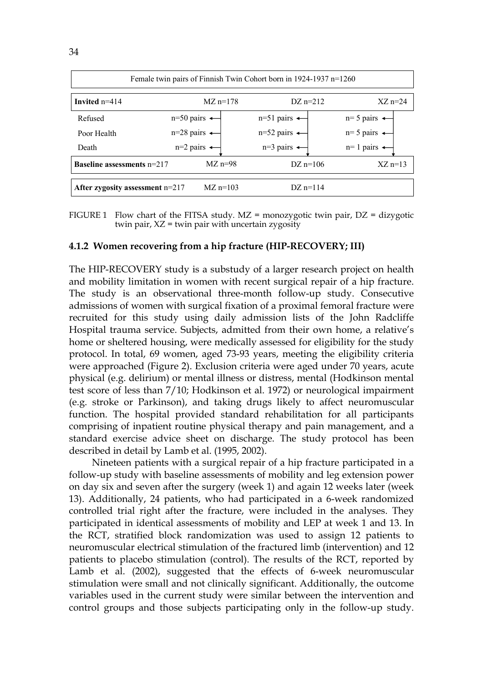| Female twin pairs of Finnish Twin Cohort born in 1924-1937 n=1260 |                           |                          |                           |                          |  |  |  |  |  |  |
|-------------------------------------------------------------------|---------------------------|--------------------------|---------------------------|--------------------------|--|--|--|--|--|--|
| Invited $n=414$                                                   |                           | $MZ$ n=178               | $DZ$ n=212                | $XZ$ n=24                |  |  |  |  |  |  |
| Refused                                                           | $n=50$ pairs $\leftarrow$ |                          | $n=51$ pairs $\leftarrow$ | $n=5$ pairs $\leftarrow$ |  |  |  |  |  |  |
| Poor Health                                                       | $n=28$ pairs $\leftarrow$ |                          | $n=52$ pairs $\leftarrow$ | $n=5$ pairs $\leftarrow$ |  |  |  |  |  |  |
| Death                                                             |                           | $n=2$ pairs $\leftarrow$ | $n=3$ pairs $\leftarrow$  | $n=1$ pairs $\leftarrow$ |  |  |  |  |  |  |
| <b>Baseline assessments <math>n=217</math></b>                    |                           | $MZ$ n=98                | DZ $n=106$                | $XZ$ n=13                |  |  |  |  |  |  |
| After zygosity assessment n=217                                   |                           | $MZ$ n=103               | $DZ$ n=114                |                          |  |  |  |  |  |  |

FIGURE 1 Flow chart of the FITSA study.  $MZ = \text{monozygotic}$  twin pair,  $DZ = \text{disygotic}$ twin pair,  $XZ =$  twin pair with uncertain zygosity

## **4.1.2 Women recovering from a hip fracture (HIP-RECOVERY; III)**

The HIP-RECOVERY study is a substudy of a larger research project on health and mobility limitation in women with recent surgical repair of a hip fracture. The study is an observational three-month follow-up study. Consecutive admissions of women with surgical fixation of a proximal femoral fracture were recruited for this study using daily admission lists of the John Radcliffe Hospital trauma service. Subjects, admitted from their own home, a relative's home or sheltered housing, were medically assessed for eligibility for the study protocol. In total, 69 women, aged 73-93 years, meeting the eligibility criteria were approached (Figure 2). Exclusion criteria were aged under 70 years, acute physical (e.g. delirium) or mental illness or distress, mental (Hodkinson mental test score of less than 7/10; Hodkinson et al. 1972) or neurological impairment (e.g. stroke or Parkinson), and taking drugs likely to affect neuromuscular function. The hospital provided standard rehabilitation for all participants comprising of inpatient routine physical therapy and pain management, and a standard exercise advice sheet on discharge. The study protocol has been described in detail by Lamb et al. (1995, 2002).

Nineteen patients with a surgical repair of a hip fracture participated in a follow-up study with baseline assessments of mobility and leg extension power on day six and seven after the surgery (week 1) and again 12 weeks later (week 13). Additionally, 24 patients, who had participated in a 6-week randomized controlled trial right after the fracture, were included in the analyses. They participated in identical assessments of mobility and LEP at week 1 and 13. In the RCT, stratified block randomization was used to assign 12 patients to neuromuscular electrical stimulation of the fractured limb (intervention) and 12 patients to placebo stimulation (control). The results of the RCT, reported by Lamb et al. (2002), suggested that the effects of 6-week neuromuscular stimulation were small and not clinically significant. Additionally, the outcome variables used in the current study were similar between the intervention and control groups and those subjects participating only in the follow-up study.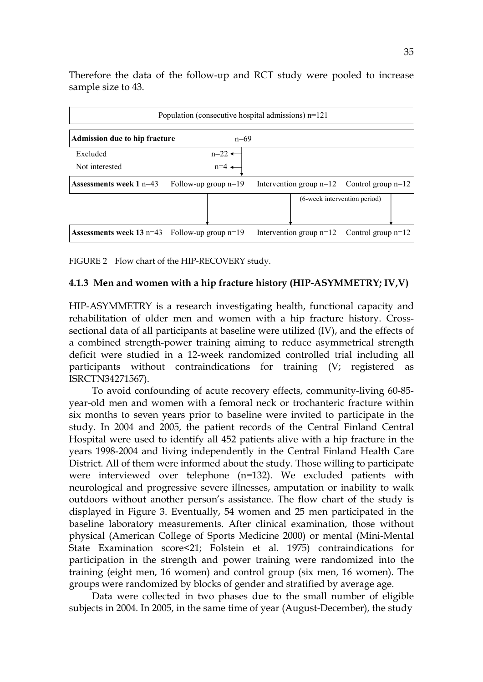| Population (consecutive hospital admissions) $n=121$ |                        |                                                |                              |  |  |  |  |  |  |  |
|------------------------------------------------------|------------------------|------------------------------------------------|------------------------------|--|--|--|--|--|--|--|
|                                                      |                        |                                                |                              |  |  |  |  |  |  |  |
| <b>Admission due to hip fracture</b>                 | $n=69$                 |                                                |                              |  |  |  |  |  |  |  |
| Excluded                                             | $n=22$ $\rightarrow$   |                                                |                              |  |  |  |  |  |  |  |
| Not interested                                       | $n=4$                  |                                                |                              |  |  |  |  |  |  |  |
| Assessments week $1 n=43$                            | Follow-up group $n=19$ | Intervention group $n=12$ Control group $n=12$ |                              |  |  |  |  |  |  |  |
|                                                      |                        |                                                | (6-week intervention period) |  |  |  |  |  |  |  |
| <b>Assessments week 13 n=43</b> Follow-up group n=19 |                        | Intervention group $n=12$ Control group $n=12$ |                              |  |  |  |  |  |  |  |

Therefore the data of the follow-up and RCT study were pooled to increase sample size to 43.

FIGURE 2 Flow chart of the HIP-RECOVERY study.

## **4.1.3 Men and women with a hip fracture history (HIP-ASYMMETRY; IV,V)**

HIP-ASYMMETRY is a research investigating health, functional capacity and rehabilitation of older men and women with a hip fracture history. Crosssectional data of all participants at baseline were utilized (IV), and the effects of a combined strength-power training aiming to reduce asymmetrical strength deficit were studied in a 12-week randomized controlled trial including all participants without contraindications for training (V; registered as ISRCTN34271567).

To avoid confounding of acute recovery effects, community-living 60-85 year-old men and women with a femoral neck or trochanteric fracture within six months to seven years prior to baseline were invited to participate in the study. In 2004 and 2005, the patient records of the Central Finland Central Hospital were used to identify all 452 patients alive with a hip fracture in the years 1998-2004 and living independently in the Central Finland Health Care District. All of them were informed about the study. Those willing to participate were interviewed over telephone (n=132). We excluded patients with neurological and progressive severe illnesses, amputation or inability to walk outdoors without another person's assistance. The flow chart of the study is displayed in Figure 3. Eventually, 54 women and 25 men participated in the baseline laboratory measurements. After clinical examination, those without physical (American College of Sports Medicine 2000) or mental (Mini-Mental State Examination score<21; Folstein et al. 1975) contraindications for participation in the strength and power training were randomized into the training (eight men, 16 women) and control group (six men, 16 women). The groups were randomized by blocks of gender and stratified by average age.

Data were collected in two phases due to the small number of eligible subjects in 2004. In 2005, in the same time of year (August-December), the study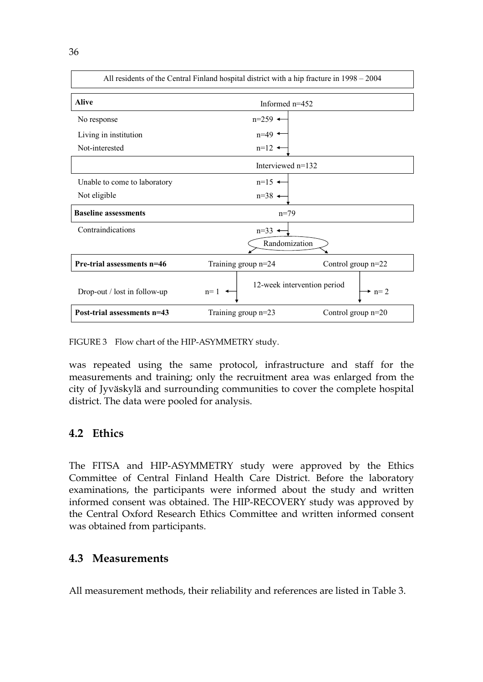| All residents of the Central Finland hospital district with a hip fracture in 1998 – 2004 |                                      |                      |  |  |  |  |  |  |  |
|-------------------------------------------------------------------------------------------|--------------------------------------|----------------------|--|--|--|--|--|--|--|
| <b>Alive</b>                                                                              | Informed n=452                       |                      |  |  |  |  |  |  |  |
| No response                                                                               | $n=259$ $\triangleleft$              |                      |  |  |  |  |  |  |  |
| Living in institution                                                                     | $n=49$ $\triangleleft$               |                      |  |  |  |  |  |  |  |
| Not-interested                                                                            | $n=12$ $\triangleleft$               |                      |  |  |  |  |  |  |  |
|                                                                                           | Interviewed $n=132$                  |                      |  |  |  |  |  |  |  |
| Unable to come to laboratory                                                              | $n=15$ $\rightarrow$                 |                      |  |  |  |  |  |  |  |
| Not eligible                                                                              | $n=38$ $\leftarrow$                  |                      |  |  |  |  |  |  |  |
| <b>Baseline assessments</b>                                                               | $n=79$                               |                      |  |  |  |  |  |  |  |
| Contraindications                                                                         | $n=33$ $\triangleleft$               |                      |  |  |  |  |  |  |  |
|                                                                                           | Randomization                        |                      |  |  |  |  |  |  |  |
| Pre-trial assessments n=46                                                                | Training group n=24                  | Control group $n=22$ |  |  |  |  |  |  |  |
| Drop-out / lost in follow-up                                                              | 12-week intervention period<br>$n=1$ | $\rightarrow$ n= 2   |  |  |  |  |  |  |  |
| Post-trial assessments n=43                                                               | Training group n=23                  | Control group $n=20$ |  |  |  |  |  |  |  |

FIGURE 3 Flow chart of the HIP-ASYMMETRY study.

was repeated using the same protocol, infrastructure and staff for the measurements and training; only the recruitment area was enlarged from the city of Jyväskylä and surrounding communities to cover the complete hospital district. The data were pooled for analysis.

## **4.2 Ethics**

The FITSA and HIP-ASYMMETRY study were approved by the Ethics Committee of Central Finland Health Care District. Before the laboratory examinations, the participants were informed about the study and written informed consent was obtained. The HIP-RECOVERY study was approved by the Central Oxford Research Ethics Committee and written informed consent was obtained from participants.

## **4.3 Measurements**

All measurement methods, their reliability and references are listed in Table 3.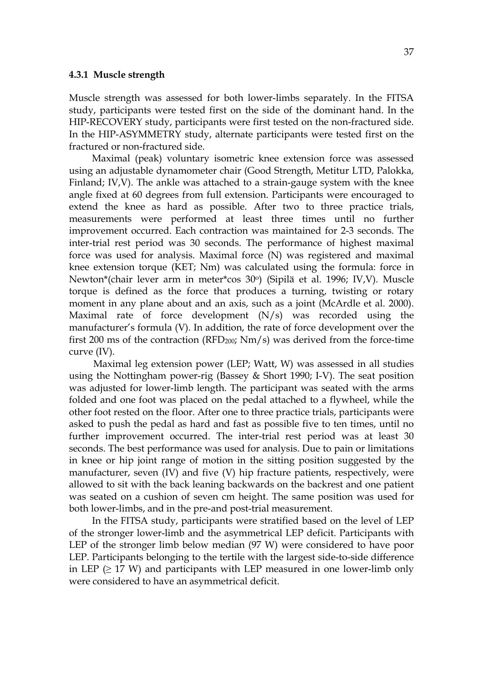#### **4.3.1 Muscle strength**

Muscle strength was assessed for both lower-limbs separately. In the FITSA study, participants were tested first on the side of the dominant hand. In the HIP-RECOVERY study, participants were first tested on the non-fractured side. In the HIP-ASYMMETRY study, alternate participants were tested first on the fractured or non-fractured side.

Maximal (peak) voluntary isometric knee extension force was assessed using an adjustable dynamometer chair (Good Strength, Metitur LTD, Palokka, Finland; IV,V). The ankle was attached to a strain-gauge system with the knee angle fixed at 60 degrees from full extension. Participants were encouraged to extend the knee as hard as possible. After two to three practice trials, measurements were performed at least three times until no further improvement occurred. Each contraction was maintained for 2-3 seconds. The inter-trial rest period was 30 seconds. The performance of highest maximal force was used for analysis. Maximal force (N) was registered and maximal knee extension torque (KET; Nm) was calculated using the formula: force in Newton\*(chair lever arm in meter\*cos 30o) (Sipilä et al. 1996; IV,V). Muscle torque is defined as the force that produces a turning, twisting or rotary moment in any plane about and an axis, such as a joint (McArdle et al. 2000). Maximal rate of force development (N/s) was recorded using the manufacturer's formula (V). In addition, the rate of force development over the first 200 ms of the contraction ( $RFD<sub>200</sub>$ ;  $Nm/s$ ) was derived from the force-time curve (IV).

 Maximal leg extension power (LEP; Watt, W) was assessed in all studies using the Nottingham power-rig (Bassey & Short 1990; I-V). The seat position was adjusted for lower-limb length. The participant was seated with the arms folded and one foot was placed on the pedal attached to a flywheel, while the other foot rested on the floor. After one to three practice trials, participants were asked to push the pedal as hard and fast as possible five to ten times, until no further improvement occurred. The inter-trial rest period was at least 30 seconds. The best performance was used for analysis. Due to pain or limitations in knee or hip joint range of motion in the sitting position suggested by the manufacturer, seven (IV) and five (V) hip fracture patients, respectively, were allowed to sit with the back leaning backwards on the backrest and one patient was seated on a cushion of seven cm height. The same position was used for both lower-limbs, and in the pre-and post-trial measurement.

In the FITSA study, participants were stratified based on the level of LEP of the stronger lower-limb and the asymmetrical LEP deficit. Participants with LEP of the stronger limb below median (97 W) were considered to have poor LEP. Participants belonging to the tertile with the largest side-to-side difference in LEP  $(\geq 17 \text{ W})$  and participants with LEP measured in one lower-limb only were considered to have an asymmetrical deficit.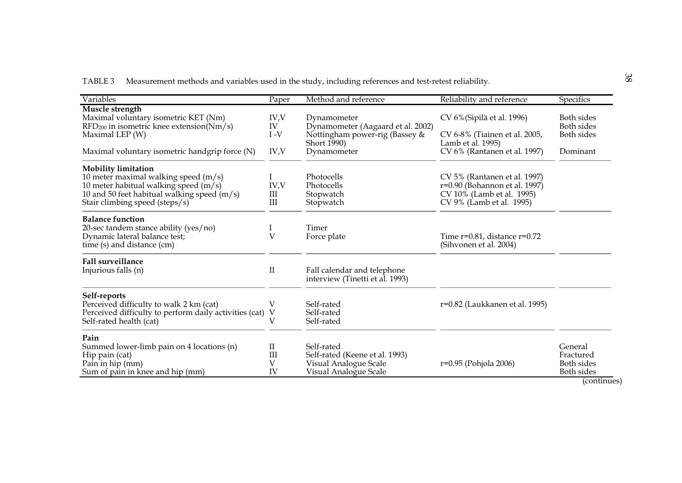TABLE 3 Measurement methods and variables used in the study, including references and test-retest reliability.

| Variables                                                       | Paper          | Method and reference              | Reliability and reference         | Specifics         |
|-----------------------------------------------------------------|----------------|-----------------------------------|-----------------------------------|-------------------|
| Muscle strength                                                 |                |                                   |                                   |                   |
| Maximal voluntary isometric KET (Nm)                            | IV,V           | Dynamometer                       | CV 6% (Sipilä et al. 1996)        | Both sides        |
| $\text{RFD}_{200}$ in isometric knee extension( $\text{Nm/s}$ ) | IV             | Dynamometer (Aagaard et al. 2002) |                                   | Both sides        |
| Maximal LEP (W)                                                 | $I - V$        | Nottingham power-rig (Bassey &    | CV 6-8% (Tiainen et al. 2005,     | Both sides        |
|                                                                 |                | Short 1990)                       | Lamb et al. 1995)                 |                   |
| Maximal voluntary isometric handgrip force (N)                  | IV, V          | Dynamometer                       | CV 6% (Rantanen et al. 1997)      | Dominant          |
| <b>Mobility limitation</b>                                      |                |                                   |                                   |                   |
| 10 meter maximal walking speed (m/s)                            | I              | Photocells                        | CV 5% (Rantanen et al. 1997)      |                   |
| 10 meter habitual walking speed (m/s)                           | IV, V          | Photocells                        | r=0.90 (Bohannon et al. 1997)     |                   |
| 10 and 50 feet habitual walking speed $(m/s)$                   | III            | Stopwatch                         | CV 10% (Lamb et al. 1995)         |                   |
| Stair climbing speed (steps/s)                                  | III            | Stopwatch                         | CV 9% (Lamb et al. 1995)          |                   |
| <b>Balance function</b>                                         |                |                                   |                                   |                   |
| 20-sec tandem stance ability (yes/no)                           | $\mathbf{I}$   | Timer                             |                                   |                   |
| Dynamic lateral balance test;                                   | $\overline{V}$ | Force plate                       | Time $r=0.81$ , distance $r=0.72$ |                   |
| time (s) and distance (cm)                                      |                |                                   | (Sihvonen et al. 2004)            |                   |
| <b>Fall surveillance</b>                                        |                |                                   |                                   |                   |
| Injurious falls (n)                                             | $\rm II$       | Fall calendar and telephone       |                                   |                   |
|                                                                 |                | interview (Tinetti et al. 1993)   |                                   |                   |
| Self-reports                                                    |                |                                   |                                   |                   |
| Perceived difficulty to walk 2 km (cat)                         | V              | Self-rated                        | r=0.82 (Laukkanen et al. 1995)    |                   |
| Perceived difficulty to perform daily activities (cat)          | V              | Self-rated                        |                                   |                   |
| Self-rated health (cat)                                         | V              | Self-rated                        |                                   |                   |
| Pain                                                            |                |                                   |                                   |                   |
| Summed lower-limb pain on 4 locations (n)                       | $\rm II$       | Self-rated                        |                                   | General           |
| Hip pain (cat)                                                  | III            | Self-rated (Keene et al. 1993)    |                                   | Fractured         |
| Pain in hip (mm)                                                | V              | Visual Analogue Scale             | r=0.95 (Pohjola 2006)             | Both sides        |
| Sum of pain in knee and hip (mm)                                | IV             | Visual Analogue Scale             |                                   | <b>Both sides</b> |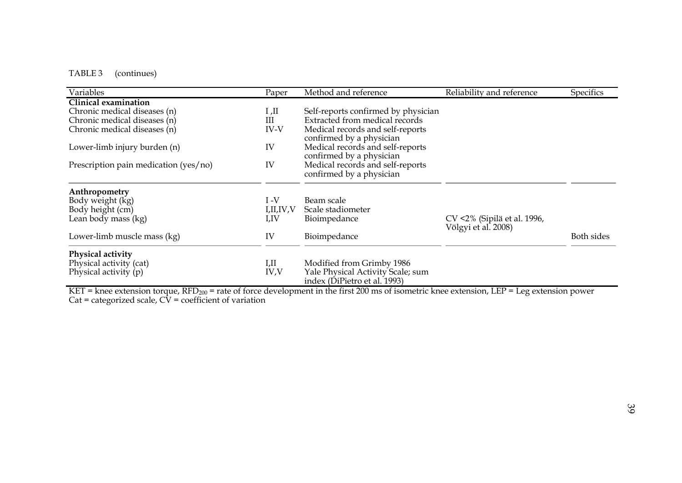## TABLE 3 (continues)

| <b>Variables</b>                      | Paper     | Method and reference                                              | Reliability and reference                          | <b>Specifics</b> |
|---------------------------------------|-----------|-------------------------------------------------------------------|----------------------------------------------------|------------------|
| Clinical examination                  |           |                                                                   |                                                    |                  |
| Chronic medical diseases (n)          | II, I     | Self-reports confirmed by physician                               |                                                    |                  |
| Chronic medical diseases (n)          | III       | Extracted from medical records                                    |                                                    |                  |
| Chronic medical diseases (n)          | IV-V      | Medical records and self-reports<br>confirmed by a physician      |                                                    |                  |
| Lower-limb injury burden (n)          | IV        | Medical records and self-reports<br>confirmed by a physician      |                                                    |                  |
| Prescription pain medication (yes/no) | IV        | Medical records and self-reports<br>confirmed by a physician      |                                                    |                  |
| Anthropometry                         |           |                                                                   |                                                    |                  |
| Body weight (kg)                      | $I - V$   | Beam scale                                                        |                                                    |                  |
| Body height (cm)                      | I,II,IV,V | Scale stadiometer                                                 |                                                    |                  |
| Lean body mass (kg)                   | I,IV      | Bioimpedance                                                      | CV <2% (Sipilä et al. 1996,<br>Völgyi et al. 2008) |                  |
| Lower-limb muscle mass (kg)           | IV        | Bioimpedance                                                      |                                                    | Both sides       |
| Physical activity                     |           |                                                                   |                                                    |                  |
| Physical activity (cat)               | I,II      | Modified from Grimby 1986                                         |                                                    |                  |
| Physical activity $(p)$               | IV, V     | Yale Physical Activity Scale; sum<br>index (DiPietro et al. 1993) |                                                    |                  |

KET = knee extension torque, RFD $_{200}$  = rate of force development in the first 200 ms of isometric knee extension, LEP = Leg extension power Cat = categorized scale,  $C\bar{V}$  = coefficient of variation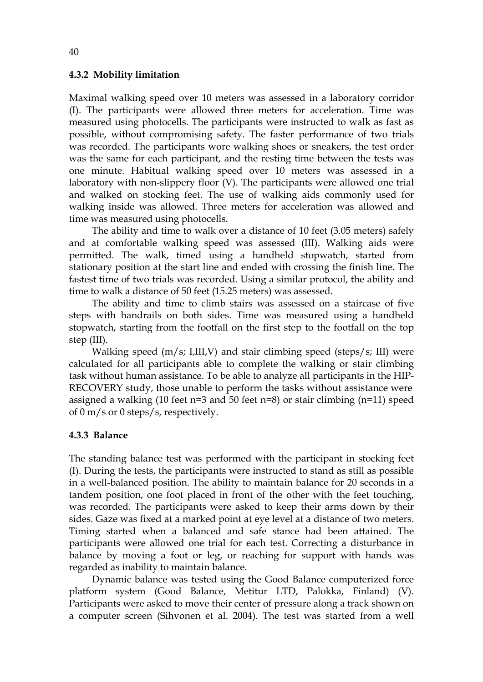#### **4.3.2 Mobility limitation**

Maximal walking speed over 10 meters was assessed in a laboratory corridor (I). The participants were allowed three meters for acceleration. Time was measured using photocells. The participants were instructed to walk as fast as possible, without compromising safety. The faster performance of two trials was recorded. The participants wore walking shoes or sneakers, the test order was the same for each participant, and the resting time between the tests was one minute. Habitual walking speed over 10 meters was assessed in a laboratory with non-slippery floor (V). The participants were allowed one trial and walked on stocking feet. The use of walking aids commonly used for walking inside was allowed. Three meters for acceleration was allowed and time was measured using photocells.

The ability and time to walk over a distance of 10 feet (3.05 meters) safely and at comfortable walking speed was assessed (III). Walking aids were permitted. The walk, timed using a handheld stopwatch, started from stationary position at the start line and ended with crossing the finish line. The fastest time of two trials was recorded. Using a similar protocol, the ability and time to walk a distance of 50 feet (15.25 meters) was assessed.

The ability and time to climb stairs was assessed on a staircase of five steps with handrails on both sides. Time was measured using a handheld stopwatch, starting from the footfall on the first step to the footfall on the top step (III).

Walking speed (m/s; I,III,V) and stair climbing speed (steps/s; III) were calculated for all participants able to complete the walking or stair climbing task without human assistance. To be able to analyze all participants in the HIP-RECOVERY study, those unable to perform the tasks without assistance were assigned a walking (10 feet  $n=3$  and 50 feet  $n=8$ ) or stair climbing ( $n=11$ ) speed of 0 m/s or 0 steps/s, respectively.

## **4.3.3 Balance**

The standing balance test was performed with the participant in stocking feet (I). During the tests, the participants were instructed to stand as still as possible in a well-balanced position. The ability to maintain balance for 20 seconds in a tandem position, one foot placed in front of the other with the feet touching, was recorded. The participants were asked to keep their arms down by their sides. Gaze was fixed at a marked point at eye level at a distance of two meters. Timing started when a balanced and safe stance had been attained. The participants were allowed one trial for each test. Correcting a disturbance in balance by moving a foot or leg, or reaching for support with hands was regarded as inability to maintain balance.

Dynamic balance was tested using the Good Balance computerized force platform system (Good Balance, Metitur LTD, Palokka, Finland) (V). Participants were asked to move their center of pressure along a track shown on a computer screen (Sihvonen et al. 2004). The test was started from a well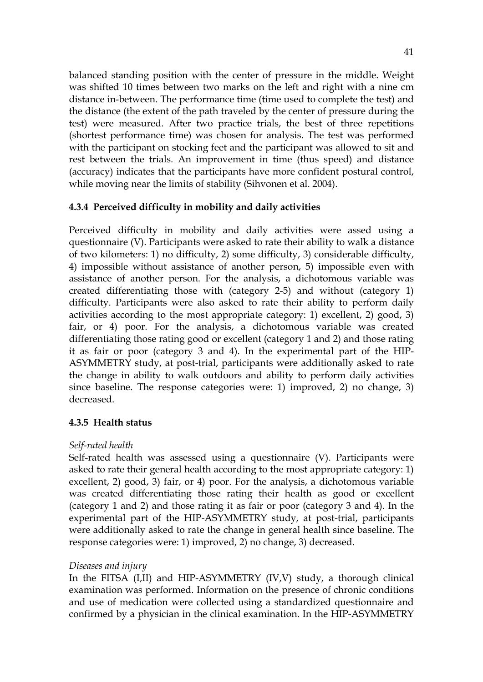balanced standing position with the center of pressure in the middle. Weight was shifted 10 times between two marks on the left and right with a nine cm distance in-between. The performance time (time used to complete the test) and the distance (the extent of the path traveled by the center of pressure during the test) were measured. After two practice trials, the best of three repetitions (shortest performance time) was chosen for analysis. The test was performed with the participant on stocking feet and the participant was allowed to sit and rest between the trials. An improvement in time (thus speed) and distance (accuracy) indicates that the participants have more confident postural control, while moving near the limits of stability (Sihvonen et al. 2004).

## **4.3.4 Perceived difficulty in mobility and daily activities**

Perceived difficulty in mobility and daily activities were assed using a questionnaire (V). Participants were asked to rate their ability to walk a distance of two kilometers: 1) no difficulty, 2) some difficulty, 3) considerable difficulty, 4) impossible without assistance of another person, 5) impossible even with assistance of another person. For the analysis, a dichotomous variable was created differentiating those with (category 2-5) and without (category 1) difficulty. Participants were also asked to rate their ability to perform daily activities according to the most appropriate category: 1) excellent, 2) good, 3) fair, or 4) poor. For the analysis, a dichotomous variable was created differentiating those rating good or excellent (category 1 and 2) and those rating it as fair or poor (category 3 and 4). In the experimental part of the HIP-ASYMMETRY study, at post-trial, participants were additionally asked to rate the change in ability to walk outdoors and ability to perform daily activities since baseline. The response categories were: 1) improved, 2) no change, 3) decreased.

## **4.3.5 Health status**

## *Self-rated health*

Self-rated health was assessed using a questionnaire (V). Participants were asked to rate their general health according to the most appropriate category: 1) excellent, 2) good, 3) fair, or 4) poor. For the analysis, a dichotomous variable was created differentiating those rating their health as good or excellent (category 1 and 2) and those rating it as fair or poor (category 3 and 4). In the experimental part of the HIP-ASYMMETRY study, at post-trial, participants were additionally asked to rate the change in general health since baseline. The response categories were: 1) improved, 2) no change, 3) decreased.

## *Diseases and injury*

In the FITSA (I,II) and HIP-ASYMMETRY (IV,V) study, a thorough clinical examination was performed. Information on the presence of chronic conditions and use of medication were collected using a standardized questionnaire and confirmed by a physician in the clinical examination. In the HIP-ASYMMETRY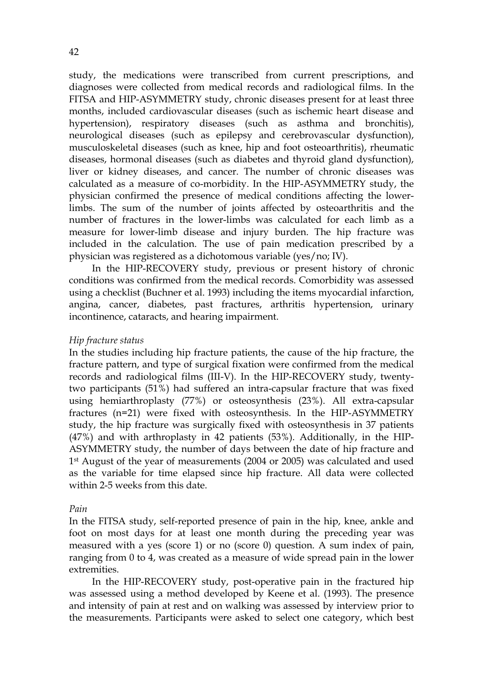study, the medications were transcribed from current prescriptions, and diagnoses were collected from medical records and radiological films. In the FITSA and HIP-ASYMMETRY study, chronic diseases present for at least three months, included cardiovascular diseases (such as ischemic heart disease and hypertension), respiratory diseases (such as asthma and bronchitis), neurological diseases (such as epilepsy and cerebrovascular dysfunction), musculoskeletal diseases (such as knee, hip and foot osteoarthritis), rheumatic diseases, hormonal diseases (such as diabetes and thyroid gland dysfunction), liver or kidney diseases, and cancer. The number of chronic diseases was calculated as a measure of co-morbidity. In the HIP-ASYMMETRY study, the physician confirmed the presence of medical conditions affecting the lowerlimbs. The sum of the number of joints affected by osteoarthritis and the number of fractures in the lower-limbs was calculated for each limb as a measure for lower-limb disease and injury burden. The hip fracture was included in the calculation. The use of pain medication prescribed by a physician was registered as a dichotomous variable (yes/no; IV).

In the HIP-RECOVERY study, previous or present history of chronic conditions was confirmed from the medical records. Comorbidity was assessed using a checklist (Buchner et al. 1993) including the items myocardial infarction, angina, cancer, diabetes, past fractures, arthritis hypertension, urinary incontinence, cataracts, and hearing impairment.

## *Hip fracture status*

In the studies including hip fracture patients, the cause of the hip fracture, the fracture pattern, and type of surgical fixation were confirmed from the medical records and radiological films (III-V). In the HIP-RECOVERY study, twentytwo participants (51%) had suffered an intra-capsular fracture that was fixed using hemiarthroplasty (77%) or osteosynthesis (23%). All extra-capsular fractures (n=21) were fixed with osteosynthesis. In the HIP-ASYMMETRY study, the hip fracture was surgically fixed with osteosynthesis in 37 patients (47%) and with arthroplasty in 42 patients (53%). Additionally, in the HIP-ASYMMETRY study, the number of days between the date of hip fracture and 1st August of the year of measurements (2004 or 2005) was calculated and used as the variable for time elapsed since hip fracture. All data were collected within 2-5 weeks from this date.

## *Pain*

In the FITSA study, self-reported presence of pain in the hip, knee, ankle and foot on most days for at least one month during the preceding year was measured with a yes (score 1) or no (score 0) question. A sum index of pain, ranging from 0 to 4, was created as a measure of wide spread pain in the lower extremities.

In the HIP-RECOVERY study, post-operative pain in the fractured hip was assessed using a method developed by Keene et al. (1993). The presence and intensity of pain at rest and on walking was assessed by interview prior to the measurements. Participants were asked to select one category, which best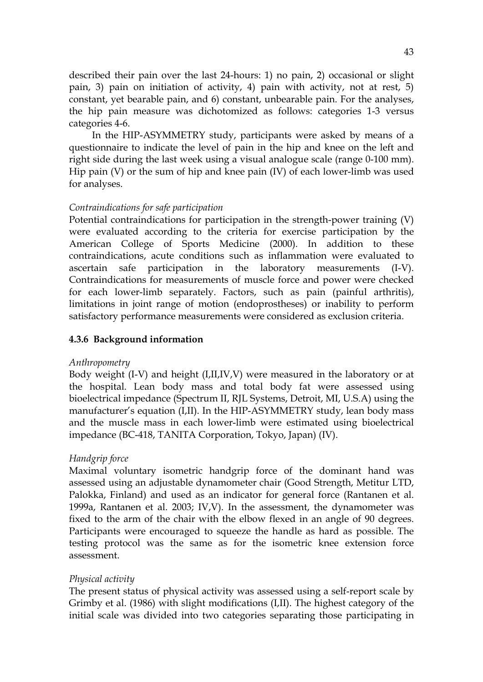described their pain over the last 24-hours: 1) no pain, 2) occasional or slight pain, 3) pain on initiation of activity, 4) pain with activity, not at rest, 5) constant, yet bearable pain, and 6) constant, unbearable pain. For the analyses, the hip pain measure was dichotomized as follows: categories 1-3 versus categories 4-6.

In the HIP-ASYMMETRY study, participants were asked by means of a questionnaire to indicate the level of pain in the hip and knee on the left and right side during the last week using a visual analogue scale (range 0-100 mm). Hip pain (V) or the sum of hip and knee pain (IV) of each lower-limb was used for analyses.

## *Contraindications for safe participation*

Potential contraindications for participation in the strength-power training (V) were evaluated according to the criteria for exercise participation by the American College of Sports Medicine (2000). In addition to these contraindications, acute conditions such as inflammation were evaluated to ascertain safe participation in the laboratory measurements (I-V). Contraindications for measurements of muscle force and power were checked for each lower-limb separately. Factors, such as pain (painful arthritis), limitations in joint range of motion (endoprostheses) or inability to perform satisfactory performance measurements were considered as exclusion criteria.

## **4.3.6 Background information**

## *Anthropometry*

Body weight (I-V) and height (I,II,IV,V) were measured in the laboratory or at the hospital. Lean body mass and total body fat were assessed using bioelectrical impedance (Spectrum II, RJL Systems, Detroit, MI, U.S.A) using the manufacturer's equation (I,II). In the HIP-ASYMMETRY study, lean body mass and the muscle mass in each lower-limb were estimated using bioelectrical impedance (BC-418, TANITA Corporation, Tokyo, Japan) (IV).

## *Handgrip force*

Maximal voluntary isometric handgrip force of the dominant hand was assessed using an adjustable dynamometer chair (Good Strength, Metitur LTD, Palokka, Finland) and used as an indicator for general force (Rantanen et al. 1999a, Rantanen et al. 2003; IV,V). In the assessment, the dynamometer was fixed to the arm of the chair with the elbow flexed in an angle of 90 degrees. Participants were encouraged to squeeze the handle as hard as possible. The testing protocol was the same as for the isometric knee extension force assessment.

## *Physical activity*

The present status of physical activity was assessed using a self-report scale by Grimby et al. (1986) with slight modifications (I,II). The highest category of the initial scale was divided into two categories separating those participating in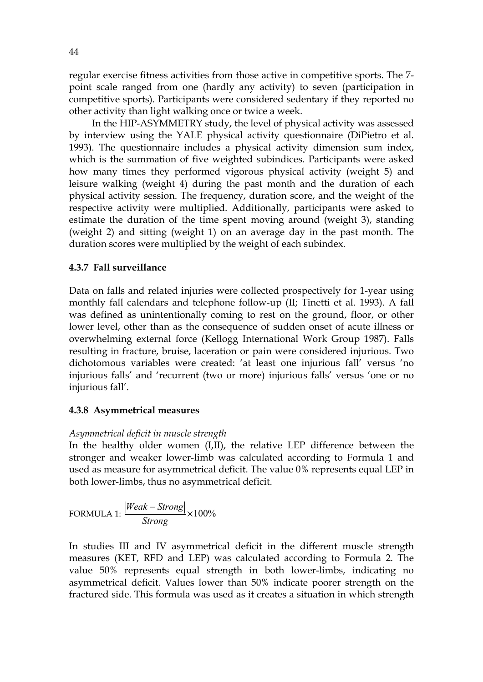regular exercise fitness activities from those active in competitive sports. The 7 point scale ranged from one (hardly any activity) to seven (participation in competitive sports). Participants were considered sedentary if they reported no other activity than light walking once or twice a week.

In the HIP-ASYMMETRY study, the level of physical activity was assessed by interview using the YALE physical activity questionnaire (DiPietro et al. 1993). The questionnaire includes a physical activity dimension sum index, which is the summation of five weighted subindices. Participants were asked how many times they performed vigorous physical activity (weight 5) and leisure walking (weight 4) during the past month and the duration of each physical activity session. The frequency, duration score, and the weight of the respective activity were multiplied. Additionally, participants were asked to estimate the duration of the time spent moving around (weight 3), standing (weight 2) and sitting (weight 1) on an average day in the past month. The duration scores were multiplied by the weight of each subindex.

## **4.3.7 Fall surveillance**

Data on falls and related injuries were collected prospectively for 1-year using monthly fall calendars and telephone follow-up (II; Tinetti et al. 1993). A fall was defined as unintentionally coming to rest on the ground, floor, or other lower level, other than as the consequence of sudden onset of acute illness or overwhelming external force (Kellogg International Work Group 1987). Falls resulting in fracture, bruise, laceration or pain were considered injurious. Two dichotomous variables were created: 'at least one injurious fall' versus 'no injurious falls' and 'recurrent (two or more) injurious falls' versus 'one or no injurious fall'.

## **4.3.8 Asymmetrical measures**

## *Asymmetrical deficit in muscle strength*

In the healthy older women (I,II), the relative LEP difference between the stronger and weaker lower-limb was calculated according to Formula 1 and used as measure for asymmetrical deficit. The value 0% represents equal LEP in both lower-limbs, thus no asymmetrical deficit.

FORMULA 1: 
$$
\frac{|Weak - Strong|}{Strong} \times 100\%
$$

In studies III and IV asymmetrical deficit in the different muscle strength measures (KET, RFD and LEP) was calculated according to Formula 2. The value 50% represents equal strength in both lower-limbs, indicating no asymmetrical deficit. Values lower than 50% indicate poorer strength on the fractured side. This formula was used as it creates a situation in which strength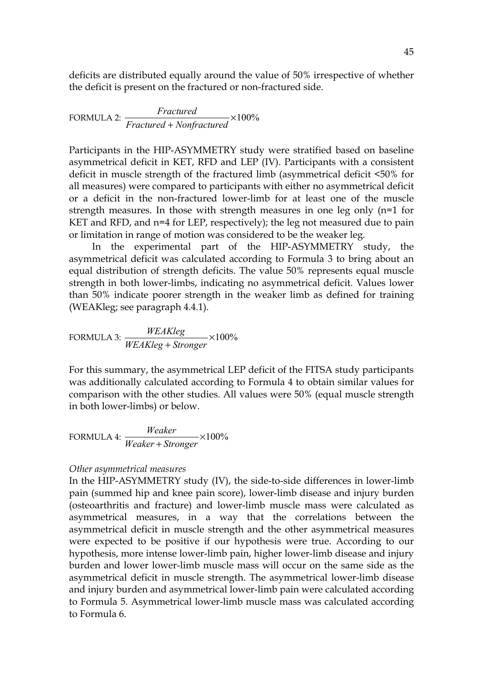deficits are distributed equally around the value of 50% irrespective of whether the deficit is present on the fractured or non-fractured side.

FORMULA 2: 
$$
\frac{Fractured}{Fractured + Nonfractured} \times 100\%
$$

Participants in the HIP-ASYMMETRY study were stratified based on baseline asymmetrical deficit in KET, RFD and LEP (IV). Participants with a consistent deficit in muscle strength of the fractured limb (asymmetrical deficit <50% for all measures) were compared to participants with either no asymmetrical deficit or a deficit in the non-fractured lower-limb for at least one of the muscle strength measures. In those with strength measures in one leg only (n=1 for KET and RFD, and n=4 for LEP, respectively); the leg not measured due to pain or limitation in range of motion was considered to be the weaker leg.

In the experimental part of the HIP-ASYMMETRY study, the asymmetrical deficit was calculated according to Formula 3 to bring about an equal distribution of strength deficits. The value 50% represents equal muscle strength in both lower-limbs, indicating no asymmetrical deficit. Values lower than 50% indicate poorer strength in the weaker limb as defined for training (WEAKleg; see paragraph 4.4.1).

FORMULA 3: 
$$
\frac{WEAKleg}{WEAKleg + Stronger} \times 100\%
$$

For this summary, the asymmetrical LEP deficit of the FITSA study participants was additionally calculated according to Formula 4 to obtain similar values for comparison with the other studies. All values were 50% (equal muscle strength in both lower-limbs) or below.

FORMULA 4: 
$$
\frac{Weather}{Weather + Stronger} \times 100\%
$$

#### *Other asymmetrical measures*

In the HIP-ASYMMETRY study (IV), the side-to-side differences in lower-limb pain (summed hip and knee pain score), lower-limb disease and injury burden (osteoarthritis and fracture) and lower-limb muscle mass were calculated as asymmetrical measures, in a way that the correlations between the asymmetrical deficit in muscle strength and the other asymmetrical measures were expected to be positive if our hypothesis were true. According to our hypothesis, more intense lower-limb pain, higher lower-limb disease and injury burden and lower lower-limb muscle mass will occur on the same side as the asymmetrical deficit in muscle strength. The asymmetrical lower-limb disease and injury burden and asymmetrical lower-limb pain were calculated according to Formula 5. Asymmetrical lower-limb muscle mass was calculated according to Formula 6.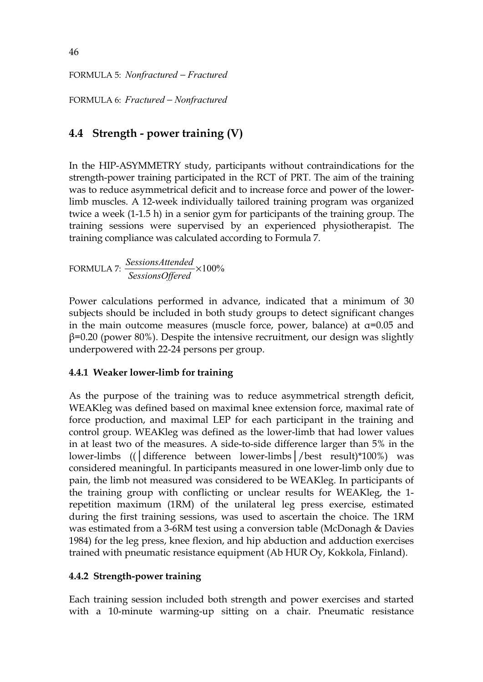FORMULA 5: *Nonfractured* − *Fractured*

FORMULA 6: *Fractured* − *Nonfractured*

# **4.4 Strength - power training (V)**

In the HIP-ASYMMETRY study, participants without contraindications for the strength-power training participated in the RCT of PRT. The aim of the training was to reduce asymmetrical deficit and to increase force and power of the lowerlimb muscles. A 12-week individually tailored training program was organized twice a week (1-1.5 h) in a senior gym for participants of the training group. The training sessions were supervised by an experienced physiotherapist. The training compliance was calculated according to Formula 7.

FORMULA 7: ×100% *SessionsOffered SessionsAttended*

Power calculations performed in advance, indicated that a minimum of 30 subjects should be included in both study groups to detect significant changes in the main outcome measures (muscle force, power, balance) at  $\alpha$ =0.05 and  $\beta$ =0.20 (power 80%). Despite the intensive recruitment, our design was slightly underpowered with 22-24 persons per group.

## **4.4.1 Weaker lower-limb for training**

As the purpose of the training was to reduce asymmetrical strength deficit, WEAKleg was defined based on maximal knee extension force, maximal rate of force production, and maximal LEP for each participant in the training and control group. WEAKleg was defined as the lower-limb that had lower values in at least two of the measures. A side-to-side difference larger than 5% in the lower-limbs ((│difference between lower-limbs│/best result)\*100%) was considered meaningful. In participants measured in one lower-limb only due to pain, the limb not measured was considered to be WEAKleg. In participants of the training group with conflicting or unclear results for WEAKleg, the 1 repetition maximum (1RM) of the unilateral leg press exercise, estimated during the first training sessions, was used to ascertain the choice. The 1RM was estimated from a 3-6RM test using a conversion table (McDonagh & Davies 1984) for the leg press, knee flexion, and hip abduction and adduction exercises trained with pneumatic resistance equipment (Ab HUR Oy, Kokkola, Finland).

## **4.4.2 Strength-power training**

Each training session included both strength and power exercises and started with a 10-minute warming-up sitting on a chair. Pneumatic resistance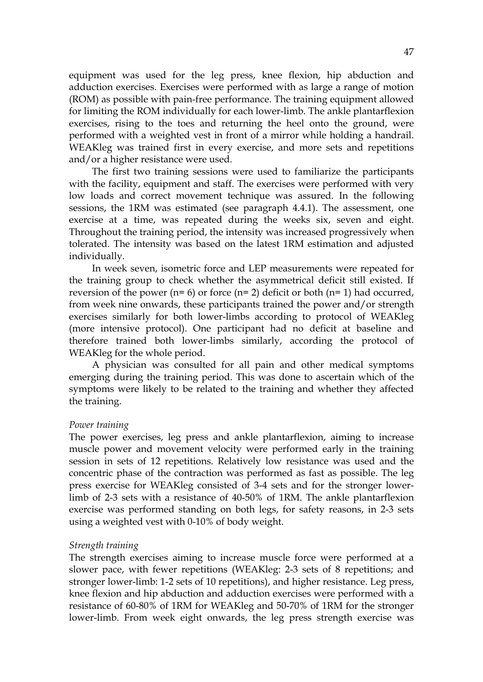equipment was used for the leg press, knee flexion, hip abduction and adduction exercises. Exercises were performed with as large a range of motion (ROM) as possible with pain-free performance. The training equipment allowed for limiting the ROM individually for each lower-limb. The ankle plantarflexion exercises, rising to the toes and returning the heel onto the ground, were performed with a weighted vest in front of a mirror while holding a handrail. WEAKleg was trained first in every exercise, and more sets and repetitions and/or a higher resistance were used.

The first two training sessions were used to familiarize the participants with the facility, equipment and staff. The exercises were performed with very low loads and correct movement technique was assured. In the following sessions, the 1RM was estimated (see paragraph 4.4.1). The assessment, one exercise at a time, was repeated during the weeks six, seven and eight. Throughout the training period, the intensity was increased progressively when tolerated. The intensity was based on the latest 1RM estimation and adjusted individually.

In week seven, isometric force and LEP measurements were repeated for the training group to check whether the asymmetrical deficit still existed. If reversion of the power ( $n= 6$ ) or force ( $n= 2$ ) deficit or both ( $n= 1$ ) had occurred, from week nine onwards, these participants trained the power and/or strength exercises similarly for both lower-limbs according to protocol of WEAKleg (more intensive protocol). One participant had no deficit at baseline and therefore trained both lower-limbs similarly, according the protocol of WEAKleg for the whole period.

A physician was consulted for all pain and other medical symptoms emerging during the training period. This was done to ascertain which of the symptoms were likely to be related to the training and whether they affected the training.

#### *Power training*

The power exercises, leg press and ankle plantarflexion, aiming to increase muscle power and movement velocity were performed early in the training session in sets of 12 repetitions. Relatively low resistance was used and the concentric phase of the contraction was performed as fast as possible. The leg press exercise for WEAKleg consisted of 3-4 sets and for the stronger lowerlimb of 2-3 sets with a resistance of 40-50% of 1RM. The ankle plantarflexion exercise was performed standing on both legs, for safety reasons, in 2-3 sets using a weighted vest with 0-10% of body weight.

#### *Strength training*

The strength exercises aiming to increase muscle force were performed at a slower pace, with fewer repetitions (WEAKleg: 2-3 sets of 8 repetitions; and stronger lower-limb: 1-2 sets of 10 repetitions), and higher resistance. Leg press, knee flexion and hip abduction and adduction exercises were performed with a resistance of 60-80% of 1RM for WEAKleg and 50-70% of 1RM for the stronger lower-limb. From week eight onwards, the leg press strength exercise was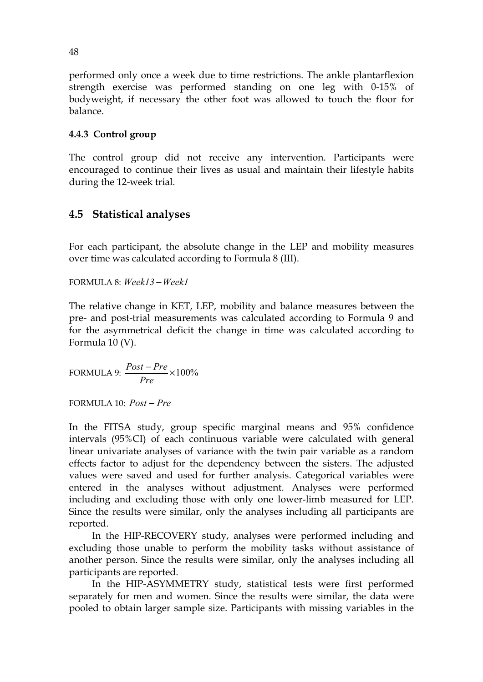performed only once a week due to time restrictions. The ankle plantarflexion strength exercise was performed standing on one leg with 0-15% of bodyweight, if necessary the other foot was allowed to touch the floor for balance.

## **4.4.3 Control group**

The control group did not receive any intervention. Participants were encouraged to continue their lives as usual and maintain their lifestyle habits during the 12-week trial.

## **4.5 Statistical analyses**

For each participant, the absolute change in the LEP and mobility measures over time was calculated according to Formula 8 (III).

FORMULA 8: *Week13* −*Week1*

The relative change in KET, LEP, mobility and balance measures between the pre- and post-trial measurements was calculated according to Formula 9 and for the asymmetrical deficit the change in time was calculated according to Formula 10 (V).

FORMULA 9: 
$$
\frac{Post - Pre}{Pre} \times 100\%
$$

FORMULA 10: *Post* − *Pre*

In the FITSA study, group specific marginal means and 95% confidence intervals (95%CI) of each continuous variable were calculated with general linear univariate analyses of variance with the twin pair variable as a random effects factor to adjust for the dependency between the sisters. The adjusted values were saved and used for further analysis. Categorical variables were entered in the analyses without adjustment. Analyses were performed including and excluding those with only one lower-limb measured for LEP. Since the results were similar, only the analyses including all participants are reported.

In the HIP-RECOVERY study, analyses were performed including and excluding those unable to perform the mobility tasks without assistance of another person. Since the results were similar, only the analyses including all participants are reported.

In the HIP-ASYMMETRY study, statistical tests were first performed separately for men and women. Since the results were similar, the data were pooled to obtain larger sample size. Participants with missing variables in the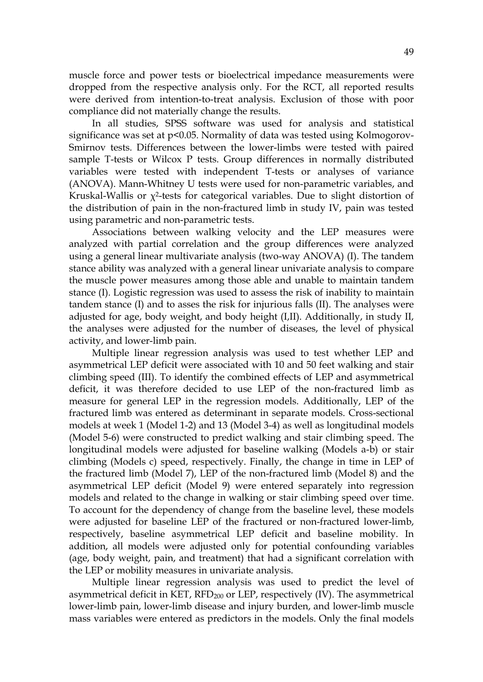muscle force and power tests or bioelectrical impedance measurements were dropped from the respective analysis only. For the RCT, all reported results were derived from intention-to-treat analysis. Exclusion of those with poor compliance did not materially change the results.

In all studies, SPSS software was used for analysis and statistical significance was set at p<0.05. Normality of data was tested using Kolmogorov-Smirnov tests. Differences between the lower-limbs were tested with paired sample T-tests or Wilcox P tests. Group differences in normally distributed variables were tested with independent T-tests or analyses of variance (ANOVA). Mann-Whitney U tests were used for non-parametric variables, and Kruskal-Wallis or  $\chi^2$ -tests for categorical variables. Due to slight distortion of the distribution of pain in the non-fractured limb in study IV, pain was tested using parametric and non-parametric tests.

Associations between walking velocity and the LEP measures were analyzed with partial correlation and the group differences were analyzed using a general linear multivariate analysis (two-way ANOVA) (I). The tandem stance ability was analyzed with a general linear univariate analysis to compare the muscle power measures among those able and unable to maintain tandem stance (I). Logistic regression was used to assess the risk of inability to maintain tandem stance (I) and to asses the risk for injurious falls (II). The analyses were adjusted for age, body weight, and body height (I,II). Additionally, in study II, the analyses were adjusted for the number of diseases, the level of physical activity, and lower-limb pain.

Multiple linear regression analysis was used to test whether LEP and asymmetrical LEP deficit were associated with 10 and 50 feet walking and stair climbing speed (III). To identify the combined effects of LEP and asymmetrical deficit, it was therefore decided to use LEP of the non-fractured limb as measure for general LEP in the regression models. Additionally, LEP of the fractured limb was entered as determinant in separate models. Cross-sectional models at week 1 (Model 1-2) and 13 (Model 3-4) as well as longitudinal models (Model 5-6) were constructed to predict walking and stair climbing speed. The longitudinal models were adjusted for baseline walking (Models a-b) or stair climbing (Models c) speed, respectively. Finally, the change in time in LEP of the fractured limb (Model 7), LEP of the non-fractured limb (Model 8) and the asymmetrical LEP deficit (Model 9) were entered separately into regression models and related to the change in walking or stair climbing speed over time. To account for the dependency of change from the baseline level, these models were adjusted for baseline LEP of the fractured or non-fractured lower-limb, respectively, baseline asymmetrical LEP deficit and baseline mobility. In addition, all models were adjusted only for potential confounding variables (age, body weight, pain, and treatment) that had a significant correlation with the LEP or mobility measures in univariate analysis.

Multiple linear regression analysis was used to predict the level of asymmetrical deficit in KET,  $RFD_{200}$  or LEP, respectively (IV). The asymmetrical lower-limb pain, lower-limb disease and injury burden, and lower-limb muscle mass variables were entered as predictors in the models. Only the final models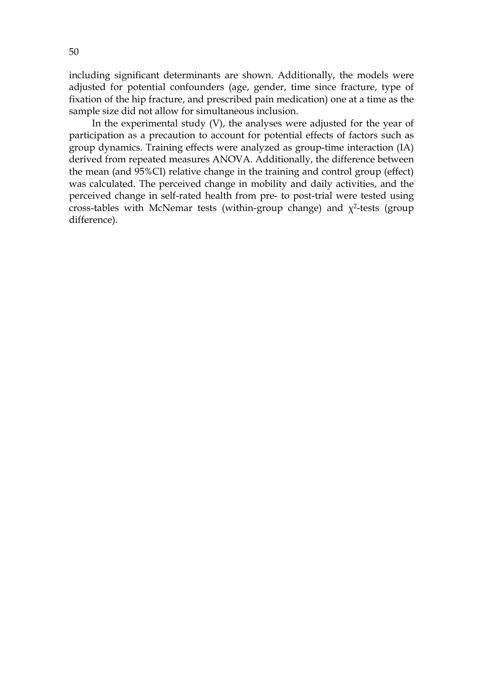including significant determinants are shown. Additionally, the models were adjusted for potential confounders (age, gender, time since fracture, type of fixation of the hip fracture, and prescribed pain medication) one at a time as the sample size did not allow for simultaneous inclusion.

In the experimental study (V), the analyses were adjusted for the year of participation as a precaution to account for potential effects of factors such as group dynamics. Training effects were analyzed as group-time interaction (IA) derived from repeated measures ANOVA. Additionally, the difference between the mean (and 95%CI) relative change in the training and control group (effect) was calculated. The perceived change in mobility and daily activities, and the perceived change in self-rated health from pre- to post-trial were tested using cross-tables with McNemar tests (within-group change) and  $\chi^2$ -tests (group difference).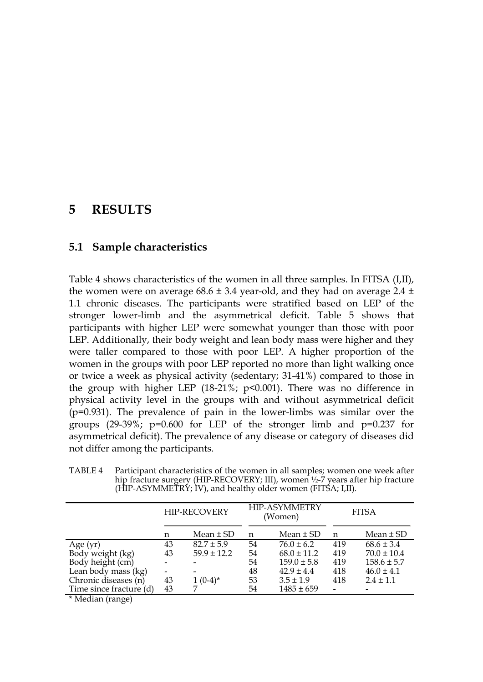# **5 RESULTS**

## **5.1 Sample characteristics**

Table 4 shows characteristics of the women in all three samples. In FITSA (I,II), the women were on average  $68.6 \pm 3.4$  year-old, and they had on average 2.4  $\pm$ 1.1 chronic diseases. The participants were stratified based on LEP of the stronger lower-limb and the asymmetrical deficit. Table 5 shows that participants with higher LEP were somewhat younger than those with poor LEP. Additionally, their body weight and lean body mass were higher and they were taller compared to those with poor LEP. A higher proportion of the women in the groups with poor LEP reported no more than light walking once or twice a week as physical activity (sedentary; 31-41%) compared to those in the group with higher LEP (18-21%; p<0.001). There was no difference in physical activity level in the groups with and without asymmetrical deficit (p=0.931). The prevalence of pain in the lower-limbs was similar over the groups  $(29-39\%)$ ; p=0.600 for LEP of the stronger limb and p=0.237 for asymmetrical deficit). The prevalence of any disease or category of diseases did not differ among the participants.

TABLE 4 Participant characteristics of the women in all samples; women one week after hip fracture surgery (HIP-RECOVERY; III), women ½-7 years after hip fracture  $(HIP-ASYMMETRY; IV)$ , and healthy older women (FITSA; I,II).

|                         | HIP-RECOVERY |                 |    | <b>HIP-ASYMMETRY</b><br>(Women) | <b>FITSA</b> |                 |
|-------------------------|--------------|-----------------|----|---------------------------------|--------------|-----------------|
|                         | n            | Mean $\pm$ SD   | n  | Mean $\pm$ SD                   | n            | $Mean \pm SD$   |
| Age (yr)                | 43           | $82.7 \pm 5.9$  | 54 | $76.0 \pm 6.2$                  | 419          | $68.6 \pm 3.4$  |
| Body weight (kg)        | 43           | $59.9 \pm 12.2$ | 54 | $68.0 \pm 11.2$                 | 419          | $70.0 \pm 10.4$ |
| Body height (cm)        |              |                 | 54 | $159.0 \pm 5.8$                 | 419          | $158.6 \pm 5.7$ |
| Lean body mass (kg)     |              |                 | 48 | $42.9 \pm 4.4$                  | 418          | $46.0 \pm 4.1$  |
| Chronic diseases (n)    | 43           | $(0-4)^*$       | 53 | $3.5 \pm 1.9$                   | 418          | $2.4 \pm 1.1$   |
| Time since fracture (d) | 43           |                 | 54 | $1485 \pm 659$                  |              |                 |
|                         |              |                 |    |                                 |              |                 |

\* Median (range)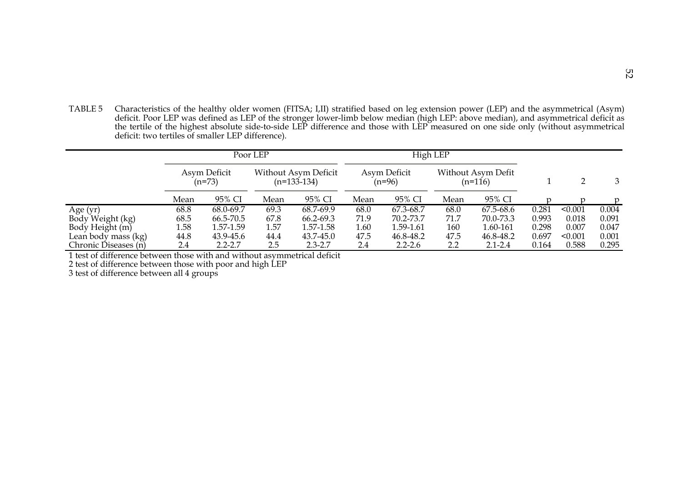TABLE 5 Characteristics of the healthy older women (FITSA; I,II) stratified based on leg extension power (LEP) and the asymmetrical (Asym) deficit. Poor LEP was defined as LEP of the stronger lower-limb below median (high LEP: above median), and asymmetrical deficit as the tertile of the highest absolute side-to-side LEP difference and those with LEP measured on one side only (without asymmetrical deficit: two tertiles of smaller LEP difference).

|                      |                          |             | Poor LEP |                                       |      |                          | High LEP |                               |       |         |       |
|----------------------|--------------------------|-------------|----------|---------------------------------------|------|--------------------------|----------|-------------------------------|-------|---------|-------|
|                      | Asym Deficit<br>$(n=73)$ |             |          | Without Asym Deficit<br>$(n=133-134)$ |      | Asym Deficit<br>$(n=96)$ |          | Without Asym Defit<br>(n=116) |       |         | 3     |
|                      | Mean                     | 95% CI      | Mean     | 95% CI                                | Mean | 95% CI                   | Mean     | 95% CI                        |       |         | n     |
| Age (yr)             | 68.8                     | 68.0-69.7   | 69.3     | 68.7-69.9                             | 68.0 | 67.3-68.7                | 68.0     | 67.5-68.6                     | 0.281 | < 0.001 | 0.004 |
| Body Weight (kg)     | 68.5                     | 66.5-70.5   | 67.8     | 66.2-69.3                             | 71.9 | 70.2-73.7                | 71.7     | 70.0-73.3                     | 0.993 | 0.018   | 0.091 |
| Body Height (m)      | 1.58                     | 1.57-1.59   | 1.57     | 1.57-1.58                             | 1.60 | 1.59-1.61                | 160      | 1.60-161                      | 0.298 | 0.007   | 0.047 |
| Lean body mass (kg)  | 44.8                     | 43.9-45.6   | 44.4     | 43.7-45.0                             | 47.5 | 46.8-48.2                | 47.5     | 46.8-48.2                     | 0.697 | < 0.001 | 0.001 |
| Chronic Diseases (n) | 2.4                      | $2.2 - 2.7$ | 2.5      | $2.3 - 2.7$                           | 2.4  | $2.2 - 2.6$              | 2.2      | $2.1 - 2.4$                   | 0.164 | 0.588   | 0.295 |

1 test of difference between those with and without asymmetrical deficit

2 test of difference between those with poor and high LEP

3 test of difference between all 4 groups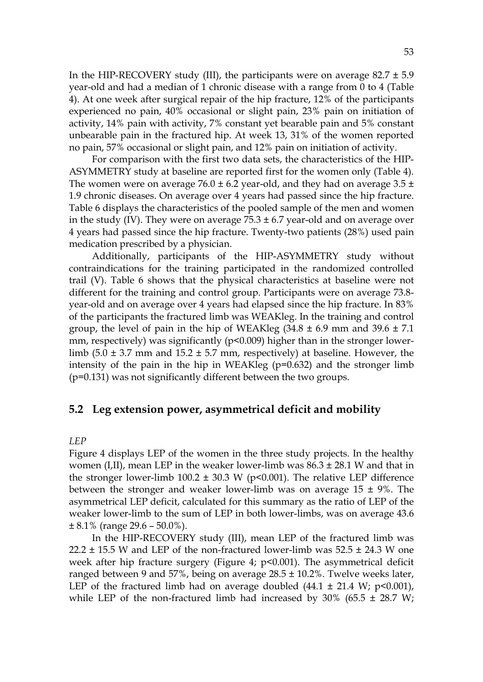In the HIP-RECOVERY study (III), the participants were on average  $82.7 \pm 5.9$ year-old and had a median of 1 chronic disease with a range from 0 to 4 (Table 4). At one week after surgical repair of the hip fracture, 12% of the participants experienced no pain, 40% occasional or slight pain, 23% pain on initiation of activity, 14% pain with activity, 7% constant yet bearable pain and 5% constant unbearable pain in the fractured hip. At week 13, 31% of the women reported no pain, 57% occasional or slight pain, and 12% pain on initiation of activity.

For comparison with the first two data sets, the characteristics of the HIP-ASYMMETRY study at baseline are reported first for the women only (Table 4). The women were on average  $76.0 \pm 6.2$  year-old, and they had on average  $3.5 \pm$ 1.9 chronic diseases. On average over 4 years had passed since the hip fracture. Table 6 displays the characteristics of the pooled sample of the men and women in the study (IV). They were on average  $75.3 \pm 6.7$  year-old and on average over 4 years had passed since the hip fracture. Twenty-two patients (28%) used pain medication prescribed by a physician.

Additionally, participants of the HIP-ASYMMETRY study without contraindications for the training participated in the randomized controlled trail (V). Table 6 shows that the physical characteristics at baseline were not different for the training and control group. Participants were on average 73.8 year-old and on average over 4 years had elapsed since the hip fracture. In 83% of the participants the fractured limb was WEAKleg. In the training and control group, the level of pain in the hip of WEAKleg  $(34.8 \pm 6.9 \text{ mm}$  and  $39.6 \pm 7.1$ mm, respectively) was significantly (p<0.009) higher than in the stronger lowerlimb  $(5.0 \pm 3.7 \text{ mm}$  and  $15.2 \pm 5.7 \text{ mm}$ , respectively) at baseline. However, the intensity of the pain in the hip in WEAKleg (p=0.632) and the stronger limb (p=0.131) was not significantly different between the two groups.

## **5.2 Leg extension power, asymmetrical deficit and mobility**

#### *LEP*

Figure 4 displays LEP of the women in the three study projects. In the healthy women (I,II), mean LEP in the weaker lower-limb was  $86.3 \pm 28.1$  W and that in the stronger lower-limb 100.2  $\pm$  30.3 W (p<0.001). The relative LEP difference between the stronger and weaker lower-limb was on average  $15 \pm 9\%$ . The asymmetrical LEP deficit, calculated for this summary as the ratio of LEP of the weaker lower-limb to the sum of LEP in both lower-limbs, was on average 43.6  $\pm 8.1\%$  (range 29.6 – 50.0%).

In the HIP-RECOVERY study (III), mean LEP of the fractured limb was 22.2  $\pm$  15.5 W and LEP of the non-fractured lower-limb was 52.5  $\pm$  24.3 W one week after hip fracture surgery (Figure 4; p<0.001). The asymmetrical deficit ranged between 9 and 57%, being on average  $28.5 \pm 10.2$ %. Twelve weeks later, LEP of the fractured limb had on average doubled  $(44.1 \pm 21.4 \text{ W}; \text{p}$ <0.001), while LEP of the non-fractured limb had increased by  $30\%$  (65.5  $\pm$  28.7 W;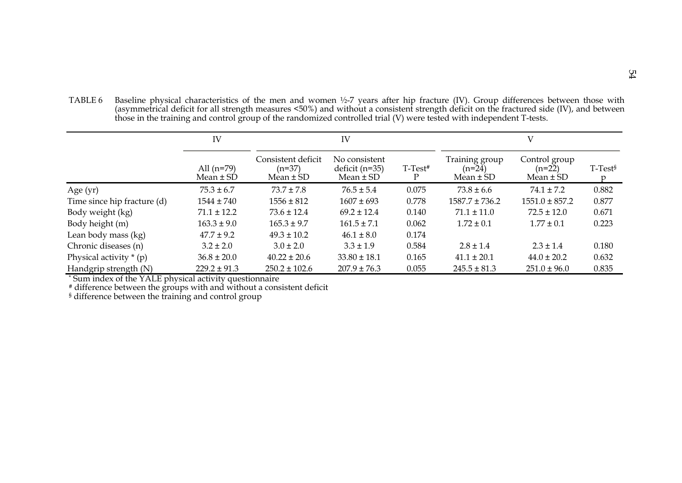TABLE 6 Baseline physical characteristics of the men and women ½-7 years after hip fracture (IV). Group differences between those with (asymmetrical deficit for all strength measures <50%) and without a consistent strength deficit on the fractured side (IV), and between those in the training and control group of the randomized controlled trial (V) were tested with independent T-tests.

|                             | IV                            | IV                                              |                                                    |                     |                                             |                                            |           |
|-----------------------------|-------------------------------|-------------------------------------------------|----------------------------------------------------|---------------------|---------------------------------------------|--------------------------------------------|-----------|
|                             | All $(n=79)$<br>$Mean \pm SD$ | Consistent deficit<br>$(n=37)$<br>Mean $\pm$ SD | No consistent<br>deficit $(n=35)$<br>Mean $\pm$ SD | T-Test <sup>#</sup> | Training group<br>$(n=24)$<br>Mean $\pm$ SD | Control group<br>$(n=22)$<br>Mean $\pm$ SD | $T-Test§$ |
| Age $(yr)$                  | $75.3 \pm 6.7$                | $73.7 \pm 7.8$                                  | $76.5 \pm 5.4$                                     | 0.075               | $73.8 \pm 6.6$                              | $74.1 \pm 7.2$                             | 0.882     |
| Time since hip fracture (d) | $1544 \pm 740$                | $1556 \pm 812$                                  | $1607 \pm 693$                                     | 0.778               | $1587.7 \pm 736.2$                          | $1551.0 \pm 857.2$                         | 0.877     |
| Body weight (kg)            | $71.1 \pm 12.2$               | $73.6 \pm 12.4$                                 | $69.2 \pm 12.4$                                    | 0.140               | $71.1 \pm 11.0$                             | $72.5 \pm 12.0$                            | 0.671     |
| Body height (m)             | $163.3 \pm 9.0$               | $165.3 \pm 9.7$                                 | $161.5 \pm 7.1$                                    | 0.062               | $1.72 \pm 0.1$                              | $1.77 \pm 0.1$                             | 0.223     |
| Lean body mass (kg)         | $47.7 \pm 9.2$                | $49.3 \pm 10.2$                                 | $46.1 \pm 8.0$                                     | 0.174               |                                             |                                            |           |
| Chronic diseases (n)        | $3.2 \pm 2.0$                 | $3.0 \pm 2.0$                                   | $3.3 \pm 1.9$                                      | 0.584               | $2.8 \pm 1.4$                               | $2.3 \pm 1.4$                              | 0.180     |
| Physical activity $*(p)$    | $36.8 \pm 20.0$               | $40.22 \pm 20.6$                                | $33.80 \pm 18.1$                                   | 0.165               | $41.1 \pm 20.1$                             | $44.0 \pm 20.2$                            | 0.632     |
| Handgrip strength $(N)$     | $229.2 \pm 91.3$              | $250.2 \pm 102.6$                               | $207.9 \pm 76.3$                                   | 0.055               | $245.5 \pm 81.3$                            | $251.0 \pm 96.0$                           | 0.835     |

\* Sum index of the YALE physical activity questionnaire

# difference between the groups with and without a consistent deficit

§ difference between the training and control group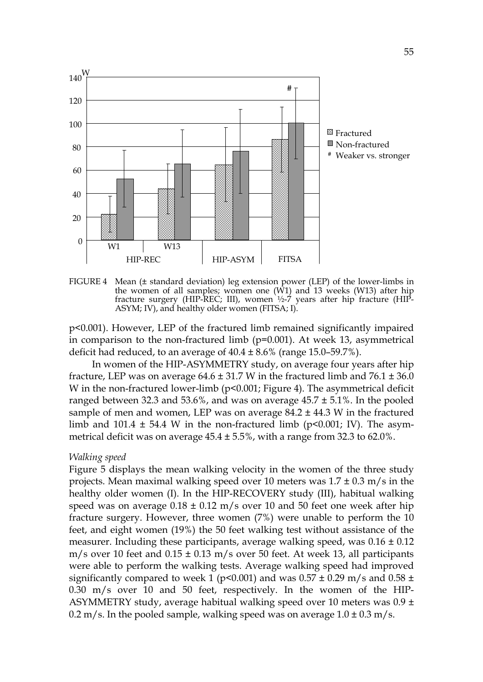

FIGURE 4 Mean (± standard deviation) leg extension power (LEP) of the lower-limbs in the women of all samples; women one (W1) and 13 weeks (W13) after hip fracture surgery (HIP-REC; III), women ½-7 years after hip fracture (HIP-ASYM; IV), and healthy older women (FITSA; I).

p<0.001). However, LEP of the fractured limb remained significantly impaired in comparison to the non-fractured limb (p=0.001). At week 13, asymmetrical deficit had reduced, to an average of  $40.4 \pm 8.6\%$  (range 15.0–59.7%).

In women of the HIP-ASYMMETRY study, on average four years after hip fracture, LEP was on average  $64.6 \pm 31.7$  W in the fractured limb and  $76.1 \pm 36.0$ W in the non-fractured lower-limb (p<0.001; Figure 4). The asymmetrical deficit ranged between 32.3 and 53.6%, and was on average  $45.7 \pm 5.1$ %. In the pooled sample of men and women, LEP was on average  $84.2 \pm 44.3$  W in the fractured limb and 101.4  $\pm$  54.4 W in the non-fractured limb (p<0.001; IV). The asymmetrical deficit was on average  $45.4 \pm 5.5$ %, with a range from 32.3 to 62.0%.

#### *Walking speed*

Figure 5 displays the mean walking velocity in the women of the three study projects. Mean maximal walking speed over 10 meters was  $1.7 \pm 0.3$  m/s in the healthy older women (I). In the HIP-RECOVERY study (III), habitual walking speed was on average  $0.18 \pm 0.12$  m/s over 10 and 50 feet one week after hip fracture surgery. However, three women (7%) were unable to perform the 10 feet, and eight women (19%) the 50 feet walking test without assistance of the measurer. Including these participants, average walking speed, was  $0.16 \pm 0.12$  $m/s$  over 10 feet and  $0.15 \pm 0.13$  m/s over 50 feet. At week 13, all participants were able to perform the walking tests. Average walking speed had improved significantly compared to week 1 (p<0.001) and was  $0.57 \pm 0.29$  m/s and  $0.58 \pm 0.29$ 0.30 m/s over 10 and 50 feet, respectively. In the women of the HIP-ASYMMETRY study, average habitual walking speed over 10 meters was  $0.9 \pm$ 0.2 m/s. In the pooled sample, walking speed was on average  $1.0 \pm 0.3$  m/s.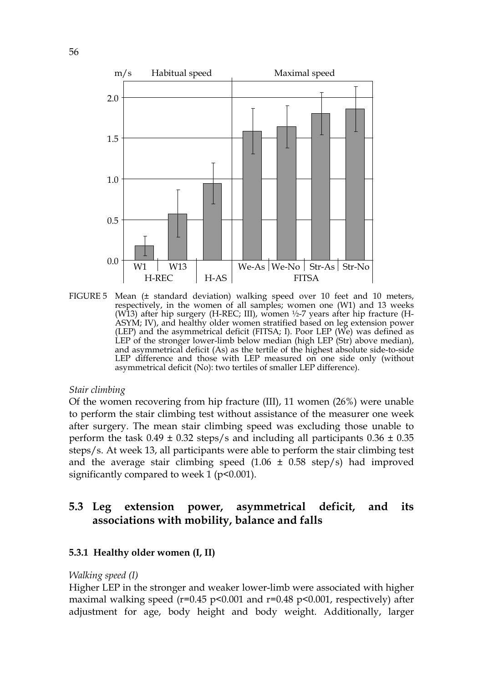

FIGURE 5 Mean (± standard deviation) walking speed over 10 feet and 10 meters, respectively, in the women of all samples; women one (W1) and 13 weeks (W13) after hip surgery (H-REC; III), women ½-7 years after hip fracture (H-ASYM; IV), and healthy older women stratified based on leg extension power (LEP) and the asymmetrical deficit (FITSA; I). Poor LEP (We) was defined as LEP of the stronger lower-limb below median (high LEP (Str) above median), and asymmetrical deficit (As) as the tertile of the highest absolute side-to-side LEP difference and those with LEP measured on one side only (without asymmetrical deficit (No): two tertiles of smaller LEP difference).

#### *Stair climbing*

Of the women recovering from hip fracture (III), 11 women (26%) were unable to perform the stair climbing test without assistance of the measurer one week after surgery. The mean stair climbing speed was excluding those unable to perform the task  $0.49 \pm 0.32$  steps/s and including all participants  $0.36 \pm 0.35$ steps/s. At week 13, all participants were able to perform the stair climbing test and the average stair climbing speed  $(1.06 \pm 0.58 \text{ step/s})$  had improved significantly compared to week 1 ( $p$ <0.001).

## **5.3 Leg extension power, asymmetrical deficit, and its associations with mobility, balance and falls**

#### **5.3.1 Healthy older women (I, II)**

#### *Walking speed (I)*

Higher LEP in the stronger and weaker lower-limb were associated with higher maximal walking speed ( $r=0.45$  p<0.001 and  $r=0.48$  p<0.001, respectively) after adjustment for age, body height and body weight. Additionally, larger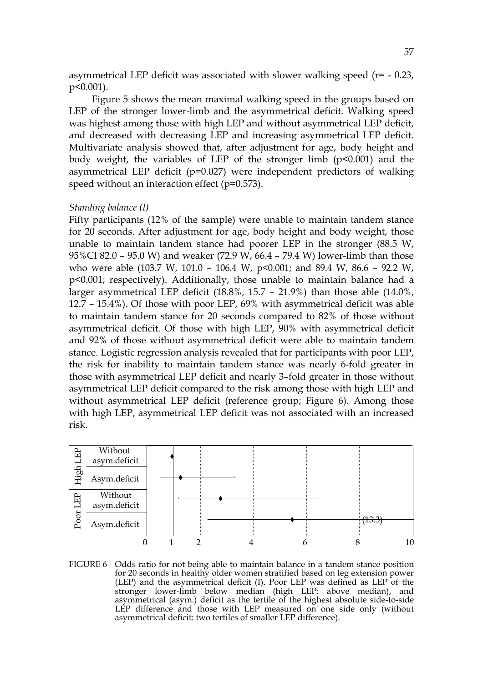asymmetrical LEP deficit was associated with slower walking speed  $(r= -0.23,$ p<0.001).

Figure 5 shows the mean maximal walking speed in the groups based on LEP of the stronger lower-limb and the asymmetrical deficit. Walking speed was highest among those with high LEP and without asymmetrical LEP deficit, and decreased with decreasing LEP and increasing asymmetrical LEP deficit. Multivariate analysis showed that, after adjustment for age, body height and body weight, the variables of LEP of the stronger limb (p<0.001) and the asymmetrical LEP deficit (p=0.027) were independent predictors of walking speed without an interaction effect (p=0.573).

#### *Standing balance (I)*

Fifty participants (12% of the sample) were unable to maintain tandem stance for 20 seconds. After adjustment for age, body height and body weight, those unable to maintain tandem stance had poorer LEP in the stronger (88.5 W, 95%CI 82.0 – 95.0 W) and weaker (72.9 W, 66.4 – 79.4 W) lower-limb than those who were able (103.7 W, 101.0 – 106.4 W, p<0.001; and 89.4 W, 86.6 – 92.2 W, p<0.001; respectively). Additionally, those unable to maintain balance had a larger asymmetrical LEP deficit (18.8%, 15.7 – 21.9%) than those able (14.0%, 12.7 – 15.4%). Of those with poor LEP, 69% with asymmetrical deficit was able to maintain tandem stance for 20 seconds compared to 82% of those without asymmetrical deficit. Of those with high LEP, 90% with asymmetrical deficit and 92% of those without asymmetrical deficit were able to maintain tandem stance. Logistic regression analysis revealed that for participants with poor LEP, the risk for inability to maintain tandem stance was nearly 6-fold greater in those with asymmetrical LEP deficit and nearly 3–fold greater in those without asymmetrical LEP deficit compared to the risk among those with high LEP and without asymmetrical LEP deficit (reference group; Figure 6). Among those with high LEP, asymmetrical LEP deficit was not associated with an increased risk.



FIGURE 6 Odds ratio for not being able to maintain balance in a tandem stance position for 20 seconds in healthy older women stratified based on leg extension power (LEP) and the asymmetrical deficit (I). Poor LEP was defined as LEP of the stronger lower-limb below median (high LEP: above median), and asymmetrical (asym.) deficit as the tertile of the highest absolute side-to-side LEP difference and those with LEP measured on one side only (without asymmetrical deficit: two tertiles of smaller LEP difference).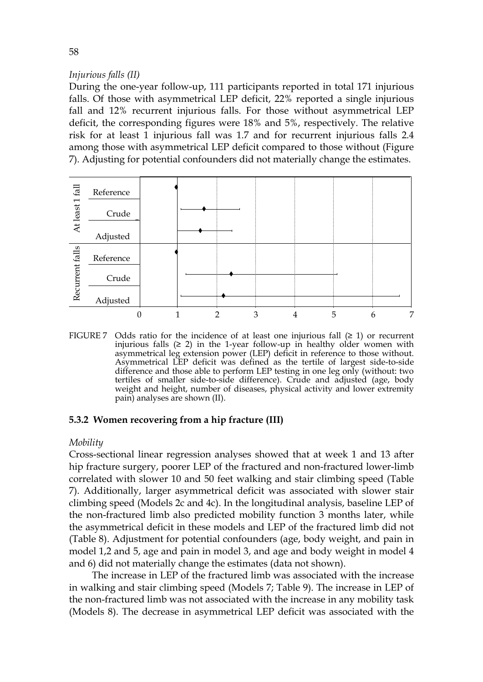## *Injurious falls (II)*

During the one-year follow-up, 111 participants reported in total 171 injurious falls. Of those with asymmetrical LEP deficit, 22% reported a single injurious fall and 12% recurrent injurious falls. For those without asymmetrical LEP deficit, the corresponding figures were 18% and 5%, respectively. The relative risk for at least 1 injurious fall was 1.7 and for recurrent injurious falls 2.4 among those with asymmetrical LEP deficit compared to those without (Figure 7). Adjusting for potential confounders did not materially change the estimates.



FIGURE 7 Odds ratio for the incidence of at least one injurious fall  $(≥ 1)$  or recurrent injurious falls (≥ 2) in the 1-year follow-up in healthy older women with asymmetrical leg extension power (LEP) deficit in reference to those without. Asymmetrical LEP deficit was defined as the tertile of largest side-to-side difference and those able to perform LEP testing in one leg only (without: two tertiles of smaller side-to-side difference). Crude and adjusted (age, body weight and height, number of diseases, physical activity and lower extremity pain) analyses are shown (II).

## **5.3.2 Women recovering from a hip fracture (III)**

## *Mobility*

Cross-sectional linear regression analyses showed that at week 1 and 13 after hip fracture surgery, poorer LEP of the fractured and non-fractured lower-limb correlated with slower 10 and 50 feet walking and stair climbing speed (Table 7). Additionally, larger asymmetrical deficit was associated with slower stair climbing speed (Models 2c and 4c). In the longitudinal analysis, baseline LEP of the non-fractured limb also predicted mobility function 3 months later, while the asymmetrical deficit in these models and LEP of the fractured limb did not (Table 8). Adjustment for potential confounders (age, body weight, and pain in model 1,2 and 5, age and pain in model 3, and age and body weight in model 4 and 6) did not materially change the estimates (data not shown).

The increase in LEP of the fractured limb was associated with the increase in walking and stair climbing speed (Models 7; Table 9). The increase in LEP of the non-fractured limb was not associated with the increase in any mobility task (Models 8). The decrease in asymmetrical LEP deficit was associated with the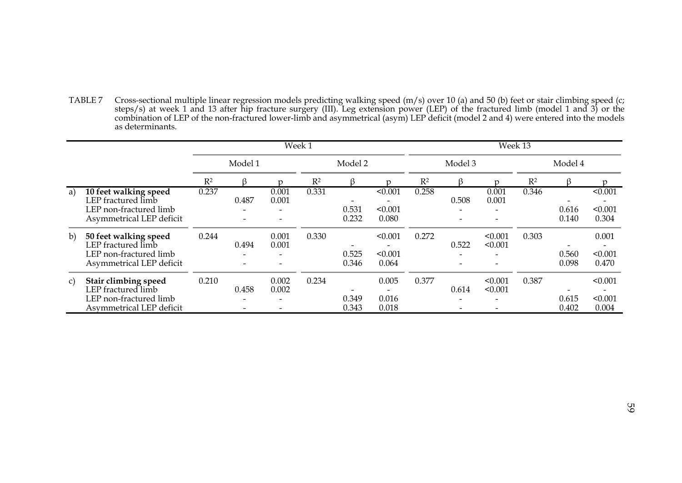TABLE 7 Cross-sectional multiple linear regression models predicting walking speed (m/s) over 10 (a) and 50 (b) feet or stair climbing speed (c; steps/s) at week 1 and 13 after hip fracture surgery (III). Leg extension power (LEP) of the fractured limb (model 1 and 3) or the combination of LEP of the non-fractured lower-limb and asymmetrical (asym) LEP deficit (model 2 and 4) were entered into the models as determinants.

|    |                                                                                                   |       |            |                | Week 1  |                |                                           | Week 13        |       |                    |       |                     |                                                         |
|----|---------------------------------------------------------------------------------------------------|-------|------------|----------------|---------|----------------|-------------------------------------------|----------------|-------|--------------------|-------|---------------------|---------------------------------------------------------|
|    |                                                                                                   |       | Model 1    |                | Model 2 |                | Model 3                                   |                |       | Model 4            |       |                     |                                                         |
|    |                                                                                                   | $R^2$ |            |                | $R^2$   |                |                                           | R <sup>2</sup> |       |                    | $R^2$ |                     |                                                         |
| a) | 10 feet walking speed<br>LEP fractured limb<br>LEP non-fractured limb<br>Asymmetrical LEP deficit | 0.237 | 0.487<br>- | 0.001<br>0.001 | 0.331   | 0.531<br>0.232 | < 0.001<br>< 0.001<br>0.080               | 0.258          | 0.508 | 0.001<br>0.001     | 0.346 | 0.616<br>0.140      | < 0.001<br>< 0.001<br>0.304                             |
| b) | 50 feet walking speed<br>LEP fractured limb<br>LEP non-fractured limb<br>Asymmetrical LEP deficit | 0.244 | 0.494      | 0.001<br>0.001 | 0.330   | 0.525<br>0.346 | < 0.001<br>< 0.001<br>0.064               | 0.272          | 0.522 | < 0.001<br>< 0.001 | 0.303 | 0.560<br>0.098      | 0.001<br>< 0.001<br>0.470                               |
| C) | Stair climbing speed<br>LEP fractured limb<br>LEP non-fractured limb<br>Asymmetrical LEP deficit  | 0.210 | 0.458<br>- | 0.002<br>0.002 | 0.234   | 0.349<br>0.343 | 0.005<br>$\overline{a}$<br>0.016<br>0.018 | 0.377          | 0.614 | < 0.001<br>< 0.001 | 0.387 | -<br>0.615<br>0.402 | < 0.001<br>$\overline{\phantom{0}}$<br>< 0.001<br>0.004 |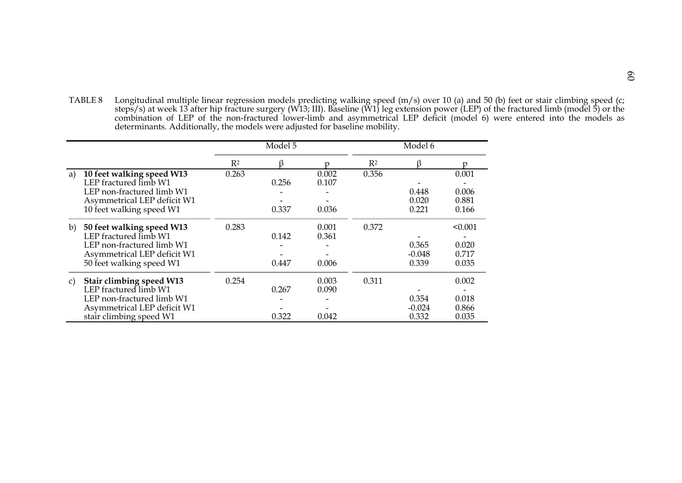TABLE 8 Longitudinal multiple linear regression models predicting walking speed (m/s) over 10 (a) and 50 (b) feet or stair climbing speed (c; steps/s) at week 13 after hip fracture surgery (W13; III). Baseline (W1) leg extension power (LEP) of the fractured limb (model 5) or the combination of LEP of the non-fractured lower-limb and asymmetrical LEP deficit (model 6) were entered into the models as determinants. Additionally, the models were adjusted for baseline mobility.

|    |                                                                                                                                            |       | Model 5        |                         |       | Model 6                    |                                    |
|----|--------------------------------------------------------------------------------------------------------------------------------------------|-------|----------------|-------------------------|-------|----------------------------|------------------------------------|
|    |                                                                                                                                            | $R^2$ | ß              | n                       | $R^2$ | ß                          | r                                  |
| a) | 10 feet walking speed W13<br>LEP fractured limb W1<br>LEP non-fractured limb W1<br>Asymmetrical LEP deficit W1<br>10 feet walking speed W1 | 0.263 | 0.256<br>0.337 | 0.002<br>0.107<br>0.036 | 0.356 | 0.448<br>0.020<br>0.221    | 0.001<br>0.006<br>0.881<br>0.166   |
| b) | 50 feet walking speed W13<br>LEP fractured limb W1<br>LEP non-fractured limb W1<br>Asymmetrical LEP deficit W1<br>50 feet walking speed W1 | 0.283 | 0.142<br>0.447 | 0.001<br>0.361<br>0.006 | 0.372 | 0.365<br>$-0.048$<br>0.339 | < 0.001<br>0.020<br>0.717<br>0.035 |
| C) | Stair climbing speed W13<br>LEP fractured limb W1<br>LEP non-fractured limb W1<br>Asymmetrical LEP deficit W1<br>stair climbing speed W1   | 0.254 | 0.267<br>0.322 | 0.003<br>0.090<br>0.042 | 0.311 | 0.354<br>$-0.024$<br>0.332 | 0.002<br>0.018<br>0.866<br>0.035   |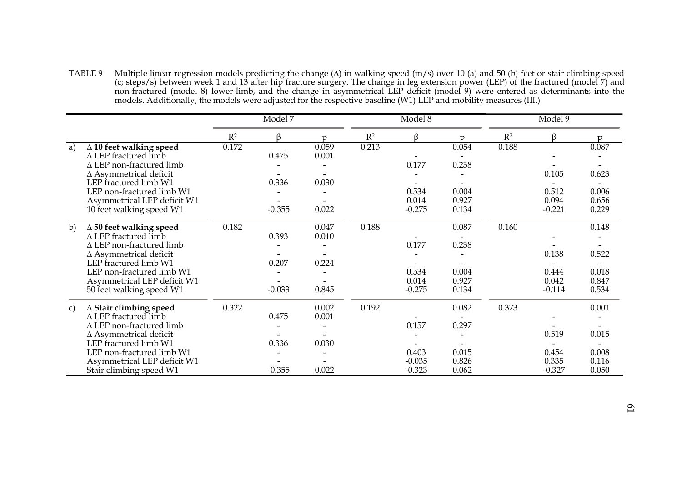TABLE 9 Multiple linear regression models predicting the change (∆) in walking speed (m/s) over 10 (a) and 50 (b) feet or stair climbing speed (c; steps/s) between week 1 and 13 after hip fracture surgery. The change in leg extension power (LEP) of the fractured (model 7) and non-fractured (model 8) lower-limb, and the change in asymmetrical LEP deficit (model 9) were entered as determinants into the models. Additionally, the models were adjusted for the respective baseline (W1) LEP and mobility measures (III.)

|    |                                 |       | Model 7  |       |                | Model 8  |               |       | Model 9  |                |
|----|---------------------------------|-------|----------|-------|----------------|----------|---------------|-------|----------|----------------|
|    |                                 | $R^2$ | ß        | n     | R <sup>2</sup> | ß        | <sub>17</sub> | $R^2$ | ß        | $\mathfrak{v}$ |
| a) | $\Delta$ 10 feet walking speed  | 0.172 |          | 0.059 | 0.213          |          | 0.054         | 0.188 |          | 0.087          |
|    | $\triangle$ LEP fractured limb  |       | 0.475    | 0.001 |                |          |               |       |          |                |
|    | $\Delta$ LEP non-fractured limb |       |          |       |                | 0.177    | 0.238         |       |          |                |
|    | $\Delta$ Asymmetrical deficit   |       |          |       |                |          |               |       | 0.105    | 0.623          |
|    | LEP fractured limb W1           |       | 0.336    | 0.030 |                |          |               |       |          |                |
|    | LEP non-fractured limb W1       |       |          |       |                | 0.534    | 0.004         |       | 0.512    | 0.006          |
|    | Asymmetrical LEP deficit W1     |       |          |       |                | 0.014    | 0.927         |       | 0.094    | 0.656          |
|    | 10 feet walking speed W1        |       | $-0.355$ | 0.022 |                | $-0.275$ | 0.134         |       | $-0.221$ | 0.229          |
| b) | $\Delta$ 50 feet walking speed  | 0.182 |          | 0.047 | 0.188          |          | 0.087         | 0.160 |          | 0.148          |
|    | $\triangle$ LEP fractured limb  |       | 0.393    | 0.010 |                |          |               |       |          |                |
|    | $\Delta$ LEP non-fractured limb |       |          |       |                | 0.177    | 0.238         |       |          |                |
|    | $\Delta$ Asymmetrical deficit   |       |          |       |                |          |               |       | 0.138    | 0.522          |
|    | LEP fractured limb W1           |       | 0.207    | 0.224 |                |          |               |       |          |                |
|    | LEP non-fractured limb W1       |       |          |       |                | 0.534    | 0.004         |       | 0.444    | 0.018          |
|    | Asymmetrical LEP deficit W1     |       |          |       |                | 0.014    | 0.927         |       | 0.042    | 0.847          |
|    | 50 feet walking speed W1        |       | $-0.033$ | 0.845 |                | $-0.275$ | 0.134         |       | $-0.114$ | 0.534          |
| c) | $\Delta$ Stair climbing speed   | 0.322 |          | 0.002 | 0.192          |          | 0.082         | 0.373 |          | 0.001          |
|    | $\Delta$ LEP fractured limb     |       | 0.475    | 0.001 |                |          |               |       |          |                |
|    | $\Delta$ LEP non-fractured limb |       |          |       |                | 0.157    | 0.297         |       |          |                |
|    | $\Delta$ Asymmetrical deficit   |       |          |       |                |          |               |       | 0.519    | 0.015          |
|    | LEP fractured limb W1           |       | 0.336    | 0.030 |                |          |               |       |          |                |
|    | LEP non-fractured limb W1       |       |          |       |                | 0.403    | 0.015         |       | 0.454    | 0.008          |
|    | Asymmetrical LEP deficit W1     |       |          |       |                | $-0.035$ | 0.826         |       | 0.335    | 0.116          |
|    | Stair climbing speed W1         |       | $-0.355$ | 0.022 |                | $-0.323$ | 0.062         |       | $-0.327$ | 0.050          |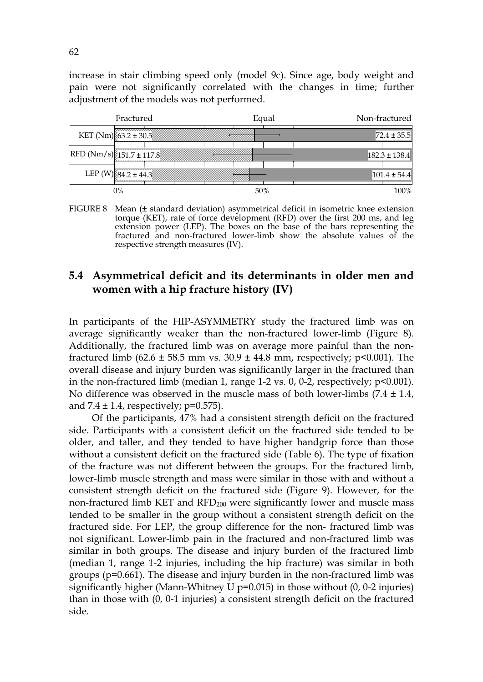increase in stair climbing speed only (model 9c). Since age, body weight and pain were not significantly correlated with the changes in time; further adjustment of the models was not performed.



FIGURE 8 Mean (± standard deviation) asymmetrical deficit in isometric knee extension torque (KET), rate of force development (RFD) over the first 200 ms, and leg extension power (LEP). The boxes on the base of the bars representing the fractured and non-fractured lower-limb show the absolute values of the respective strength measures (IV).

## **5.4 Asymmetrical deficit and its determinants in older men and women with a hip fracture history (IV)**

In participants of the HIP-ASYMMETRY study the fractured limb was on average significantly weaker than the non-fractured lower-limb (Figure 8). Additionally, the fractured limb was on average more painful than the nonfractured limb (62.6  $\pm$  58.5 mm vs. 30.9  $\pm$  44.8 mm, respectively; p<0.001). The overall disease and injury burden was significantly larger in the fractured than in the non-fractured limb (median 1, range 1-2 vs. 0, 0-2, respectively; p<0.001). No difference was observed in the muscle mass of both lower-limbs  $(7.4 \pm 1.4,$ and  $7.4 \pm 1.4$ , respectively; p=0.575).

Of the participants, 47% had a consistent strength deficit on the fractured side. Participants with a consistent deficit on the fractured side tended to be older, and taller, and they tended to have higher handgrip force than those without a consistent deficit on the fractured side (Table 6). The type of fixation of the fracture was not different between the groups. For the fractured limb, lower-limb muscle strength and mass were similar in those with and without a consistent strength deficit on the fractured side (Figure 9). However, for the non-fractured limb KET and RFD200 were significantly lower and muscle mass tended to be smaller in the group without a consistent strength deficit on the fractured side. For LEP, the group difference for the non- fractured limb was not significant. Lower-limb pain in the fractured and non-fractured limb was similar in both groups. The disease and injury burden of the fractured limb (median 1, range 1-2 injuries, including the hip fracture) was similar in both groups (p=0.661). The disease and injury burden in the non-fractured limb was significantly higher (Mann-Whitney U  $p=0.015$ ) in those without (0, 0-2 injuries) than in those with (0, 0-1 injuries) a consistent strength deficit on the fractured side.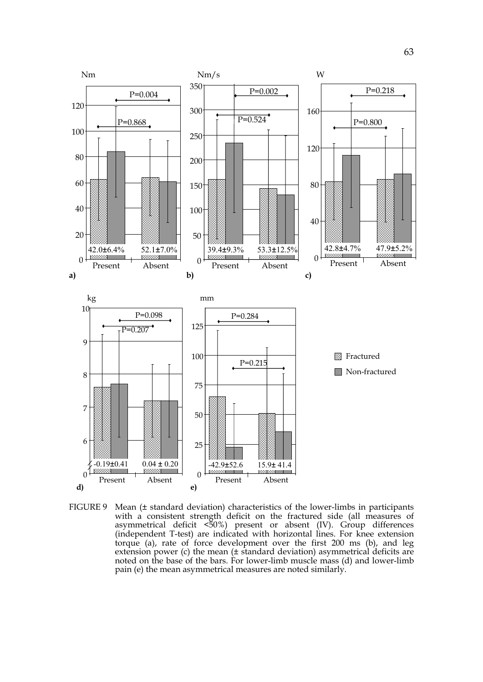

FIGURE 9 Mean (± standard deviation) characteristics of the lower-limbs in participants with a consistent strength deficit on the fractured side (all measures of asymmetrical deficit <50%) present or absent (IV). Group differences (independent T-test) are indicated with horizontal lines. For knee extension torque (a), rate of force development over the first 200 ms (b), and leg extension power (c) the mean (± standard deviation) asymmetrical deficits are noted on the base of the bars. For lower-limb muscle mass (d) and lower-limb pain (e) the mean asymmetrical measures are noted similarly.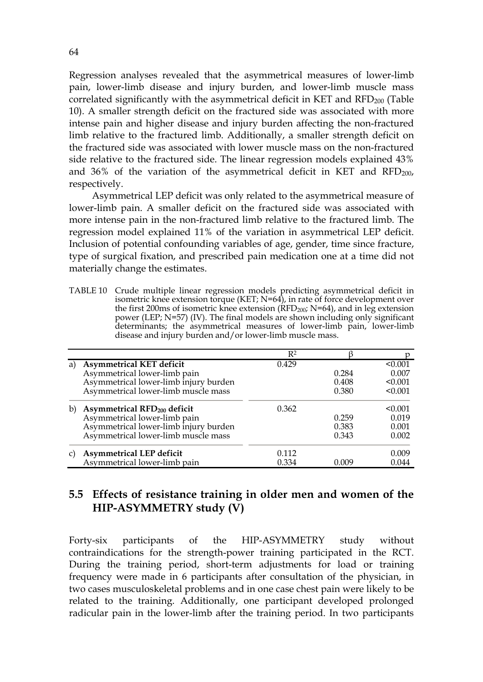Regression analyses revealed that the asymmetrical measures of lower-limb pain, lower-limb disease and injury burden, and lower-limb muscle mass correlated significantly with the asymmetrical deficit in KET and  $\text{RFD}_{200}$  (Table 10). A smaller strength deficit on the fractured side was associated with more intense pain and higher disease and injury burden affecting the non-fractured limb relative to the fractured limb. Additionally, a smaller strength deficit on the fractured side was associated with lower muscle mass on the non-fractured side relative to the fractured side. The linear regression models explained 43% and  $36\%$  of the variation of the asymmetrical deficit in KET and RFD<sub>200</sub>, respectively.

Asymmetrical LEP deficit was only related to the asymmetrical measure of lower-limb pain. A smaller deficit on the fractured side was associated with more intense pain in the non-fractured limb relative to the fractured limb. The regression model explained 11% of the variation in asymmetrical LEP deficit. Inclusion of potential confounding variables of age, gender, time since fracture, type of surgical fixation, and prescribed pain medication one at a time did not materially change the estimates.

TABLE 10 Crude multiple linear regression models predicting asymmetrical deficit in isometric knee extension torque (KET;  $N=64$ ), in rate of force development over the first 200ms of isometric knee extension ( $RFD<sub>200</sub>$ ;  $N=64$ ), and in leg extension power (LEP; N=57) (IV). The final models are shown including only significant determinants; the asymmetrical measures of lower-limb pain, lower-limb disease and injury burden and/or lower-limb muscle mass.

|    |                                         | $R^2$ |         |         |
|----|-----------------------------------------|-------|---------|---------|
| a) | Asymmetrical KET deficit                | 0.429 |         | < 0.001 |
|    | Asymmetrical lower-limb pain            |       | 0.284   | 0.007   |
|    | Asymmetrical lower-limb injury burden   |       | 0.408   | < 0.001 |
|    | Asymmetrical lower-limb muscle mass     |       | 0.380   | < 0.001 |
| b) | Asymmetrical RFD <sub>200</sub> deficit | 0.362 |         | < 0.001 |
|    | Asymmetrical lower-limb pain            |       | 0.259   | 0.019   |
|    | Asymmetrical lower-limb injury burden   |       | 0.383   | 0.001   |
|    | Asymmetrical lower-limb muscle mass     |       | 0.343   | 0.002   |
|    | Asymmetrical LEP deficit                | 0.112 |         | 0.009   |
|    | Asymmetrical lower-limb pain            | 0.334 | (1.009) | 0.044   |

## **5.5 Effects of resistance training in older men and women of the HIP-ASYMMETRY study (V)**

Forty-six participants of the HIP-ASYMMETRY study without contraindications for the strength-power training participated in the RCT. During the training period, short-term adjustments for load or training frequency were made in 6 participants after consultation of the physician, in two cases musculoskeletal problems and in one case chest pain were likely to be related to the training. Additionally, one participant developed prolonged radicular pain in the lower-limb after the training period. In two participants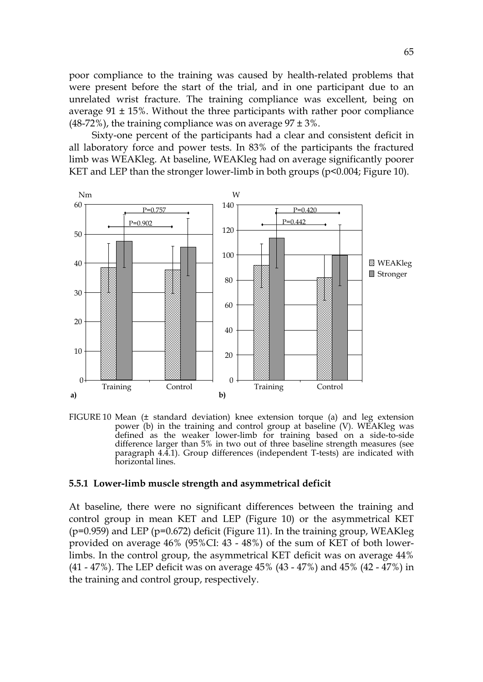poor compliance to the training was caused by health-related problems that were present before the start of the trial, and in one participant due to an unrelated wrist fracture. The training compliance was excellent, being on average  $91 \pm 15$ %. Without the three participants with rather poor compliance (48-72%), the training compliance was on average  $97 \pm 3\%$ .

Sixty-one percent of the participants had a clear and consistent deficit in all laboratory force and power tests. In 83% of the participants the fractured limb was WEAKleg. At baseline, WEAKleg had on average significantly poorer KET and LEP than the stronger lower-limb in both groups (p<0.004; Figure 10).



FIGURE 10 Mean (± standard deviation) knee extension torque (a) and leg extension power (b) in the training and control group at baseline (V). WEAKleg was defined as the weaker lower-limb for training based on a side-to-side difference larger than 5% in two out of three baseline strength measures (see paragraph 4.4.1). Group differences (independent T-tests) are indicated with horizontal lines.

#### **5.5.1 Lower-limb muscle strength and asymmetrical deficit**

At baseline, there were no significant differences between the training and control group in mean KET and LEP (Figure 10) or the asymmetrical KET  $(p=0.959)$  and LEP  $(p=0.672)$  deficit (Figure 11). In the training group, WEAKleg provided on average 46% (95%CI: 43 - 48%) of the sum of KET of both lowerlimbs. In the control group, the asymmetrical KET deficit was on average 44% (41 - 47%). The LEP deficit was on average 45% (43 - 47%) and 45% (42 - 47%) in the training and control group, respectively.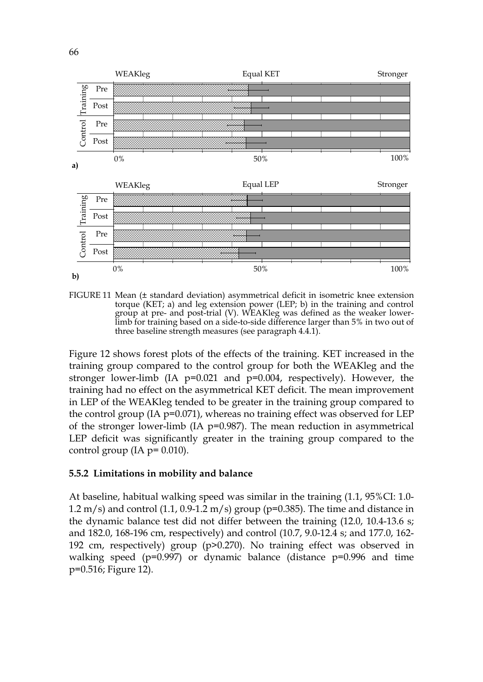

FIGURE 11 Mean (± standard deviation) asymmetrical deficit in isometric knee extension torque (KET; a) and leg extension power (LEP; b) in the training and control group at pre- and post-trial (V). WEAKleg was defined as the weaker lowerlimb for training based on a side-to-side difference larger than 5% in two out of three baseline strength measures (see paragraph 4.4.1).

Figure 12 shows forest plots of the effects of the training. KET increased in the training group compared to the control group for both the WEAKleg and the stronger lower-limb (IA p=0.021 and p=0.004, respectively). However, the training had no effect on the asymmetrical KET deficit. The mean improvement in LEP of the WEAKleg tended to be greater in the training group compared to the control group (IA p=0.071), whereas no training effect was observed for LEP of the stronger lower-limb (IA p=0.987). The mean reduction in asymmetrical LEP deficit was significantly greater in the training group compared to the control group (IA  $p = 0.010$ ).

## **5.5.2 Limitations in mobility and balance**

At baseline, habitual walking speed was similar in the training (1.1, 95%CI: 1.0-  $1.2 \text{ m/s}$  and control  $(1.1, 0.9-1.2 \text{ m/s})$  group (p=0.385). The time and distance in the dynamic balance test did not differ between the training (12.0, 10.4-13.6 s; and 182.0, 168-196 cm, respectively) and control (10.7, 9.0-12.4 s; and 177.0, 162- 192 cm, respectively) group (p>0.270). No training effect was observed in walking speed ( $p=0.997$ ) or dynamic balance (distance  $p=0.996$  and time p=0.516; Figure 12).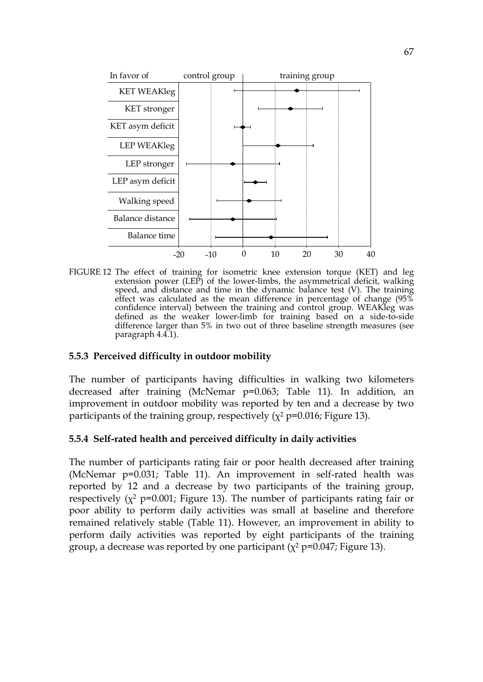

FIGURE 12 The effect of training for isometric knee extension torque (KET) and leg extension power (LEP) of the lower-limbs, the asymmetrical deficit, walking speed, and distance and time in the dynamic balance test (V). The training effect was calculated as the mean difference in percentage of change  $(95\%$ confidence interval) between the training and control group. WEAKleg was defined as the weaker lower-limb for training based on a side-to-side difference larger than 5% in two out of three baseline strength measures (see paragraph 4.4.1).

#### **5.5.3 Perceived difficulty in outdoor mobility**

The number of participants having difficulties in walking two kilometers decreased after training (McNemar p=0.063; Table 11). In addition, an improvement in outdoor mobility was reported by ten and a decrease by two participants of the training group, respectively ( $\chi^2$  p=0.016; Figure 13).

## **5.5.4 Self-rated health and perceived difficulty in daily activities**

The number of participants rating fair or poor health decreased after training (McNemar p=0.031; Table 11). An improvement in self-rated health was reported by 12 and a decrease by two participants of the training group, respectively ( $x^2$  p=0.001; Figure 13). The number of participants rating fair or poor ability to perform daily activities was small at baseline and therefore remained relatively stable (Table 11). However, an improvement in ability to perform daily activities was reported by eight participants of the training group, a decrease was reported by one participant ( $\chi^2$  p=0.047; Figure 13).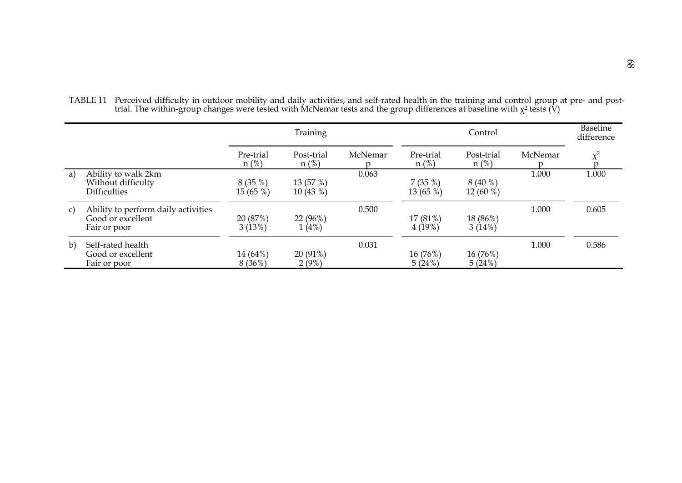|    |                                     | Training             |                       |         | Control              |                       |              | <b>Baseline</b><br>difference |
|----|-------------------------------------|----------------------|-----------------------|---------|----------------------|-----------------------|--------------|-------------------------------|
|    |                                     | Pre-trial<br>$n$ (%) | Post-trial<br>$n$ (%) | McNemar | Pre-trial<br>$n$ (%) | Post-trial<br>$n$ (%) | McNemar<br>n | $\chi^2$<br>$\mathbf{D}$      |
| a) | Ability to walk 2km                 |                      |                       | 0.063   |                      |                       | 1.000        | 1.000                         |
|    | Without difficulty                  | 8(35%)               | 13 (57 %)             |         | 7(35%)               | 8(40%                 |              |                               |
|    | <b>Difficulties</b>                 | 15(65%)              | 10(43%)               |         | 13(65%)              | 12(60%)               |              |                               |
| C) | Ability to perform daily activities |                      |                       | 0.500   |                      |                       | 1.000        | 0.605                         |
|    | Good or excellent                   | 20 (87%)             | 22 (96%)              |         | 17 (81%)             | 18 (86%)              |              |                               |
|    | Fair or poor                        | 3(13%)               | 1(4%)                 |         | 4(19%)               | 3(14%)                |              |                               |
| b) | Self-rated health                   |                      |                       | 0.031   |                      |                       | 1.000        | 0.586                         |
|    | Good or excellent                   | 14 (64%)             | 20 (91%)              |         | 16 (76%)             | 16 (76%)              |              |                               |
|    | Fair or poor                        | 8(36%)               | 2(9%)                 |         | 5(24%)               | 5(24%)                |              |                               |

TABLE 11 Perceived difficulty in outdoor mobility and daily activities, and self-rated health in the training and control group at pre- and posttrial. The within-group changes were tested with McNemar tests and the group differences at baseline with  $\chi^2$  tests (V)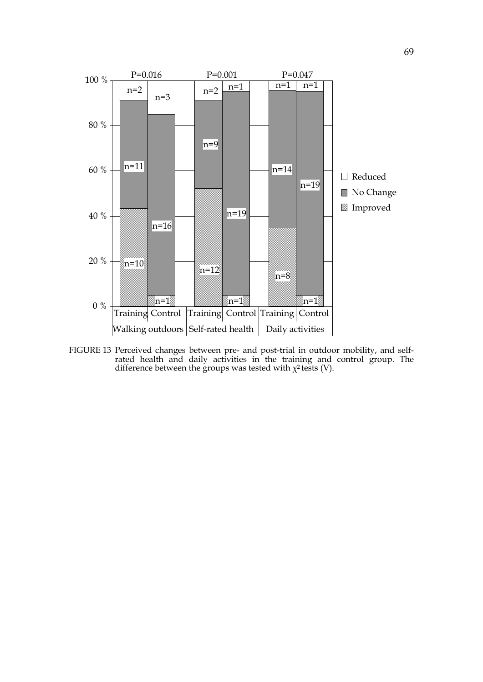

FIGURE 13 Perceived changes between pre- and post-trial in outdoor mobility, and selfrated health and daily activities in the training and control group. The difference between the groups was tested with  $\chi^2$  tests (V).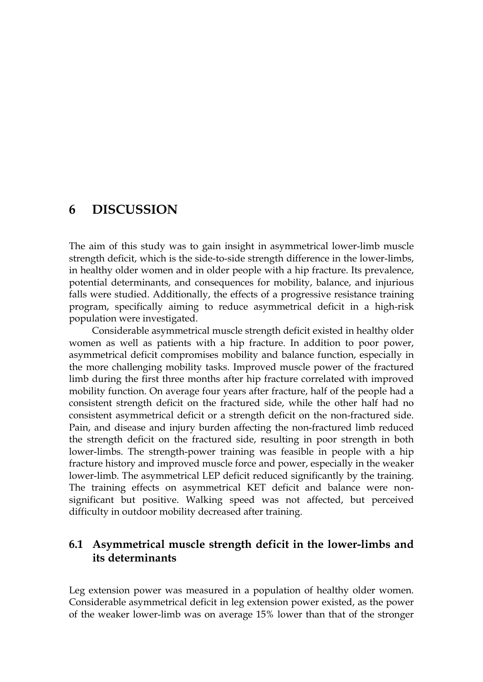## **6 DISCUSSION**

The aim of this study was to gain insight in asymmetrical lower-limb muscle strength deficit, which is the side-to-side strength difference in the lower-limbs, in healthy older women and in older people with a hip fracture. Its prevalence, potential determinants, and consequences for mobility, balance, and injurious falls were studied. Additionally, the effects of a progressive resistance training program, specifically aiming to reduce asymmetrical deficit in a high-risk population were investigated.

Considerable asymmetrical muscle strength deficit existed in healthy older women as well as patients with a hip fracture. In addition to poor power, asymmetrical deficit compromises mobility and balance function, especially in the more challenging mobility tasks. Improved muscle power of the fractured limb during the first three months after hip fracture correlated with improved mobility function. On average four years after fracture, half of the people had a consistent strength deficit on the fractured side, while the other half had no consistent asymmetrical deficit or a strength deficit on the non-fractured side. Pain, and disease and injury burden affecting the non-fractured limb reduced the strength deficit on the fractured side, resulting in poor strength in both lower-limbs. The strength-power training was feasible in people with a hip fracture history and improved muscle force and power, especially in the weaker lower-limb. The asymmetrical LEP deficit reduced significantly by the training. The training effects on asymmetrical KET deficit and balance were nonsignificant but positive. Walking speed was not affected, but perceived difficulty in outdoor mobility decreased after training.

## **6.1 Asymmetrical muscle strength deficit in the lower-limbs and its determinants**

Leg extension power was measured in a population of healthy older women. Considerable asymmetrical deficit in leg extension power existed, as the power of the weaker lower-limb was on average 15% lower than that of the stronger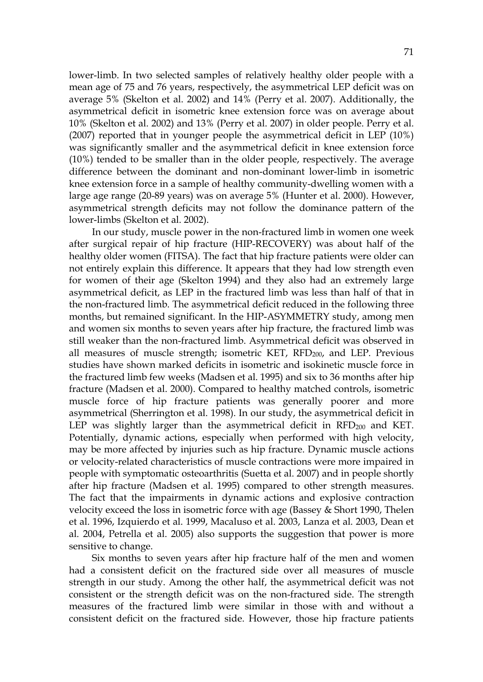lower-limb. In two selected samples of relatively healthy older people with a mean age of 75 and 76 years, respectively, the asymmetrical LEP deficit was on average 5% (Skelton et al. 2002) and 14% (Perry et al. 2007). Additionally, the asymmetrical deficit in isometric knee extension force was on average about 10% (Skelton et al. 2002) and 13% (Perry et al. 2007) in older people. Perry et al. (2007) reported that in younger people the asymmetrical deficit in LEP (10%) was significantly smaller and the asymmetrical deficit in knee extension force (10%) tended to be smaller than in the older people, respectively. The average difference between the dominant and non-dominant lower-limb in isometric knee extension force in a sample of healthy community-dwelling women with a large age range (20-89 years) was on average 5% (Hunter et al. 2000). However, asymmetrical strength deficits may not follow the dominance pattern of the lower-limbs (Skelton et al. 2002).

In our study, muscle power in the non-fractured limb in women one week after surgical repair of hip fracture (HIP-RECOVERY) was about half of the healthy older women (FITSA). The fact that hip fracture patients were older can not entirely explain this difference. It appears that they had low strength even for women of their age (Skelton 1994) and they also had an extremely large asymmetrical deficit, as LEP in the fractured limb was less than half of that in the non-fractured limb. The asymmetrical deficit reduced in the following three months, but remained significant. In the HIP-ASYMMETRY study, among men and women six months to seven years after hip fracture, the fractured limb was still weaker than the non-fractured limb. Asymmetrical deficit was observed in all measures of muscle strength; isometric KET, RFD<sub>200</sub>, and LEP. Previous studies have shown marked deficits in isometric and isokinetic muscle force in the fractured limb few weeks (Madsen et al. 1995) and six to 36 months after hip fracture (Madsen et al. 2000). Compared to healthy matched controls, isometric muscle force of hip fracture patients was generally poorer and more asymmetrical (Sherrington et al. 1998). In our study, the asymmetrical deficit in LEP was slightly larger than the asymmetrical deficit in  $RFD_{200}$  and KET. Potentially, dynamic actions, especially when performed with high velocity, may be more affected by injuries such as hip fracture. Dynamic muscle actions or velocity-related characteristics of muscle contractions were more impaired in people with symptomatic osteoarthritis (Suetta et al. 2007) and in people shortly after hip fracture (Madsen et al. 1995) compared to other strength measures. The fact that the impairments in dynamic actions and explosive contraction velocity exceed the loss in isometric force with age (Bassey & Short 1990, Thelen et al. 1996, Izquierdo et al. 1999, Macaluso et al. 2003, Lanza et al. 2003, Dean et al. 2004, Petrella et al. 2005) also supports the suggestion that power is more sensitive to change.

Six months to seven years after hip fracture half of the men and women had a consistent deficit on the fractured side over all measures of muscle strength in our study. Among the other half, the asymmetrical deficit was not consistent or the strength deficit was on the non-fractured side. The strength measures of the fractured limb were similar in those with and without a consistent deficit on the fractured side. However, those hip fracture patients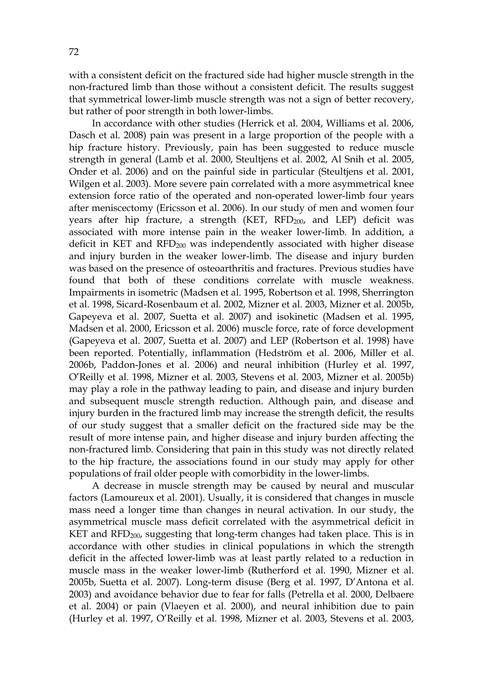with a consistent deficit on the fractured side had higher muscle strength in the non-fractured limb than those without a consistent deficit. The results suggest that symmetrical lower-limb muscle strength was not a sign of better recovery, but rather of poor strength in both lower-limbs.

In accordance with other studies (Herrick et al. 2004, Williams et al. 2006, Dasch et al. 2008) pain was present in a large proportion of the people with a hip fracture history. Previously, pain has been suggested to reduce muscle strength in general (Lamb et al. 2000, Steultjens et al. 2002, Al Snih et al. 2005, Onder et al. 2006) and on the painful side in particular (Steultjens et al. 2001, Wilgen et al. 2003). More severe pain correlated with a more asymmetrical knee extension force ratio of the operated and non-operated lower-limb four years after meniscectomy (Ericsson et al. 2006). In our study of men and women four years after hip fracture, a strength (KET, RFD<sub>200</sub>, and LEP) deficit was associated with more intense pain in the weaker lower-limb. In addition, a deficit in KET and  $RFD<sub>200</sub>$  was independently associated with higher disease and injury burden in the weaker lower-limb. The disease and injury burden was based on the presence of osteoarthritis and fractures. Previous studies have found that both of these conditions correlate with muscle weakness. Impairments in isometric (Madsen et al. 1995, Robertson et al. 1998, Sherrington et al. 1998, Sicard-Rosenbaum et al. 2002, Mizner et al. 2003, Mizner et al. 2005b, Gapeyeva et al. 2007, Suetta et al. 2007) and isokinetic (Madsen et al. 1995, Madsen et al. 2000, Ericsson et al. 2006) muscle force, rate of force development (Gapeyeva et al. 2007, Suetta et al. 2007) and LEP (Robertson et al. 1998) have been reported. Potentially, inflammation (Hedström et al. 2006, Miller et al. 2006b, Paddon-Jones et al. 2006) and neural inhibition (Hurley et al. 1997, O'Reilly et al. 1998, Mizner et al. 2003, Stevens et al. 2003, Mizner et al. 2005b) may play a role in the pathway leading to pain, and disease and injury burden and subsequent muscle strength reduction. Although pain, and disease and injury burden in the fractured limb may increase the strength deficit, the results of our study suggest that a smaller deficit on the fractured side may be the result of more intense pain, and higher disease and injury burden affecting the non-fractured limb. Considering that pain in this study was not directly related to the hip fracture, the associations found in our study may apply for other populations of frail older people with comorbidity in the lower-limbs.

A decrease in muscle strength may be caused by neural and muscular factors (Lamoureux et al. 2001). Usually, it is considered that changes in muscle mass need a longer time than changes in neural activation. In our study, the asymmetrical muscle mass deficit correlated with the asymmetrical deficit in KET and RFD<sub>200</sub>, suggesting that long-term changes had taken place. This is in accordance with other studies in clinical populations in which the strength deficit in the affected lower-limb was at least partly related to a reduction in muscle mass in the weaker lower-limb (Rutherford et al. 1990, Mizner et al. 2005b, Suetta et al. 2007). Long-term disuse (Berg et al. 1997, D'Antona et al. 2003) and avoidance behavior due to fear for falls (Petrella et al. 2000, Delbaere et al. 2004) or pain (Vlaeyen et al. 2000), and neural inhibition due to pain (Hurley et al. 1997, O'Reilly et al. 1998, Mizner et al. 2003, Stevens et al. 2003,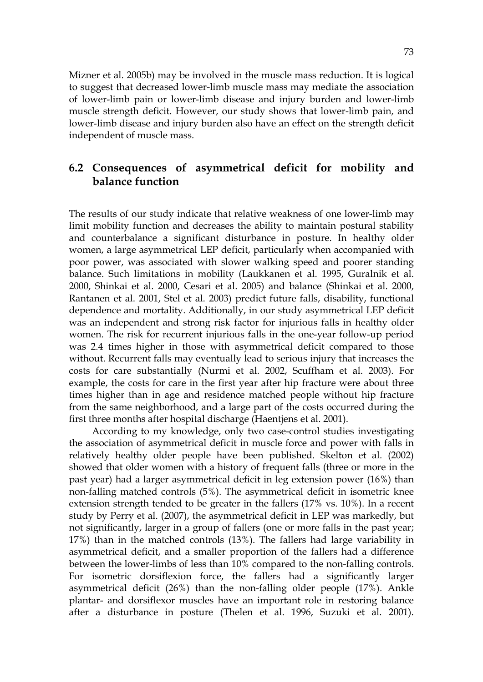Mizner et al. 2005b) may be involved in the muscle mass reduction. It is logical to suggest that decreased lower-limb muscle mass may mediate the association of lower-limb pain or lower-limb disease and injury burden and lower-limb muscle strength deficit. However, our study shows that lower-limb pain, and lower-limb disease and injury burden also have an effect on the strength deficit independent of muscle mass.

## **6.2 Consequences of asymmetrical deficit for mobility and balance function**

The results of our study indicate that relative weakness of one lower-limb may limit mobility function and decreases the ability to maintain postural stability and counterbalance a significant disturbance in posture. In healthy older women, a large asymmetrical LEP deficit, particularly when accompanied with poor power, was associated with slower walking speed and poorer standing balance. Such limitations in mobility (Laukkanen et al. 1995, Guralnik et al. 2000, Shinkai et al. 2000, Cesari et al. 2005) and balance (Shinkai et al. 2000, Rantanen et al. 2001, Stel et al. 2003) predict future falls, disability, functional dependence and mortality. Additionally, in our study asymmetrical LEP deficit was an independent and strong risk factor for injurious falls in healthy older women. The risk for recurrent injurious falls in the one-year follow-up period was 2.4 times higher in those with asymmetrical deficit compared to those without. Recurrent falls may eventually lead to serious injury that increases the costs for care substantially (Nurmi et al. 2002, Scuffham et al. 2003). For example, the costs for care in the first year after hip fracture were about three times higher than in age and residence matched people without hip fracture from the same neighborhood, and a large part of the costs occurred during the first three months after hospital discharge (Haentjens et al. 2001).

According to my knowledge, only two case-control studies investigating the association of asymmetrical deficit in muscle force and power with falls in relatively healthy older people have been published. Skelton et al. (2002) showed that older women with a history of frequent falls (three or more in the past year) had a larger asymmetrical deficit in leg extension power (16%) than non-falling matched controls (5%). The asymmetrical deficit in isometric knee extension strength tended to be greater in the fallers (17% vs. 10%). In a recent study by Perry et al. (2007), the asymmetrical deficit in LEP was markedly, but not significantly, larger in a group of fallers (one or more falls in the past year; 17%) than in the matched controls (13%). The fallers had large variability in asymmetrical deficit, and a smaller proportion of the fallers had a difference between the lower-limbs of less than 10% compared to the non-falling controls. For isometric dorsiflexion force, the fallers had a significantly larger asymmetrical deficit (26%) than the non-falling older people (17%). Ankle plantar- and dorsiflexor muscles have an important role in restoring balance after a disturbance in posture (Thelen et al. 1996, Suzuki et al. 2001).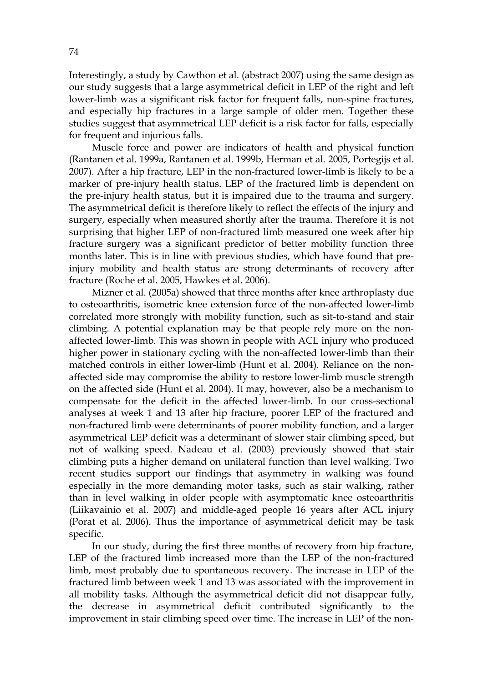Interestingly, a study by Cawthon et al. (abstract 2007) using the same design as our study suggests that a large asymmetrical deficit in LEP of the right and left lower-limb was a significant risk factor for frequent falls, non-spine fractures, and especially hip fractures in a large sample of older men. Together these studies suggest that asymmetrical LEP deficit is a risk factor for falls, especially for frequent and injurious falls.

Muscle force and power are indicators of health and physical function (Rantanen et al. 1999a, Rantanen et al. 1999b, Herman et al. 2005, Portegijs et al. 2007). After a hip fracture, LEP in the non-fractured lower-limb is likely to be a marker of pre-injury health status. LEP of the fractured limb is dependent on the pre-injury health status, but it is impaired due to the trauma and surgery. The asymmetrical deficit is therefore likely to reflect the effects of the injury and surgery, especially when measured shortly after the trauma. Therefore it is not surprising that higher LEP of non-fractured limb measured one week after hip fracture surgery was a significant predictor of better mobility function three months later. This is in line with previous studies, which have found that preinjury mobility and health status are strong determinants of recovery after fracture (Roche et al. 2005, Hawkes et al. 2006).

Mizner et al. (2005a) showed that three months after knee arthroplasty due to osteoarthritis, isometric knee extension force of the non-affected lower-limb correlated more strongly with mobility function, such as sit-to-stand and stair climbing. A potential explanation may be that people rely more on the nonaffected lower-limb. This was shown in people with ACL injury who produced higher power in stationary cycling with the non-affected lower-limb than their matched controls in either lower-limb (Hunt et al. 2004). Reliance on the nonaffected side may compromise the ability to restore lower-limb muscle strength on the affected side (Hunt et al. 2004). It may, however, also be a mechanism to compensate for the deficit in the affected lower-limb. In our cross-sectional analyses at week 1 and 13 after hip fracture, poorer LEP of the fractured and non-fractured limb were determinants of poorer mobility function, and a larger asymmetrical LEP deficit was a determinant of slower stair climbing speed, but not of walking speed. Nadeau et al. (2003) previously showed that stair climbing puts a higher demand on unilateral function than level walking. Two recent studies support our findings that asymmetry in walking was found especially in the more demanding motor tasks, such as stair walking, rather than in level walking in older people with asymptomatic knee osteoarthritis (Liikavainio et al. 2007) and middle-aged people 16 years after ACL injury (Porat et al. 2006). Thus the importance of asymmetrical deficit may be task specific.

In our study, during the first three months of recovery from hip fracture, LEP of the fractured limb increased more than the LEP of the non-fractured limb, most probably due to spontaneous recovery. The increase in LEP of the fractured limb between week 1 and 13 was associated with the improvement in all mobility tasks. Although the asymmetrical deficit did not disappear fully, the decrease in asymmetrical deficit contributed significantly to the improvement in stair climbing speed over time. The increase in LEP of the non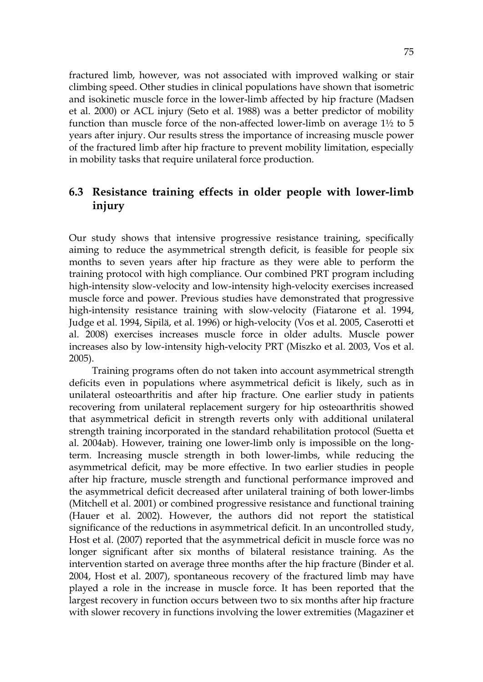fractured limb, however, was not associated with improved walking or stair climbing speed. Other studies in clinical populations have shown that isometric and isokinetic muscle force in the lower-limb affected by hip fracture (Madsen et al. 2000) or ACL injury (Seto et al. 1988) was a better predictor of mobility function than muscle force of the non-affected lower-limb on average 1½ to 5 years after injury. Our results stress the importance of increasing muscle power of the fractured limb after hip fracture to prevent mobility limitation, especially in mobility tasks that require unilateral force production.

## **6.3 Resistance training effects in older people with lower-limb injury**

Our study shows that intensive progressive resistance training, specifically aiming to reduce the asymmetrical strength deficit, is feasible for people six months to seven years after hip fracture as they were able to perform the training protocol with high compliance. Our combined PRT program including high-intensity slow-velocity and low-intensity high-velocity exercises increased muscle force and power. Previous studies have demonstrated that progressive high-intensity resistance training with slow-velocity (Fiatarone et al. 1994, Judge et al. 1994, Sipilä, et al. 1996) or high-velocity (Vos et al. 2005, Caserotti et al. 2008) exercises increases muscle force in older adults. Muscle power increases also by low-intensity high-velocity PRT (Miszko et al. 2003, Vos et al. 2005).

Training programs often do not taken into account asymmetrical strength deficits even in populations where asymmetrical deficit is likely, such as in unilateral osteoarthritis and after hip fracture. One earlier study in patients recovering from unilateral replacement surgery for hip osteoarthritis showed that asymmetrical deficit in strength reverts only with additional unilateral strength training incorporated in the standard rehabilitation protocol (Suetta et al. 2004ab). However, training one lower-limb only is impossible on the longterm. Increasing muscle strength in both lower-limbs, while reducing the asymmetrical deficit, may be more effective. In two earlier studies in people after hip fracture, muscle strength and functional performance improved and the asymmetrical deficit decreased after unilateral training of both lower-limbs (Mitchell et al. 2001) or combined progressive resistance and functional training (Hauer et al. 2002). However, the authors did not report the statistical significance of the reductions in asymmetrical deficit. In an uncontrolled study, Host et al. (2007) reported that the asymmetrical deficit in muscle force was no longer significant after six months of bilateral resistance training. As the intervention started on average three months after the hip fracture (Binder et al. 2004, Host et al. 2007), spontaneous recovery of the fractured limb may have played a role in the increase in muscle force. It has been reported that the largest recovery in function occurs between two to six months after hip fracture with slower recovery in functions involving the lower extremities (Magaziner et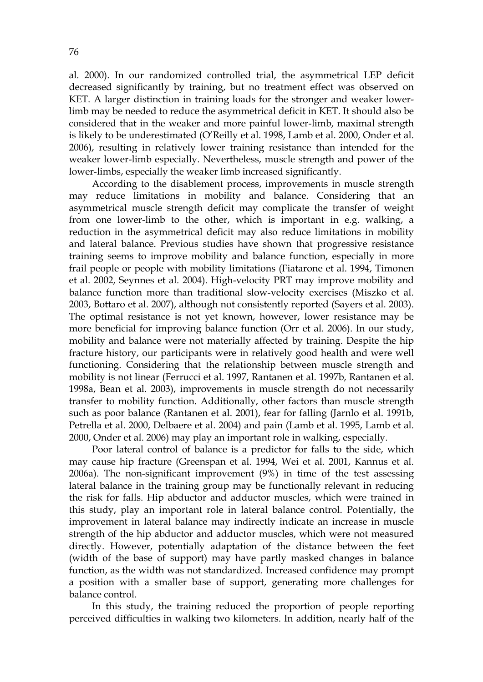al. 2000). In our randomized controlled trial, the asymmetrical LEP deficit decreased significantly by training, but no treatment effect was observed on KET. A larger distinction in training loads for the stronger and weaker lowerlimb may be needed to reduce the asymmetrical deficit in KET. It should also be considered that in the weaker and more painful lower-limb, maximal strength is likely to be underestimated (O'Reilly et al. 1998, Lamb et al. 2000, Onder et al. 2006), resulting in relatively lower training resistance than intended for the weaker lower-limb especially. Nevertheless, muscle strength and power of the lower-limbs, especially the weaker limb increased significantly.

According to the disablement process, improvements in muscle strength may reduce limitations in mobility and balance. Considering that an asymmetrical muscle strength deficit may complicate the transfer of weight from one lower-limb to the other, which is important in e.g. walking, a reduction in the asymmetrical deficit may also reduce limitations in mobility and lateral balance. Previous studies have shown that progressive resistance training seems to improve mobility and balance function, especially in more frail people or people with mobility limitations (Fiatarone et al. 1994, Timonen et al. 2002, Seynnes et al. 2004). High-velocity PRT may improve mobility and balance function more than traditional slow-velocity exercises (Miszko et al. 2003, Bottaro et al. 2007), although not consistently reported (Sayers et al. 2003). The optimal resistance is not yet known, however, lower resistance may be more beneficial for improving balance function (Orr et al. 2006). In our study, mobility and balance were not materially affected by training. Despite the hip fracture history, our participants were in relatively good health and were well functioning. Considering that the relationship between muscle strength and mobility is not linear (Ferrucci et al. 1997, Rantanen et al. 1997b, Rantanen et al. 1998a, Bean et al. 2003), improvements in muscle strength do not necessarily transfer to mobility function. Additionally, other factors than muscle strength such as poor balance (Rantanen et al. 2001), fear for falling (Jarnlo et al. 1991b, Petrella et al. 2000, Delbaere et al. 2004) and pain (Lamb et al. 1995, Lamb et al. 2000, Onder et al. 2006) may play an important role in walking, especially.

Poor lateral control of balance is a predictor for falls to the side, which may cause hip fracture (Greenspan et al. 1994, Wei et al. 2001, Kannus et al. 2006a). The non-significant improvement (9%) in time of the test assessing lateral balance in the training group may be functionally relevant in reducing the risk for falls. Hip abductor and adductor muscles, which were trained in this study, play an important role in lateral balance control. Potentially, the improvement in lateral balance may indirectly indicate an increase in muscle strength of the hip abductor and adductor muscles, which were not measured directly. However, potentially adaptation of the distance between the feet (width of the base of support) may have partly masked changes in balance function, as the width was not standardized. Increased confidence may prompt a position with a smaller base of support, generating more challenges for balance control.

In this study, the training reduced the proportion of people reporting perceived difficulties in walking two kilometers. In addition, nearly half of the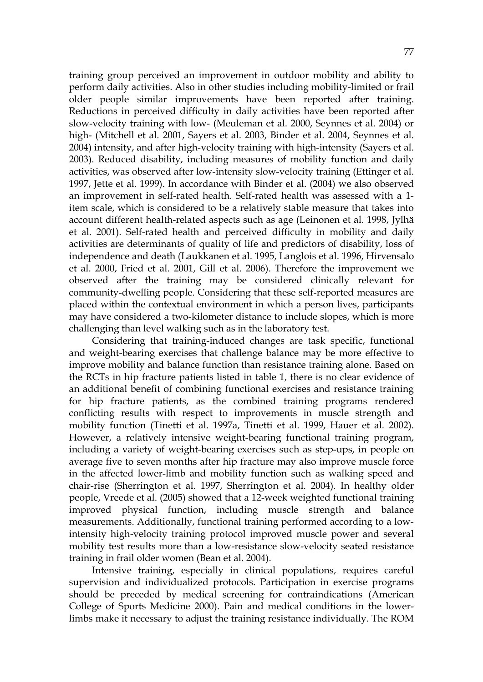training group perceived an improvement in outdoor mobility and ability to perform daily activities. Also in other studies including mobility-limited or frail older people similar improvements have been reported after training. Reductions in perceived difficulty in daily activities have been reported after slow-velocity training with low- (Meuleman et al. 2000, Seynnes et al. 2004) or high- (Mitchell et al. 2001, Sayers et al. 2003, Binder et al. 2004, Seynnes et al. 2004) intensity, and after high-velocity training with high-intensity (Sayers et al. 2003). Reduced disability, including measures of mobility function and daily activities, was observed after low-intensity slow-velocity training (Ettinger et al. 1997, Jette et al. 1999). In accordance with Binder et al. (2004) we also observed an improvement in self-rated health. Self-rated health was assessed with a 1 item scale, which is considered to be a relatively stable measure that takes into account different health-related aspects such as age (Leinonen et al. 1998, Jylhä et al. 2001). Self-rated health and perceived difficulty in mobility and daily activities are determinants of quality of life and predictors of disability, loss of independence and death (Laukkanen et al. 1995, Langlois et al. 1996, Hirvensalo et al. 2000, Fried et al. 2001, Gill et al. 2006). Therefore the improvement we observed after the training may be considered clinically relevant for community-dwelling people. Considering that these self-reported measures are placed within the contextual environment in which a person lives, participants may have considered a two-kilometer distance to include slopes, which is more challenging than level walking such as in the laboratory test.

Considering that training-induced changes are task specific, functional and weight-bearing exercises that challenge balance may be more effective to improve mobility and balance function than resistance training alone. Based on the RCTs in hip fracture patients listed in table 1, there is no clear evidence of an additional benefit of combining functional exercises and resistance training for hip fracture patients, as the combined training programs rendered conflicting results with respect to improvements in muscle strength and mobility function (Tinetti et al. 1997a, Tinetti et al. 1999, Hauer et al. 2002). However, a relatively intensive weight-bearing functional training program, including a variety of weight-bearing exercises such as step-ups, in people on average five to seven months after hip fracture may also improve muscle force in the affected lower-limb and mobility function such as walking speed and chair-rise (Sherrington et al. 1997, Sherrington et al. 2004). In healthy older people, Vreede et al. (2005) showed that a 12-week weighted functional training improved physical function, including muscle strength and balance measurements. Additionally, functional training performed according to a lowintensity high-velocity training protocol improved muscle power and several mobility test results more than a low-resistance slow-velocity seated resistance training in frail older women (Bean et al. 2004).

Intensive training, especially in clinical populations, requires careful supervision and individualized protocols. Participation in exercise programs should be preceded by medical screening for contraindications (American College of Sports Medicine 2000). Pain and medical conditions in the lowerlimbs make it necessary to adjust the training resistance individually. The ROM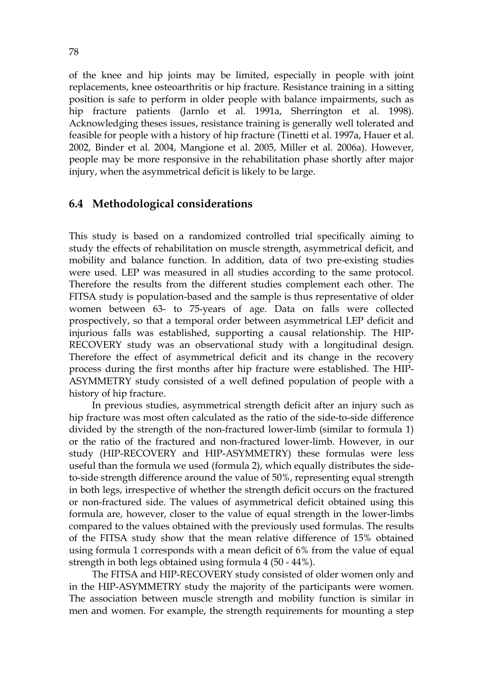of the knee and hip joints may be limited, especially in people with joint replacements, knee osteoarthritis or hip fracture. Resistance training in a sitting position is safe to perform in older people with balance impairments, such as hip fracture patients (Jarnlo et al. 1991a, Sherrington et al. 1998). Acknowledging theses issues, resistance training is generally well tolerated and feasible for people with a history of hip fracture (Tinetti et al. 1997a, Hauer et al. 2002, Binder et al. 2004, Mangione et al. 2005, Miller et al. 2006a). However, people may be more responsive in the rehabilitation phase shortly after major injury, when the asymmetrical deficit is likely to be large.

#### **6.4 Methodological considerations**

This study is based on a randomized controlled trial specifically aiming to study the effects of rehabilitation on muscle strength, asymmetrical deficit, and mobility and balance function. In addition, data of two pre-existing studies were used. LEP was measured in all studies according to the same protocol. Therefore the results from the different studies complement each other. The FITSA study is population-based and the sample is thus representative of older women between 63- to 75-years of age. Data on falls were collected prospectively, so that a temporal order between asymmetrical LEP deficit and injurious falls was established, supporting a causal relationship. The HIP-RECOVERY study was an observational study with a longitudinal design. Therefore the effect of asymmetrical deficit and its change in the recovery process during the first months after hip fracture were established. The HIP-ASYMMETRY study consisted of a well defined population of people with a history of hip fracture.

In previous studies, asymmetrical strength deficit after an injury such as hip fracture was most often calculated as the ratio of the side-to-side difference divided by the strength of the non-fractured lower-limb (similar to formula 1) or the ratio of the fractured and non-fractured lower-limb. However, in our study (HIP-RECOVERY and HIP-ASYMMETRY) these formulas were less useful than the formula we used (formula 2), which equally distributes the sideto-side strength difference around the value of 50%, representing equal strength in both legs, irrespective of whether the strength deficit occurs on the fractured or non-fractured side. The values of asymmetrical deficit obtained using this formula are, however, closer to the value of equal strength in the lower-limbs compared to the values obtained with the previously used formulas. The results of the FITSA study show that the mean relative difference of 15% obtained using formula 1 corresponds with a mean deficit of 6% from the value of equal strength in both legs obtained using formula 4 (50 - 44%).

The FITSA and HIP-RECOVERY study consisted of older women only and in the HIP-ASYMMETRY study the majority of the participants were women. The association between muscle strength and mobility function is similar in men and women. For example, the strength requirements for mounting a step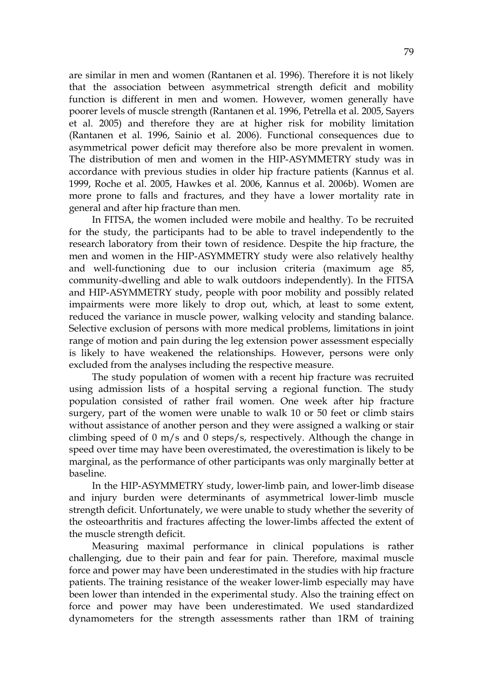are similar in men and women (Rantanen et al. 1996). Therefore it is not likely that the association between asymmetrical strength deficit and mobility function is different in men and women. However, women generally have poorer levels of muscle strength (Rantanen et al. 1996, Petrella et al. 2005, Sayers et al. 2005) and therefore they are at higher risk for mobility limitation (Rantanen et al. 1996, Sainio et al. 2006). Functional consequences due to asymmetrical power deficit may therefore also be more prevalent in women. The distribution of men and women in the HIP-ASYMMETRY study was in accordance with previous studies in older hip fracture patients (Kannus et al. 1999, Roche et al. 2005, Hawkes et al. 2006, Kannus et al. 2006b). Women are more prone to falls and fractures, and they have a lower mortality rate in general and after hip fracture than men.

In FITSA, the women included were mobile and healthy. To be recruited for the study, the participants had to be able to travel independently to the research laboratory from their town of residence. Despite the hip fracture, the men and women in the HIP-ASYMMETRY study were also relatively healthy and well-functioning due to our inclusion criteria (maximum age 85, community-dwelling and able to walk outdoors independently). In the FITSA and HIP-ASYMMETRY study, people with poor mobility and possibly related impairments were more likely to drop out, which, at least to some extent, reduced the variance in muscle power, walking velocity and standing balance. Selective exclusion of persons with more medical problems, limitations in joint range of motion and pain during the leg extension power assessment especially is likely to have weakened the relationships. However, persons were only excluded from the analyses including the respective measure.

The study population of women with a recent hip fracture was recruited using admission lists of a hospital serving a regional function. The study population consisted of rather frail women. One week after hip fracture surgery, part of the women were unable to walk 10 or 50 feet or climb stairs without assistance of another person and they were assigned a walking or stair climbing speed of 0 m/s and 0 steps/s, respectively. Although the change in speed over time may have been overestimated, the overestimation is likely to be marginal, as the performance of other participants was only marginally better at baseline.

In the HIP-ASYMMETRY study, lower-limb pain, and lower-limb disease and injury burden were determinants of asymmetrical lower-limb muscle strength deficit. Unfortunately, we were unable to study whether the severity of the osteoarthritis and fractures affecting the lower-limbs affected the extent of the muscle strength deficit.

Measuring maximal performance in clinical populations is rather challenging, due to their pain and fear for pain. Therefore, maximal muscle force and power may have been underestimated in the studies with hip fracture patients. The training resistance of the weaker lower-limb especially may have been lower than intended in the experimental study. Also the training effect on force and power may have been underestimated. We used standardized dynamometers for the strength assessments rather than 1RM of training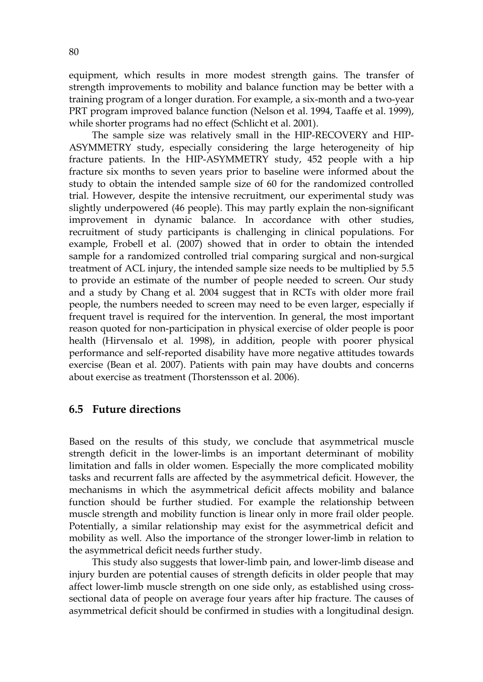equipment, which results in more modest strength gains. The transfer of strength improvements to mobility and balance function may be better with a training program of a longer duration. For example, a six-month and a two-year PRT program improved balance function (Nelson et al. 1994, Taaffe et al. 1999), while shorter programs had no effect (Schlicht et al. 2001).

The sample size was relatively small in the HIP-RECOVERY and HIP-ASYMMETRY study, especially considering the large heterogeneity of hip fracture patients. In the HIP-ASYMMETRY study, 452 people with a hip fracture six months to seven years prior to baseline were informed about the study to obtain the intended sample size of 60 for the randomized controlled trial. However, despite the intensive recruitment, our experimental study was slightly underpowered (46 people). This may partly explain the non-significant improvement in dynamic balance. In accordance with other studies, recruitment of study participants is challenging in clinical populations. For example, Frobell et al. (2007) showed that in order to obtain the intended sample for a randomized controlled trial comparing surgical and non-surgical treatment of ACL injury, the intended sample size needs to be multiplied by 5.5 to provide an estimate of the number of people needed to screen. Our study and a study by Chang et al. 2004 suggest that in RCTs with older more frail people, the numbers needed to screen may need to be even larger, especially if frequent travel is required for the intervention. In general, the most important reason quoted for non-participation in physical exercise of older people is poor health (Hirvensalo et al. 1998), in addition, people with poorer physical performance and self-reported disability have more negative attitudes towards exercise (Bean et al. 2007). Patients with pain may have doubts and concerns about exercise as treatment (Thorstensson et al. 2006).

#### **6.5 Future directions**

Based on the results of this study, we conclude that asymmetrical muscle strength deficit in the lower-limbs is an important determinant of mobility limitation and falls in older women. Especially the more complicated mobility tasks and recurrent falls are affected by the asymmetrical deficit. However, the mechanisms in which the asymmetrical deficit affects mobility and balance function should be further studied. For example the relationship between muscle strength and mobility function is linear only in more frail older people. Potentially, a similar relationship may exist for the asymmetrical deficit and mobility as well. Also the importance of the stronger lower-limb in relation to the asymmetrical deficit needs further study.

This study also suggests that lower-limb pain, and lower-limb disease and injury burden are potential causes of strength deficits in older people that may affect lower-limb muscle strength on one side only, as established using crosssectional data of people on average four years after hip fracture. The causes of asymmetrical deficit should be confirmed in studies with a longitudinal design.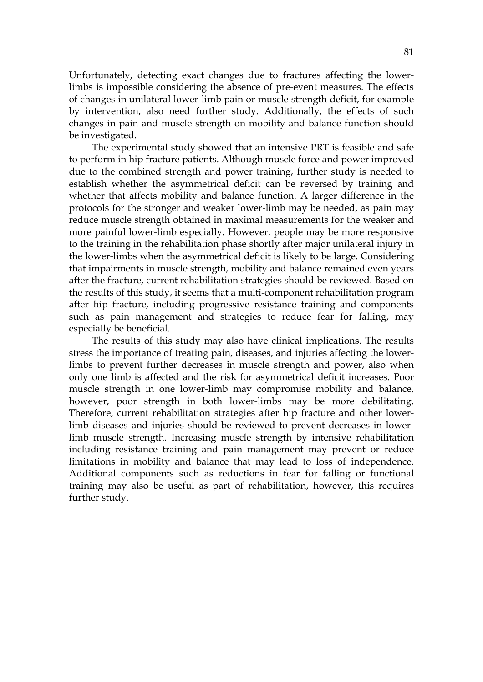Unfortunately, detecting exact changes due to fractures affecting the lowerlimbs is impossible considering the absence of pre-event measures. The effects of changes in unilateral lower-limb pain or muscle strength deficit, for example by intervention, also need further study. Additionally, the effects of such changes in pain and muscle strength on mobility and balance function should be investigated.

The experimental study showed that an intensive PRT is feasible and safe to perform in hip fracture patients. Although muscle force and power improved due to the combined strength and power training, further study is needed to establish whether the asymmetrical deficit can be reversed by training and whether that affects mobility and balance function. A larger difference in the protocols for the stronger and weaker lower-limb may be needed, as pain may reduce muscle strength obtained in maximal measurements for the weaker and more painful lower-limb especially. However, people may be more responsive to the training in the rehabilitation phase shortly after major unilateral injury in the lower-limbs when the asymmetrical deficit is likely to be large. Considering that impairments in muscle strength, mobility and balance remained even years after the fracture, current rehabilitation strategies should be reviewed. Based on the results of this study, it seems that a multi-component rehabilitation program after hip fracture, including progressive resistance training and components such as pain management and strategies to reduce fear for falling, may especially be beneficial.

The results of this study may also have clinical implications. The results stress the importance of treating pain, diseases, and injuries affecting the lowerlimbs to prevent further decreases in muscle strength and power, also when only one limb is affected and the risk for asymmetrical deficit increases. Poor muscle strength in one lower-limb may compromise mobility and balance, however, poor strength in both lower-limbs may be more debilitating. Therefore, current rehabilitation strategies after hip fracture and other lowerlimb diseases and injuries should be reviewed to prevent decreases in lowerlimb muscle strength. Increasing muscle strength by intensive rehabilitation including resistance training and pain management may prevent or reduce limitations in mobility and balance that may lead to loss of independence. Additional components such as reductions in fear for falling or functional training may also be useful as part of rehabilitation, however, this requires further study.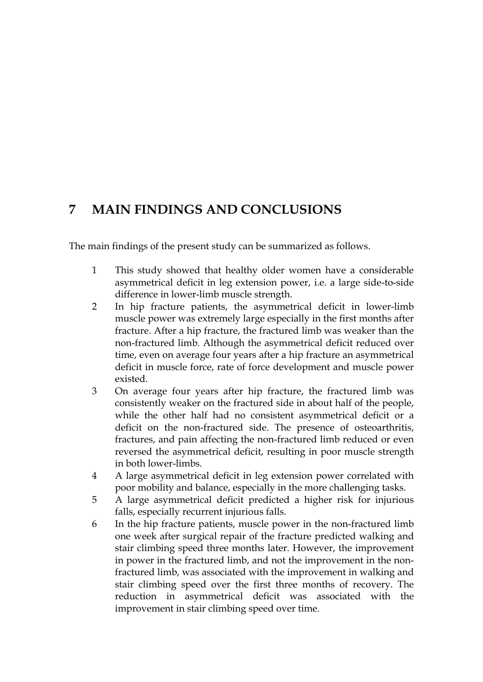# **7 MAIN FINDINGS AND CONCLUSIONS**

The main findings of the present study can be summarized as follows.

- 1 This study showed that healthy older women have a considerable asymmetrical deficit in leg extension power, i.e. a large side-to-side difference in lower-limb muscle strength.
- 2 In hip fracture patients, the asymmetrical deficit in lower-limb muscle power was extremely large especially in the first months after fracture. After a hip fracture, the fractured limb was weaker than the non-fractured limb. Although the asymmetrical deficit reduced over time, even on average four years after a hip fracture an asymmetrical deficit in muscle force, rate of force development and muscle power existed.
- 3 On average four years after hip fracture, the fractured limb was consistently weaker on the fractured side in about half of the people, while the other half had no consistent asymmetrical deficit or a deficit on the non-fractured side. The presence of osteoarthritis, fractures, and pain affecting the non-fractured limb reduced or even reversed the asymmetrical deficit, resulting in poor muscle strength in both lower-limbs.
- 4 A large asymmetrical deficit in leg extension power correlated with poor mobility and balance, especially in the more challenging tasks.
- 5 A large asymmetrical deficit predicted a higher risk for injurious falls, especially recurrent injurious falls.
- 6 In the hip fracture patients, muscle power in the non-fractured limb one week after surgical repair of the fracture predicted walking and stair climbing speed three months later. However, the improvement in power in the fractured limb, and not the improvement in the nonfractured limb, was associated with the improvement in walking and stair climbing speed over the first three months of recovery. The reduction in asymmetrical deficit was associated with the improvement in stair climbing speed over time.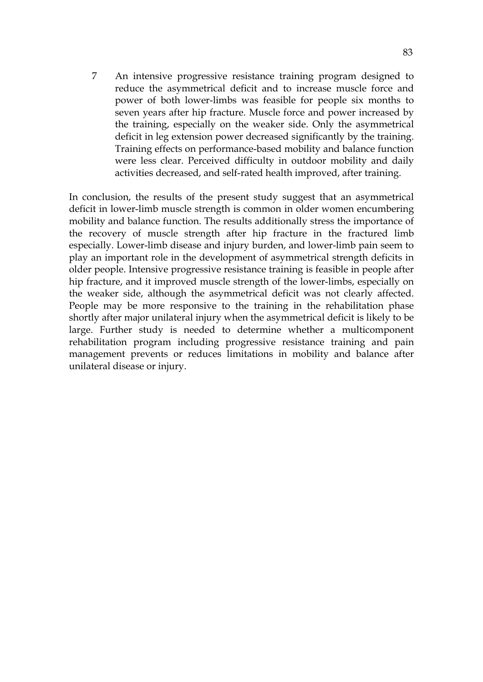7 An intensive progressive resistance training program designed to reduce the asymmetrical deficit and to increase muscle force and power of both lower-limbs was feasible for people six months to seven years after hip fracture. Muscle force and power increased by the training, especially on the weaker side. Only the asymmetrical deficit in leg extension power decreased significantly by the training. Training effects on performance-based mobility and balance function were less clear. Perceived difficulty in outdoor mobility and daily activities decreased, and self-rated health improved, after training.

In conclusion, the results of the present study suggest that an asymmetrical deficit in lower-limb muscle strength is common in older women encumbering mobility and balance function. The results additionally stress the importance of the recovery of muscle strength after hip fracture in the fractured limb especially. Lower-limb disease and injury burden, and lower-limb pain seem to play an important role in the development of asymmetrical strength deficits in older people. Intensive progressive resistance training is feasible in people after hip fracture, and it improved muscle strength of the lower-limbs, especially on the weaker side, although the asymmetrical deficit was not clearly affected. People may be more responsive to the training in the rehabilitation phase shortly after major unilateral injury when the asymmetrical deficit is likely to be large. Further study is needed to determine whether a multicomponent rehabilitation program including progressive resistance training and pain management prevents or reduces limitations in mobility and balance after unilateral disease or injury.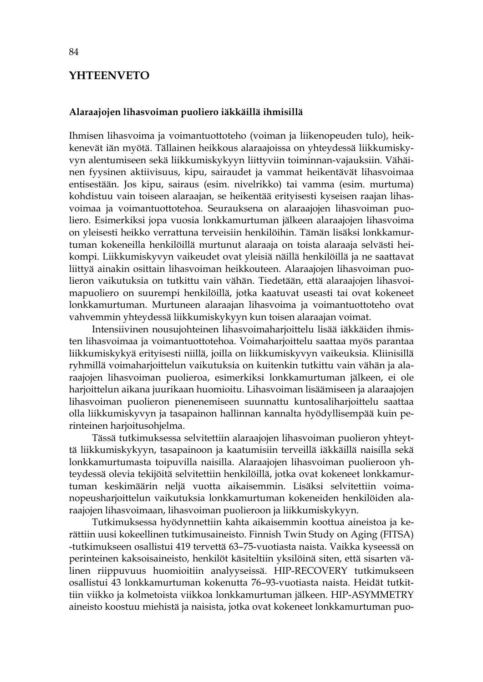### **YHTEENVETO**

#### **Alaraajojen lihasvoiman puoliero iäkkäillä ihmisillä**

Ihmisen lihasvoima ja voimantuottoteho (voiman ja liikenopeuden tulo), heikkenevät iän myötä. Tällainen heikkous alaraajoissa on yhteydessä liikkumiskyvyn alentumiseen sekä liikkumiskykyyn liittyviin toiminnan-vajauksiin. Vähäinen fyysinen aktiivisuus, kipu, sairaudet ja vammat heikentävät lihasvoimaa entisestään. Jos kipu, sairaus (esim. nivelrikko) tai vamma (esim. murtuma) kohdistuu vain toiseen alaraajan, se heikentää erityisesti kyseisen raajan lihasvoimaa ja voimantuottotehoa. Seurauksena on alaraajojen lihasvoiman puoliero. Esimerkiksi jopa vuosia lonkkamurtuman jälkeen alaraajojen lihasvoima on yleisesti heikko verrattuna terveisiin henkilöihin. Tämän lisäksi lonkkamurtuman kokeneilla henkilöillä murtunut alaraaja on toista alaraaja selvästi heikompi. Liikkumiskyvyn vaikeudet ovat yleisiä näillä henkilöillä ja ne saattavat liittyä ainakin osittain lihasvoiman heikkouteen. Alaraajojen lihasvoiman puolieron vaikutuksia on tutkittu vain vähän. Tiedetään, että alaraajojen lihasvoimapuoliero on suurempi henkilöillä, jotka kaatuvat useasti tai ovat kokeneet lonkkamurtuman. Murtuneen alaraajan lihasvoima ja voimantuottoteho ovat vahvemmin yhteydessä liikkumiskykyyn kun toisen alaraajan voimat.

Intensiivinen nousujohteinen lihasvoimaharjoittelu lisää iäkkäiden ihmisten lihasvoimaa ja voimantuottotehoa. Voimaharjoittelu saattaa myös parantaa liikkumiskykyä erityisesti niillä, joilla on liikkumiskyvyn vaikeuksia. Kliinisillä ryhmillä voimaharjoittelun vaikutuksia on kuitenkin tutkittu vain vähän ja alaraajojen lihasvoiman puolieroa, esimerkiksi lonkkamurtuman jälkeen, ei ole harjoittelun aikana juurikaan huomioitu. Lihasvoiman lisäämiseen ja alaraajojen lihasvoiman puolieron pienenemiseen suunnattu kuntosaliharjoittelu saattaa olla liikkumiskyvyn ja tasapainon hallinnan kannalta hyödyllisempää kuin perinteinen harjoitusohjelma.

Tässä tutkimuksessa selvitettiin alaraajojen lihasvoiman puolieron yhteyttä liikkumiskykyyn, tasapainoon ja kaatumisiin terveillä iäkkäillä naisilla sekä lonkkamurtumasta toipuvilla naisilla. Alaraajojen lihasvoiman puolieroon yhteydessä olevia tekijöitä selvitettiin henkilöillä, jotka ovat kokeneet lonkkamurtuman keskimäärin neljä vuotta aikaisemmin. Lisäksi selvitettiin voimanopeusharjoittelun vaikutuksia lonkkamurtuman kokeneiden henkilöiden alaraajojen lihasvoimaan, lihasvoiman puolieroon ja liikkumiskykyyn.

Tutkimuksessa hyödynnettiin kahta aikaisemmin koottua aineistoa ja kerättiin uusi kokeellinen tutkimusaineisto. Finnish Twin Study on Aging (FITSA) -tutkimukseen osallistui 419 tervettä 63–75-vuotiasta naista. Vaikka kyseessä on perinteinen kaksoisaineisto, henkilöt käsiteltiin yksilöinä siten, että sisarten välinen riippuvuus huomioitiin analyyseissä. HIP-RECOVERY tutkimukseen osallistui 43 lonkkamurtuman kokenutta 76–93-vuotiasta naista. Heidät tutkittiin viikko ja kolmetoista viikkoa lonkkamurtuman jälkeen. HIP-ASYMMETRY aineisto koostuu miehistä ja naisista, jotka ovat kokeneet lonkkamurtuman puo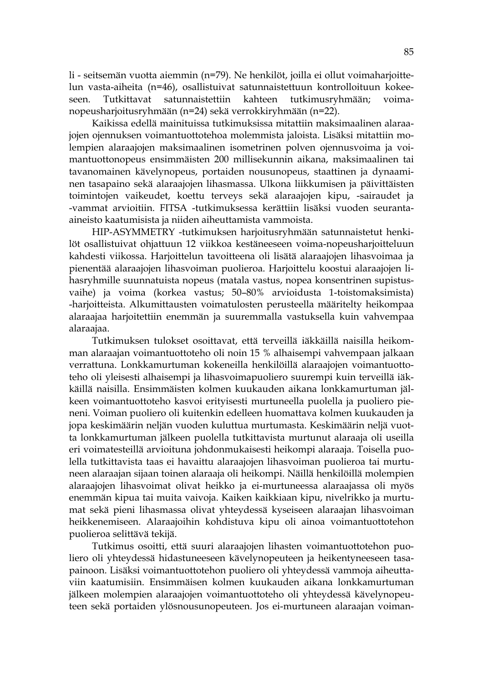li - seitsemän vuotta aiemmin (n=79). Ne henkilöt, joilla ei ollut voimaharjoittelun vasta-aiheita (n=46), osallistuivat satunnaistettuun kontrolloituun kokeeseen. Tutkittavat satunnaistettiin kahteen tutkimusryhmään; voimanopeusharjoitusryhmään (n=24) sekä verrokkiryhmään (n=22).

Kaikissa edellä mainituissa tutkimuksissa mitattiin maksimaalinen alaraajojen ojennuksen voimantuottotehoa molemmista jaloista. Lisäksi mitattiin molempien alaraajojen maksimaalinen isometrinen polven ojennusvoima ja voimantuottonopeus ensimmäisten 200 millisekunnin aikana, maksimaalinen tai tavanomainen kävelynopeus, portaiden nousunopeus, staattinen ja dynaaminen tasapaino sekä alaraajojen lihasmassa. Ulkona liikkumisen ja päivittäisten toimintojen vaikeudet, koettu terveys sekä alaraajojen kipu, -sairaudet ja -vammat arvioitiin. FITSA -tutkimuksessa kerättiin lisäksi vuoden seurantaaineisto kaatumisista ja niiden aiheuttamista vammoista.

HIP-ASYMMETRY -tutkimuksen harjoitusryhmään satunnaistetut henkilöt osallistuivat ohjattuun 12 viikkoa kestäneeseen voima-nopeusharjoitteluun kahdesti viikossa. Harjoittelun tavoitteena oli lisätä alaraajojen lihasvoimaa ja pienentää alaraajojen lihasvoiman puolieroa. Harjoittelu koostui alaraajojen lihasryhmille suunnatuista nopeus (matala vastus, nopea konsentrinen supistusvaihe) ja voima (korkea vastus; 50–80% arvioidusta 1-toistomaksimista) -harjoitteista. Alkumittausten voimatulosten perusteella määritelty heikompaa alaraajaa harjoitettiin enemmän ja suuremmalla vastuksella kuin vahvempaa alaraajaa.

Tutkimuksen tulokset osoittavat, että terveillä iäkkäillä naisilla heikomman alaraajan voimantuottoteho oli noin 15 % alhaisempi vahvempaan jalkaan verrattuna. Lonkkamurtuman kokeneilla henkilöillä alaraajojen voimantuottoteho oli yleisesti alhaisempi ja lihasvoimapuoliero suurempi kuin terveillä iäkkäillä naisilla. Ensimmäisten kolmen kuukauden aikana lonkkamurtuman jälkeen voimantuottoteho kasvoi erityisesti murtuneella puolella ja puoliero pieneni. Voiman puoliero oli kuitenkin edelleen huomattava kolmen kuukauden ja jopa keskimäärin neljän vuoden kuluttua murtumasta. Keskimäärin neljä vuotta lonkkamurtuman jälkeen puolella tutkittavista murtunut alaraaja oli useilla eri voimatesteillä arvioituna johdonmukaisesti heikompi alaraaja. Toisella puolella tutkittavista taas ei havaittu alaraajojen lihasvoiman puolieroa tai murtuneen alaraajan sijaan toinen alaraaja oli heikompi. Näillä henkilöillä molempien alaraajojen lihasvoimat olivat heikko ja ei-murtuneessa alaraajassa oli myös enemmän kipua tai muita vaivoja. Kaiken kaikkiaan kipu, nivelrikko ja murtumat sekä pieni lihasmassa olivat yhteydessä kyseiseen alaraajan lihasvoiman heikkenemiseen. Alaraajoihin kohdistuva kipu oli ainoa voimantuottotehon puolieroa selittävä tekijä.

Tutkimus osoitti, että suuri alaraajojen lihasten voimantuottotehon puoliero oli yhteydessä hidastuneeseen kävelynopeuteen ja heikentyneeseen tasapainoon. Lisäksi voimantuottotehon puoliero oli yhteydessä vammoja aiheuttaviin kaatumisiin. Ensimmäisen kolmen kuukauden aikana lonkkamurtuman jälkeen molempien alaraajojen voimantuottoteho oli yhteydessä kävelynopeuteen sekä portaiden ylösnousunopeuteen. Jos ei-murtuneen alaraajan voiman-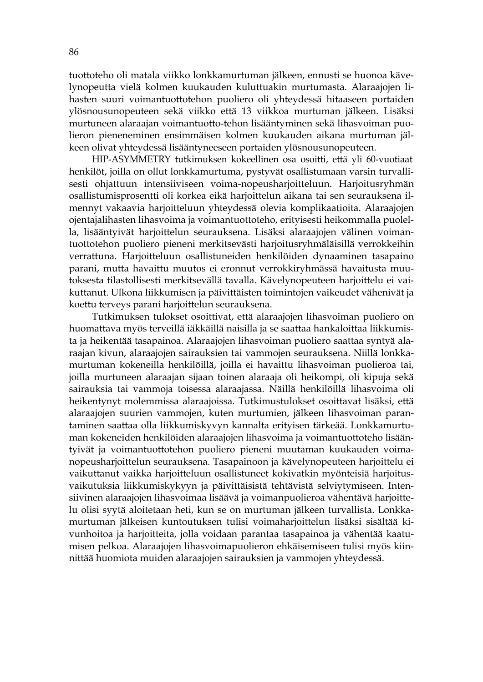tuottoteho oli matala viikko lonkkamurtuman jälkeen, ennusti se huonoa kävelynopeutta vielä kolmen kuukauden kuluttuakin murtumasta. Alaraajojen lihasten suuri voimantuottotehon puoliero oli yhteydessä hitaaseen portaiden ylösnousunopeuteen sekä viikko että 13 viikkoa murtuman jälkeen. Lisäksi murtuneen alaraajan voimantuotto-tehon lisääntyminen sekä lihasvoiman puolieron pieneneminen ensimmäisen kolmen kuukauden aikana murtuman jälkeen olivat yhteydessä lisääntyneeseen portaiden ylösnousunopeuteen.

HIP-ASYMMETRY tutkimuksen kokeellinen osa osoitti, että yli 60-vuotiaat henkilöt, joilla on ollut lonkkamurtuma, pystyvät osallistumaan varsin turvallisesti ohjattuun intensiiviseen voima-nopeusharjoitteluun. Harjoitusryhmän osallistumisprosentti oli korkea eikä harjoittelun aikana tai sen seurauksena ilmennyt vakaavia harjoitteluun yhteydessä olevia komplikaatioita. Alaraajojen ojentajalihasten lihasvoima ja voimantuottoteho, erityisesti heikommalla puolella, lisääntyivät harjoittelun seurauksena. Lisäksi alaraajojen välinen voimantuottotehon puoliero pieneni merkitsevästi harjoitusryhmäläisillä verrokkeihin verrattuna. Harjoitteluun osallistuneiden henkilöiden dynaaminen tasapaino parani, mutta havaittu muutos ei eronnut verrokkiryhmässä havaitusta muutoksesta tilastollisesti merkitsevällä tavalla. Kävelynopeuteen harjoittelu ei vaikuttanut. Ulkona liikkumisen ja päivittäisten toimintojen vaikeudet vähenivät ja koettu terveys parani harjoittelun seurauksena.

Tutkimuksen tulokset osoittivat, että alaraajojen lihasvoiman puoliero on huomattava myös terveillä iäkkäillä naisilla ja se saattaa hankaloittaa liikkumista ja heikentää tasapainoa. Alaraajojen lihasvoiman puoliero saattaa syntyä alaraajan kivun, alaraajojen sairauksien tai vammojen seurauksena. Niillä lonkkamurtuman kokeneilla henkilöillä, joilla ei havaittu lihasvoiman puolieroa tai, joilla murtuneen alaraajan sijaan toinen alaraaja oli heikompi, oli kipuja sekä sairauksia tai vammoja toisessa alaraajassa. Näillä henkilöillä lihasvoima oli heikentynyt molemmissa alaraajoissa. Tutkimustulokset osoittavat lisäksi, että alaraajojen suurien vammojen, kuten murtumien, jälkeen lihasvoiman parantaminen saattaa olla liikkumiskyvyn kannalta erityisen tärkeää. Lonkkamurtuman kokeneiden henkilöiden alaraajojen lihasvoima ja voimantuottoteho lisääntyivät ja voimantuottotehon puoliero pieneni muutaman kuukauden voimanopeusharjoittelun seurauksena. Tasapainoon ja kävelynopeuteen harjoittelu ei vaikuttanut vaikka harjoitteluun osallistuneet kokivatkin myönteisiä harjoitusvaikutuksia liikkumiskykyyn ja päivittäisistä tehtävistä selviytymiseen. Intensiivinen alaraajojen lihasvoimaa lisäävä ja voimanpuolieroa vähentävä harjoittelu olisi syytä aloitetaan heti, kun se on murtuman jälkeen turvallista. Lonkkamurtuman jälkeisen kuntoutuksen tulisi voimaharjoittelun lisäksi sisältää kivunhoitoa ja harjoitteita, jolla voidaan parantaa tasapainoa ja vähentää kaatumisen pelkoa. Alaraajojen lihasvoimapuolieron ehkäisemiseen tulisi myös kiinnittää huomiota muiden alaraajojen sairauksien ja vammojen yhteydessä.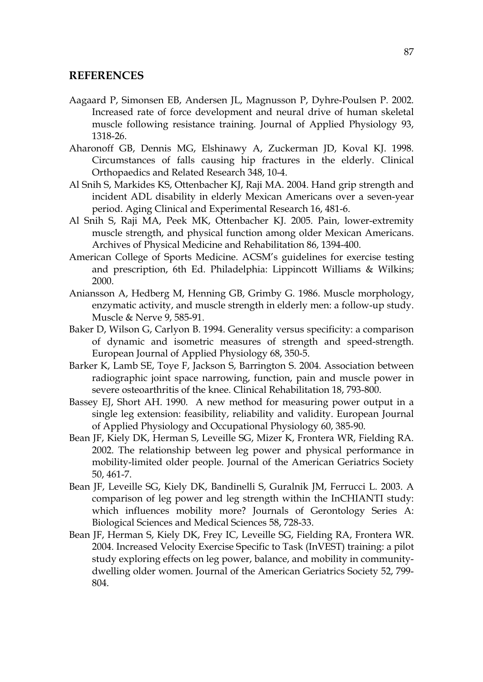#### **REFERENCES**

- Aagaard P, Simonsen EB, Andersen JL, Magnusson P, Dyhre-Poulsen P. 2002. Increased rate of force development and neural drive of human skeletal muscle following resistance training. Journal of Applied Physiology 93, 1318-26.
- Aharonoff GB, Dennis MG, Elshinawy A, Zuckerman JD, Koval KJ. 1998. Circumstances of falls causing hip fractures in the elderly. Clinical Orthopaedics and Related Research 348, 10-4.
- Al Snih S, Markides KS, Ottenbacher KJ, Raji MA. 2004. Hand grip strength and incident ADL disability in elderly Mexican Americans over a seven-year period. Aging Clinical and Experimental Research 16, 481-6.
- Al Snih S, Raji MA, Peek MK, Ottenbacher KJ. 2005. Pain, lower-extremity muscle strength, and physical function among older Mexican Americans. Archives of Physical Medicine and Rehabilitation 86, 1394-400.
- American College of Sports Medicine. ACSM's guidelines for exercise testing and prescription, 6th Ed. Philadelphia: Lippincott Williams & Wilkins; 2000.
- Aniansson A, Hedberg M, Henning GB, Grimby G. 1986. Muscle morphology, enzymatic activity, and muscle strength in elderly men: a follow-up study. Muscle & Nerve 9, 585-91.
- Baker D, Wilson G, Carlyon B. 1994. Generality versus specificity: a comparison of dynamic and isometric measures of strength and speed-strength. European Journal of Applied Physiology 68, 350-5.
- Barker K, Lamb SE, Toye F, Jackson S, Barrington S. 2004. Association between radiographic joint space narrowing, function, pain and muscle power in severe osteoarthritis of the knee. Clinical Rehabilitation 18, 793-800.
- Bassey EJ, Short AH. 1990. A new method for measuring power output in a single leg extension: feasibility, reliability and validity. European Journal of Applied Physiology and Occupational Physiology 60, 385-90.
- Bean JF, Kiely DK, Herman S, Leveille SG, Mizer K, Frontera WR, Fielding RA. 2002. The relationship between leg power and physical performance in mobility-limited older people. Journal of the American Geriatrics Society 50, 461-7.
- Bean JF, Leveille SG, Kiely DK, Bandinelli S, Guralnik JM, Ferrucci L. 2003. A comparison of leg power and leg strength within the InCHIANTI study: which influences mobility more? Journals of Gerontology Series A: Biological Sciences and Medical Sciences 58, 728-33.
- Bean JF, Herman S, Kiely DK, Frey IC, Leveille SG, Fielding RA, Frontera WR. 2004. Increased Velocity Exercise Specific to Task (InVEST) training: a pilot study exploring effects on leg power, balance, and mobility in communitydwelling older women. Journal of the American Geriatrics Society 52, 799- 804.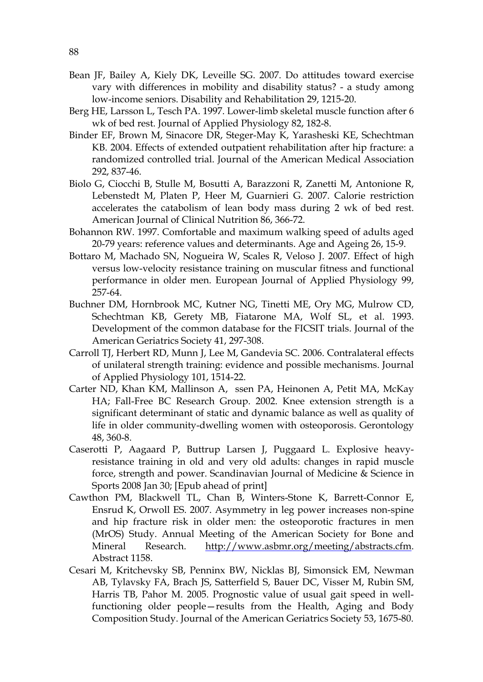- Bean JF, Bailey A, Kiely DK, Leveille SG. 2007. Do attitudes toward exercise vary with differences in mobility and disability status? - a study among low-income seniors. Disability and Rehabilitation 29, 1215-20.
- Berg HE, Larsson L, Tesch PA. 1997. Lower-limb skeletal muscle function after 6 wk of bed rest. Journal of Applied Physiology 82, 182-8.
- Binder EF, Brown M, Sinacore DR, Steger-May K, Yarasheski KE, Schechtman KB. 2004. Effects of extended outpatient rehabilitation after hip fracture: a randomized controlled trial. Journal of the American Medical Association 292, 837-46.
- Biolo G, Ciocchi B, Stulle M, Bosutti A, Barazzoni R, Zanetti M, Antonione R, Lebenstedt M, Platen P, Heer M, Guarnieri G. 2007. Calorie restriction accelerates the catabolism of lean body mass during 2 wk of bed rest. American Journal of Clinical Nutrition 86, 366-72.
- Bohannon RW. 1997. Comfortable and maximum walking speed of adults aged 20-79 years: reference values and determinants. Age and Ageing 26, 15-9.
- Bottaro M, Machado SN, Nogueira W, Scales R, Veloso J. 2007. Effect of high versus low-velocity resistance training on muscular fitness and functional performance in older men. European Journal of Applied Physiology 99, 257-64.
- Buchner DM, Hornbrook MC, Kutner NG, Tinetti ME, Ory MG, Mulrow CD, Schechtman KB, Gerety MB, Fiatarone MA, Wolf SL, et al. 1993. Development of the common database for the FICSIT trials. Journal of the American Geriatrics Society 41, 297-308.
- Carroll TJ, Herbert RD, Munn J, Lee M, Gandevia SC. 2006. Contralateral effects of unilateral strength training: evidence and possible mechanisms. Journal of Applied Physiology 101, 1514-22.
- Carter ND, Khan KM, Mallinson A, ssen PA, Heinonen A, Petit MA, McKay HA; Fall-Free BC Research Group. 2002. Knee extension strength is a significant determinant of static and dynamic balance as well as quality of life in older community-dwelling women with osteoporosis. Gerontology 48, 360-8.
- Caserotti P, Aagaard P, Buttrup Larsen J, Puggaard L. Explosive heavyresistance training in old and very old adults: changes in rapid muscle force, strength and power. Scandinavian Journal of Medicine & Science in Sports 2008 Jan 30; [Epub ahead of print]
- Cawthon PM, Blackwell TL, Chan B, Winters-Stone K, Barrett-Connor E, Ensrud K, Orwoll ES. 2007. Asymmetry in leg power increases non-spine and hip fracture risk in older men: the osteoporotic fractures in men (MrOS) Study. Annual Meeting of the American Society for Bone and Mineral Research. http://www.asbmr.org/meeting/abstracts.cfm. Abstract 1158.
- Cesari M, Kritchevsky SB, Penninx BW, Nicklas BJ, Simonsick EM, Newman AB, Tylavsky FA, Brach JS, Satterfield S, Bauer DC, Visser M, Rubin SM, Harris TB, Pahor M. 2005. Prognostic value of usual gait speed in wellfunctioning older people—results from the Health, Aging and Body Composition Study. Journal of the American Geriatrics Society 53, 1675-80.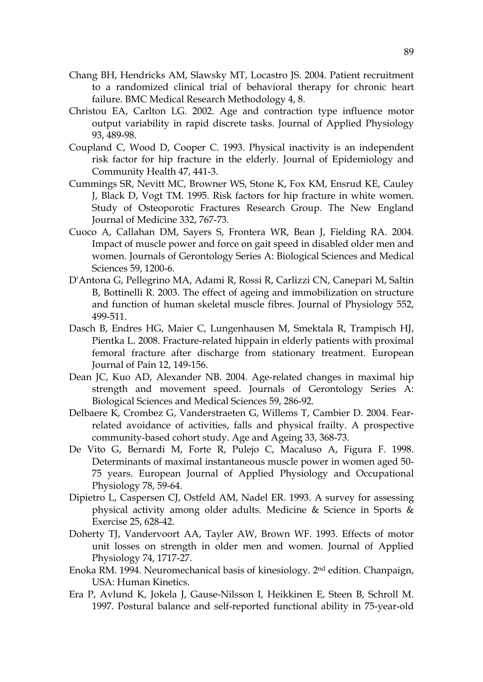- Chang BH, Hendricks AM, Slawsky MT, Locastro JS. 2004. Patient recruitment to a randomized clinical trial of behavioral therapy for chronic heart failure. BMC Medical Research Methodology 4, 8.
- Christou EA, Carlton LG. 2002. Age and contraction type influence motor output variability in rapid discrete tasks. Journal of Applied Physiology 93, 489-98.
- Coupland C, Wood D, Cooper C. 1993. Physical inactivity is an independent risk factor for hip fracture in the elderly. Journal of Epidemiology and Community Health 47, 441-3.
- Cummings SR, Nevitt MC, Browner WS, Stone K, Fox KM, Ensrud KE, Cauley J, Black D, Vogt TM. 1995. Risk factors for hip fracture in white women. Study of Osteoporotic Fractures Research Group. The New England Journal of Medicine 332, 767-73.
- Cuoco A, Callahan DM, Sayers S, Frontera WR, Bean J, Fielding RA. 2004. Impact of muscle power and force on gait speed in disabled older men and women. Journals of Gerontology Series A: Biological Sciences and Medical Sciences 59, 1200-6.
- D'Antona G, Pellegrino MA, Adami R, Rossi R, Carlizzi CN, Canepari M, Saltin B, Bottinelli R. 2003. The effect of ageing and immobilization on structure and function of human skeletal muscle fibres. Journal of Physiology 552, 499-511.
- Dasch B, Endres HG, Maier C, Lungenhausen M, Smektala R, Trampisch HJ, Pientka L. 2008. Fracture-related hippain in elderly patients with proximal femoral fracture after discharge from stationary treatment. European Journal of Pain 12, 149-156.
- Dean JC, Kuo AD, Alexander NB. 2004. Age-related changes in maximal hip strength and movement speed. Journals of Gerontology Series A: Biological Sciences and Medical Sciences 59, 286-92.
- Delbaere K, Crombez G, Vanderstraeten G, Willems T, Cambier D. 2004. Fearrelated avoidance of activities, falls and physical frailty. A prospective community-based cohort study. Age and Ageing 33, 368-73.
- De Vito G, Bernardi M, Forte R, Pulejo C, Macaluso A, Figura F. 1998. Determinants of maximal instantaneous muscle power in women aged 50- 75 years. European Journal of Applied Physiology and Occupational Physiology 78, 59-64.
- Dipietro L, Caspersen CJ, Ostfeld AM, Nadel ER. 1993. A survey for assessing physical activity among older adults. Medicine & Science in Sports & Exercise 25, 628-42.
- Doherty TJ, Vandervoort AA, Tayler AW, Brown WF. 1993. Effects of motor unit losses on strength in older men and women. Journal of Applied Physiology 74, 1717-27.
- Enoka RM. 1994. Neuromechanical basis of kinesiology. 2nd edition. Chanpaign, USA: Human Kinetics.
- Era P, Avlund K, Jokela J, Gause-Nilsson I, Heikkinen E, Steen B, Schroll M. 1997. Postural balance and self-reported functional ability in 75-year-old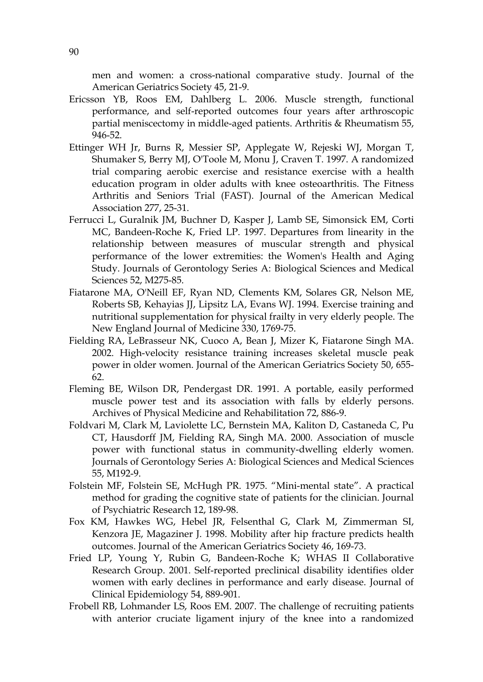men and women: a cross-national comparative study. Journal of the American Geriatrics Society 45, 21-9.

- Ericsson YB, Roos EM, Dahlberg L. 2006. Muscle strength, functional performance, and self-reported outcomes four years after arthroscopic partial meniscectomy in middle-aged patients. Arthritis & Rheumatism 55, 946-52.
- Ettinger WH Jr, Burns R, Messier SP, Applegate W, Rejeski WJ, Morgan T, Shumaker S, Berry MJ, O'Toole M, Monu J, Craven T. 1997. A randomized trial comparing aerobic exercise and resistance exercise with a health education program in older adults with knee osteoarthritis. The Fitness Arthritis and Seniors Trial (FAST). Journal of the American Medical Association 277, 25-31.
- Ferrucci L, Guralnik JM, Buchner D, Kasper J, Lamb SE, Simonsick EM, Corti MC, Bandeen-Roche K, Fried LP. 1997. Departures from linearity in the relationship between measures of muscular strength and physical performance of the lower extremities: the Women's Health and Aging Study. Journals of Gerontology Series A: Biological Sciences and Medical Sciences 52, M275-85.
- Fiatarone MA, O'Neill EF, Ryan ND, Clements KM, Solares GR, Nelson ME, Roberts SB, Kehayias JJ, Lipsitz LA, Evans WJ. 1994. Exercise training and nutritional supplementation for physical frailty in very elderly people. The New England Journal of Medicine 330, 1769-75.
- Fielding RA, LeBrasseur NK, Cuoco A, Bean J, Mizer K, Fiatarone Singh MA. 2002. High-velocity resistance training increases skeletal muscle peak power in older women. Journal of the American Geriatrics Society 50, 655- 62.
- Fleming BE, Wilson DR, Pendergast DR. 1991. A portable, easily performed muscle power test and its association with falls by elderly persons. Archives of Physical Medicine and Rehabilitation 72, 886-9.
- Foldvari M, Clark M, Laviolette LC, Bernstein MA, Kaliton D, Castaneda C, Pu CT, Hausdorff JM, Fielding RA, Singh MA. 2000. Association of muscle power with functional status in community-dwelling elderly women. Journals of Gerontology Series A: Biological Sciences and Medical Sciences 55, M192-9.
- Folstein MF, Folstein SE, McHugh PR. 1975. "Mini-mental state". A practical method for grading the cognitive state of patients for the clinician. Journal of Psychiatric Research 12, 189-98.
- Fox KM, Hawkes WG, Hebel JR, Felsenthal G, Clark M, Zimmerman SI, Kenzora JE, Magaziner J. 1998. Mobility after hip fracture predicts health outcomes. Journal of the American Geriatrics Society 46, 169-73.
- Fried LP, Young Y, Rubin G, Bandeen-Roche K; WHAS II Collaborative Research Group. 2001. Self-reported preclinical disability identifies older women with early declines in performance and early disease. Journal of Clinical Epidemiology 54, 889-901.
- Frobell RB, Lohmander LS, Roos EM. 2007. The challenge of recruiting patients with anterior cruciate ligament injury of the knee into a randomized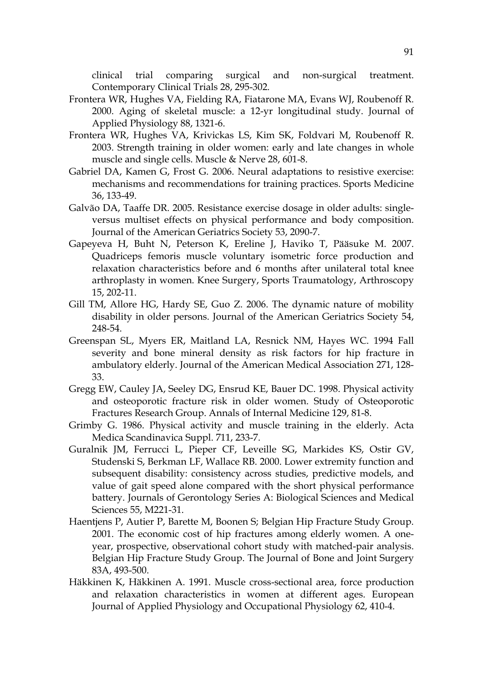clinical trial comparing surgical and non-surgical treatment. Contemporary Clinical Trials 28, 295-302.

- Frontera WR, Hughes VA, Fielding RA, Fiatarone MA, Evans WJ, Roubenoff R. 2000. Aging of skeletal muscle: a 12-yr longitudinal study. Journal of Applied Physiology 88, 1321-6.
- Frontera WR, Hughes VA, Krivickas LS, Kim SK, Foldvari M, Roubenoff R. 2003. Strength training in older women: early and late changes in whole muscle and single cells. Muscle & Nerve 28, 601-8.
- Gabriel DA, Kamen G, Frost G. 2006. Neural adaptations to resistive exercise: mechanisms and recommendations for training practices. Sports Medicine 36, 133-49.
- Galvão DA, Taaffe DR. 2005. Resistance exercise dosage in older adults: singleversus multiset effects on physical performance and body composition. Journal of the American Geriatrics Society 53, 2090-7.
- Gapeyeva H, Buht N, Peterson K, Ereline J, Haviko T, Pääsuke M. 2007. Quadriceps femoris muscle voluntary isometric force production and relaxation characteristics before and 6 months after unilateral total knee arthroplasty in women. Knee Surgery, Sports Traumatology, Arthroscopy 15, 202-11.
- Gill TM, Allore HG, Hardy SE, Guo Z. 2006. The dynamic nature of mobility disability in older persons. Journal of the American Geriatrics Society 54, 248-54.
- Greenspan SL, Myers ER, Maitland LA, Resnick NM, Hayes WC. 1994 Fall severity and bone mineral density as risk factors for hip fracture in ambulatory elderly. Journal of the American Medical Association 271, 128- 33.
- Gregg EW, Cauley JA, Seeley DG, Ensrud KE, Bauer DC. 1998. Physical activity and osteoporotic fracture risk in older women. Study of Osteoporotic Fractures Research Group. Annals of Internal Medicine 129, 81-8.
- Grimby G. 1986. Physical activity and muscle training in the elderly. Acta Medica Scandinavica Suppl. 711, 233-7.
- Guralnik JM, Ferrucci L, Pieper CF, Leveille SG, Markides KS, Ostir GV, Studenski S, Berkman LF, Wallace RB. 2000. Lower extremity function and subsequent disability: consistency across studies, predictive models, and value of gait speed alone compared with the short physical performance battery. Journals of Gerontology Series A: Biological Sciences and Medical Sciences 55, M221-31.
- Haentjens P, Autier P, Barette M, Boonen S; Belgian Hip Fracture Study Group. 2001. The economic cost of hip fractures among elderly women. A oneyear, prospective, observational cohort study with matched-pair analysis. Belgian Hip Fracture Study Group. The Journal of Bone and Joint Surgery 83A, 493-500.
- Häkkinen K, Häkkinen A. 1991. Muscle cross-sectional area, force production and relaxation characteristics in women at different ages. European Journal of Applied Physiology and Occupational Physiology 62, 410-4.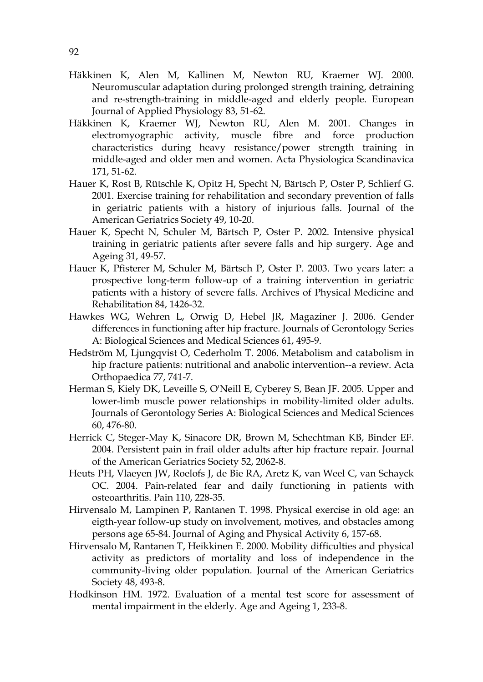- Häkkinen K, Alen M, Kallinen M, Newton RU, Kraemer WJ. 2000. Neuromuscular adaptation during prolonged strength training, detraining and re-strength-training in middle-aged and elderly people. European Journal of Applied Physiology 83, 51-62.
- Häkkinen K, Kraemer WJ, Newton RU, Alen M. 2001. Changes in electromyographic activity, muscle fibre and force production characteristics during heavy resistance/power strength training in middle-aged and older men and women. Acta Physiologica Scandinavica 171, 51-62.
- Hauer K, Rost B, Rütschle K, Opitz H, Specht N, Bärtsch P, Oster P, Schlierf G. 2001. Exercise training for rehabilitation and secondary prevention of falls in geriatric patients with a history of injurious falls. Journal of the American Geriatrics Society 49, 10-20.
- Hauer K, Specht N, Schuler M, Bärtsch P, Oster P. 2002. Intensive physical training in geriatric patients after severe falls and hip surgery. Age and Ageing 31, 49-57.
- Hauer K, Pfisterer M, Schuler M, Bärtsch P, Oster P. 2003. Two years later: a prospective long-term follow-up of a training intervention in geriatric patients with a history of severe falls. Archives of Physical Medicine and Rehabilitation 84, 1426-32.
- Hawkes WG, Wehren L, Orwig D, Hebel JR, Magaziner J. 2006. Gender differences in functioning after hip fracture. Journals of Gerontology Series A: Biological Sciences and Medical Sciences 61, 495-9.
- Hedström M, Ljungqvist O, Cederholm T. 2006. Metabolism and catabolism in hip fracture patients: nutritional and anabolic intervention--a review. Acta Orthopaedica 77, 741-7.
- Herman S, Kiely DK, Leveille S, O'Neill E, Cyberey S, Bean JF. 2005. Upper and lower-limb muscle power relationships in mobility-limited older adults. Journals of Gerontology Series A: Biological Sciences and Medical Sciences 60, 476-80.
- Herrick C, Steger-May K, Sinacore DR, Brown M, Schechtman KB, Binder EF. 2004. Persistent pain in frail older adults after hip fracture repair. Journal of the American Geriatrics Society 52, 2062-8.
- Heuts PH, Vlaeyen JW, Roelofs J, de Bie RA, Aretz K, van Weel C, van Schayck OC. 2004. Pain-related fear and daily functioning in patients with osteoarthritis. Pain 110, 228-35.
- Hirvensalo M, Lampinen P, Rantanen T. 1998. Physical exercise in old age: an eigth-year follow-up study on involvement, motives, and obstacles among persons age 65-84. Journal of Aging and Physical Activity 6, 157-68.
- Hirvensalo M, Rantanen T, Heikkinen E. 2000. Mobility difficulties and physical activity as predictors of mortality and loss of independence in the community-living older population. Journal of the American Geriatrics Society 48, 493-8.
- Hodkinson HM. 1972. Evaluation of a mental test score for assessment of mental impairment in the elderly. Age and Ageing 1, 233-8.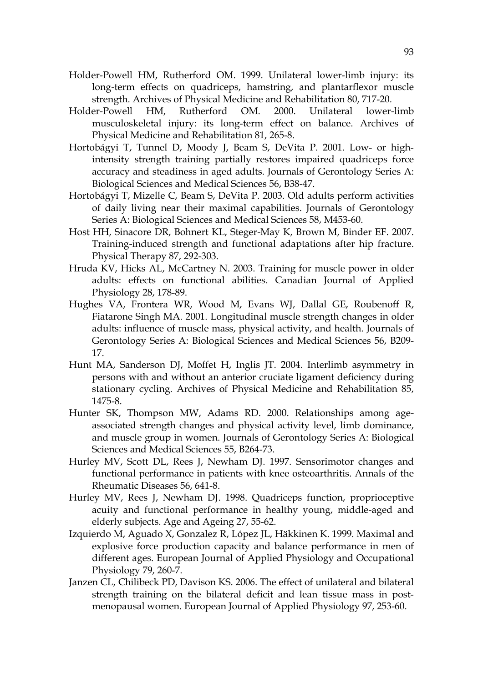- Holder-Powell HM, Rutherford OM. 1999. Unilateral lower-limb injury: its long-term effects on quadriceps, hamstring, and plantarflexor muscle strength. Archives of Physical Medicine and Rehabilitation 80, 717-20.
- Holder-Powell HM, Rutherford OM. 2000. Unilateral lower-limb musculoskeletal injury: its long-term effect on balance. Archives of Physical Medicine and Rehabilitation 81, 265-8.
- Hortobágyi T, Tunnel D, Moody J, Beam S, DeVita P. 2001. Low- or highintensity strength training partially restores impaired quadriceps force accuracy and steadiness in aged adults. Journals of Gerontology Series A: Biological Sciences and Medical Sciences 56, B38-47.
- Hortobágyi T, Mizelle C, Beam S, DeVita P. 2003. Old adults perform activities of daily living near their maximal capabilities. Journals of Gerontology Series A: Biological Sciences and Medical Sciences 58, M453-60.
- Host HH, Sinacore DR, Bohnert KL, Steger-May K, Brown M, Binder EF. 2007. Training-induced strength and functional adaptations after hip fracture. Physical Therapy 87, 292-303.
- Hruda KV, Hicks AL, McCartney N. 2003. Training for muscle power in older adults: effects on functional abilities. Canadian Journal of Applied Physiology 28, 178-89.
- Hughes VA, Frontera WR, Wood M, Evans WJ, Dallal GE, Roubenoff R, Fiatarone Singh MA. 2001. Longitudinal muscle strength changes in older adults: influence of muscle mass, physical activity, and health. Journals of Gerontology Series A: Biological Sciences and Medical Sciences 56, B209- 17.
- Hunt MA, Sanderson DJ, Moffet H, Inglis JT. 2004. Interlimb asymmetry in persons with and without an anterior cruciate ligament deficiency during stationary cycling. Archives of Physical Medicine and Rehabilitation 85, 1475-8.
- Hunter SK, Thompson MW, Adams RD. 2000. Relationships among ageassociated strength changes and physical activity level, limb dominance, and muscle group in women. Journals of Gerontology Series A: Biological Sciences and Medical Sciences 55, B264-73.
- Hurley MV, Scott DL, Rees J, Newham DJ. 1997. Sensorimotor changes and functional performance in patients with knee osteoarthritis. Annals of the Rheumatic Diseases 56, 641-8.
- Hurley MV, Rees J, Newham DJ. 1998. Quadriceps function, proprioceptive acuity and functional performance in healthy young, middle-aged and elderly subjects. Age and Ageing 27, 55-62.
- Izquierdo M, Aguado X, Gonzalez R, López JL, Häkkinen K. 1999. Maximal and explosive force production capacity and balance performance in men of different ages. European Journal of Applied Physiology and Occupational Physiology 79, 260-7.
- Janzen CL, Chilibeck PD, Davison KS. 2006. The effect of unilateral and bilateral strength training on the bilateral deficit and lean tissue mass in postmenopausal women. European Journal of Applied Physiology 97, 253-60.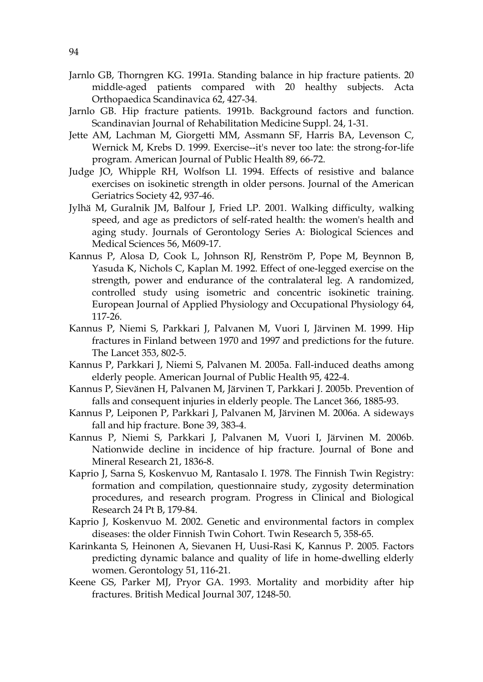- Jarnlo GB, Thorngren KG. 1991a. Standing balance in hip fracture patients. 20 middle-aged patients compared with 20 healthy subjects. Acta Orthopaedica Scandinavica 62, 427-34.
- Jarnlo GB. Hip fracture patients. 1991b. Background factors and function. Scandinavian Journal of Rehabilitation Medicine Suppl. 24, 1-31.
- Jette AM, Lachman M, Giorgetti MM, Assmann SF, Harris BA, Levenson C, Wernick M, Krebs D. 1999. Exercise--it's never too late: the strong-for-life program. American Journal of Public Health 89, 66-72.
- Judge JO, Whipple RH, Wolfson LI. 1994. Effects of resistive and balance exercises on isokinetic strength in older persons. Journal of the American Geriatrics Society 42, 937-46.
- Jylhä M, Guralnik JM, Balfour J, Fried LP. 2001. Walking difficulty, walking speed, and age as predictors of self-rated health: the women's health and aging study. Journals of Gerontology Series A: Biological Sciences and Medical Sciences 56, M609-17.
- Kannus P, Alosa D, Cook L, Johnson RJ, Renström P, Pope M, Beynnon B, Yasuda K, Nichols C, Kaplan M. 1992. Effect of one-legged exercise on the strength, power and endurance of the contralateral leg. A randomized, controlled study using isometric and concentric isokinetic training. European Journal of Applied Physiology and Occupational Physiology 64, 117-26.
- Kannus P, Niemi S, Parkkari J, Palvanen M, Vuori I, Järvinen M. 1999. Hip fractures in Finland between 1970 and 1997 and predictions for the future. The Lancet 353, 802-5.
- Kannus P, Parkkari J, Niemi S, Palvanen M. 2005a. Fall-induced deaths among elderly people. American Journal of Public Health 95, 422-4.
- Kannus P, Sievänen H, Palvanen M, Järvinen T, Parkkari J. 2005b. Prevention of falls and consequent injuries in elderly people. The Lancet 366, 1885-93.
- Kannus P, Leiponen P, Parkkari J, Palvanen M, Järvinen M. 2006a. A sideways fall and hip fracture. Bone 39, 383-4.
- Kannus P, Niemi S, Parkkari J, Palvanen M, Vuori I, Järvinen M. 2006b. Nationwide decline in incidence of hip fracture. Journal of Bone and Mineral Research 21, 1836-8.
- Kaprio J, Sarna S, Koskenvuo M, Rantasalo I. 1978. The Finnish Twin Registry: formation and compilation, questionnaire study, zygosity determination procedures, and research program. Progress in Clinical and Biological Research 24 Pt B, 179-84.
- Kaprio J, Koskenvuo M. 2002. Genetic and environmental factors in complex diseases: the older Finnish Twin Cohort. Twin Research 5, 358-65.
- Karinkanta S, Heinonen A, Sievanen H, Uusi-Rasi K, Kannus P. 2005. Factors predicting dynamic balance and quality of life in home-dwelling elderly women. Gerontology 51, 116-21.
- Keene GS, Parker MJ, Pryor GA. 1993. Mortality and morbidity after hip fractures. British Medical Journal 307, 1248-50.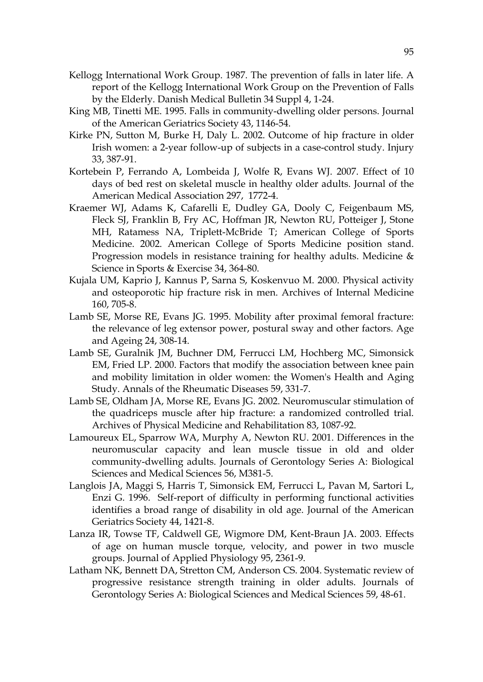- Kellogg International Work Group. 1987. The prevention of falls in later life. A report of the Kellogg International Work Group on the Prevention of Falls by the Elderly. Danish Medical Bulletin 34 Suppl 4, 1-24.
- King MB, Tinetti ME. 1995. Falls in community-dwelling older persons. Journal of the American Geriatrics Society 43, 1146-54.
- Kirke PN, Sutton M, Burke H, Daly L. 2002. Outcome of hip fracture in older Irish women: a 2-year follow-up of subjects in a case-control study. Injury 33, 387-91.
- Kortebein P, Ferrando A, Lombeida J, Wolfe R, Evans WJ. 2007. Effect of 10 days of bed rest on skeletal muscle in healthy older adults. Journal of the American Medical Association 297, 1772-4.
- Kraemer WJ, Adams K, Cafarelli E, Dudley GA, Dooly C, Feigenbaum MS, Fleck SJ, Franklin B, Fry AC, Hoffman JR, Newton RU, Potteiger J, Stone MH, Ratamess NA, Triplett-McBride T; American College of Sports Medicine. 2002. American College of Sports Medicine position stand. Progression models in resistance training for healthy adults. Medicine & Science in Sports & Exercise 34, 364-80.
- Kujala UM, Kaprio J, Kannus P, Sarna S, Koskenvuo M. 2000. Physical activity and osteoporotic hip fracture risk in men. Archives of Internal Medicine 160, 705-8.
- Lamb SE, Morse RE, Evans JG. 1995. Mobility after proximal femoral fracture: the relevance of leg extensor power, postural sway and other factors. Age and Ageing 24, 308-14.
- Lamb SE, Guralnik JM, Buchner DM, Ferrucci LM, Hochberg MC, Simonsick EM, Fried LP. 2000. Factors that modify the association between knee pain and mobility limitation in older women: the Women's Health and Aging Study. Annals of the Rheumatic Diseases 59, 331-7.
- Lamb SE, Oldham JA, Morse RE, Evans JG. 2002. Neuromuscular stimulation of the quadriceps muscle after hip fracture: a randomized controlled trial. Archives of Physical Medicine and Rehabilitation 83, 1087-92.
- Lamoureux EL, Sparrow WA, Murphy A, Newton RU. 2001. Differences in the neuromuscular capacity and lean muscle tissue in old and older community-dwelling adults. Journals of Gerontology Series A: Biological Sciences and Medical Sciences 56, M381-5.
- Langlois JA, Maggi S, Harris T, Simonsick EM, Ferrucci L, Pavan M, Sartori L, Enzi G. 1996. Self-report of difficulty in performing functional activities identifies a broad range of disability in old age. Journal of the American Geriatrics Society 44, 1421-8.
- Lanza IR, Towse TF, Caldwell GE, Wigmore DM, Kent-Braun JA. 2003. Effects of age on human muscle torque, velocity, and power in two muscle groups. Journal of Applied Physiology 95, 2361-9.
- Latham NK, Bennett DA, Stretton CM, Anderson CS. 2004. Systematic review of progressive resistance strength training in older adults. Journals of Gerontology Series A: Biological Sciences and Medical Sciences 59, 48-61.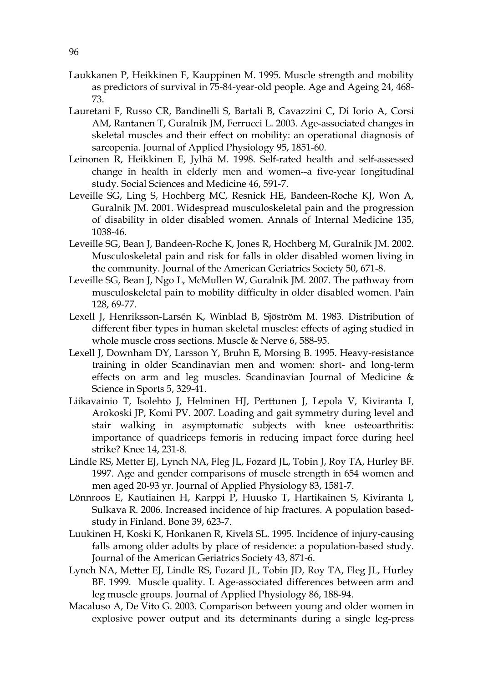- Laukkanen P, Heikkinen E, Kauppinen M. 1995. Muscle strength and mobility as predictors of survival in 75-84-year-old people. Age and Ageing 24, 468- 73.
- Lauretani F, Russo CR, Bandinelli S, Bartali B, Cavazzini C, Di Iorio A, Corsi AM, Rantanen T, Guralnik JM, Ferrucci L. 2003. Age-associated changes in skeletal muscles and their effect on mobility: an operational diagnosis of sarcopenia. Journal of Applied Physiology 95, 1851-60.
- Leinonen R, Heikkinen E, Jylhä M. 1998. Self-rated health and self-assessed change in health in elderly men and women--a five-year longitudinal study. Social Sciences and Medicine 46, 591-7.
- Leveille SG, Ling S, Hochberg MC, Resnick HE, Bandeen-Roche KJ, Won A, Guralnik JM. 2001. Widespread musculoskeletal pain and the progression of disability in older disabled women. Annals of Internal Medicine 135, 1038-46.
- Leveille SG, Bean J, Bandeen-Roche K, Jones R, Hochberg M, Guralnik JM. 2002. Musculoskeletal pain and risk for falls in older disabled women living in the community. Journal of the American Geriatrics Society 50, 671-8.
- Leveille SG, Bean J, Ngo L, McMullen W, Guralnik JM. 2007. The pathway from musculoskeletal pain to mobility difficulty in older disabled women. Pain 128, 69-77.
- Lexell J, Henriksson-Larsén K, Winblad B, Sjöström M. 1983. Distribution of different fiber types in human skeletal muscles: effects of aging studied in whole muscle cross sections. Muscle & Nerve 6, 588-95.
- Lexell J, Downham DY, Larsson Y, Bruhn E, Morsing B. 1995. Heavy-resistance training in older Scandinavian men and women: short- and long-term effects on arm and leg muscles. Scandinavian Journal of Medicine & Science in Sports 5, 329-41.
- Liikavainio T, Isolehto J, Helminen HJ, Perttunen J, Lepola V, Kiviranta I, Arokoski JP, Komi PV. 2007. Loading and gait symmetry during level and stair walking in asymptomatic subjects with knee osteoarthritis: importance of quadriceps femoris in reducing impact force during heel strike? Knee 14, 231-8.
- Lindle RS, Metter EJ, Lynch NA, Fleg JL, Fozard JL, Tobin J, Roy TA, Hurley BF. 1997. Age and gender comparisons of muscle strength in 654 women and men aged 20-93 yr. Journal of Applied Physiology 83, 1581-7.
- Lönnroos E, Kautiainen H, Karppi P, Huusko T, Hartikainen S, Kiviranta I, Sulkava R. 2006. Increased incidence of hip fractures. A population basedstudy in Finland. Bone 39, 623-7.
- Luukinen H, Koski K, Honkanen R, Kivelä SL. 1995. Incidence of injury-causing falls among older adults by place of residence: a population-based study. Journal of the American Geriatrics Society 43, 871-6.
- Lynch NA, Metter EJ, Lindle RS, Fozard JL, Tobin JD, Roy TA, Fleg JL, Hurley BF. 1999. Muscle quality. I. Age-associated differences between arm and leg muscle groups. Journal of Applied Physiology 86, 188-94.
- Macaluso A, De Vito G. 2003. Comparison between young and older women in explosive power output and its determinants during a single leg-press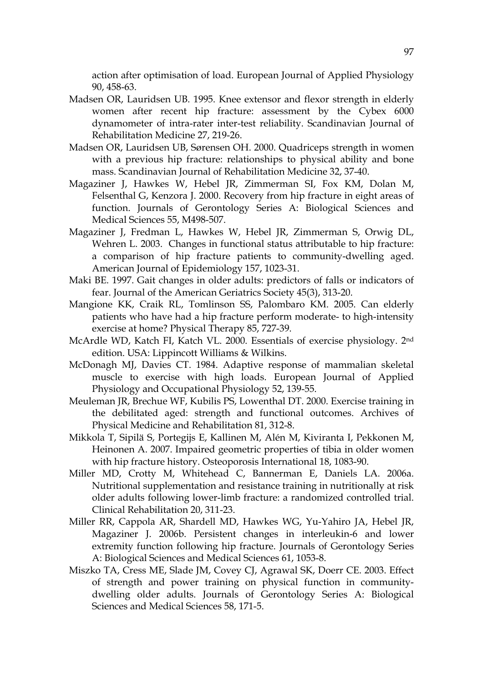action after optimisation of load. European Journal of Applied Physiology 90, 458-63.

- Madsen OR, Lauridsen UB. 1995. Knee extensor and flexor strength in elderly women after recent hip fracture: assessment by the Cybex 6000 dynamometer of intra-rater inter-test reliability. Scandinavian Journal of Rehabilitation Medicine 27, 219-26.
- Madsen OR, Lauridsen UB, Sørensen OH. 2000. Quadriceps strength in women with a previous hip fracture: relationships to physical ability and bone mass. Scandinavian Journal of Rehabilitation Medicine 32, 37-40.
- Magaziner J, Hawkes W, Hebel JR, Zimmerman SI, Fox KM, Dolan M, Felsenthal G, Kenzora J. 2000. Recovery from hip fracture in eight areas of function. Journals of Gerontology Series A: Biological Sciences and Medical Sciences 55, M498-507.
- Magaziner J, Fredman L, Hawkes W, Hebel JR, Zimmerman S, Orwig DL, Wehren L. 2003. Changes in functional status attributable to hip fracture: a comparison of hip fracture patients to community-dwelling aged. American Journal of Epidemiology 157, 1023-31.
- Maki BE. 1997. Gait changes in older adults: predictors of falls or indicators of fear. Journal of the American Geriatrics Society 45(3), 313-20.
- Mangione KK, Craik RL, Tomlinson SS, Palombaro KM. 2005. Can elderly patients who have had a hip fracture perform moderate- to high-intensity exercise at home? Physical Therapy 85, 727-39.
- McArdle WD, Katch FI, Katch VL. 2000. Essentials of exercise physiology. 2nd edition. USA: Lippincott Williams & Wilkins.
- McDonagh MJ, Davies CT. 1984. Adaptive response of mammalian skeletal muscle to exercise with high loads. European Journal of Applied Physiology and Occupational Physiology 52, 139-55.
- Meuleman JR, Brechue WF, Kubilis PS, Lowenthal DT. 2000. Exercise training in the debilitated aged: strength and functional outcomes. Archives of Physical Medicine and Rehabilitation 81, 312-8.
- Mikkola T, Sipilä S, Portegijs E, Kallinen M, Alén M, Kiviranta I, Pekkonen M, Heinonen A. 2007. Impaired geometric properties of tibia in older women with hip fracture history. Osteoporosis International 18, 1083-90.
- Miller MD, Crotty M, Whitehead C, Bannerman E, Daniels LA. 2006a. Nutritional supplementation and resistance training in nutritionally at risk older adults following lower-limb fracture: a randomized controlled trial. Clinical Rehabilitation 20, 311-23.
- Miller RR, Cappola AR, Shardell MD, Hawkes WG, Yu-Yahiro JA, Hebel JR, Magaziner J. 2006b. Persistent changes in interleukin-6 and lower extremity function following hip fracture. Journals of Gerontology Series A: Biological Sciences and Medical Sciences 61, 1053-8.
- Miszko TA, Cress ME, Slade JM, Covey CJ, Agrawal SK, Doerr CE. 2003. Effect of strength and power training on physical function in communitydwelling older adults. Journals of Gerontology Series A: Biological Sciences and Medical Sciences 58, 171-5.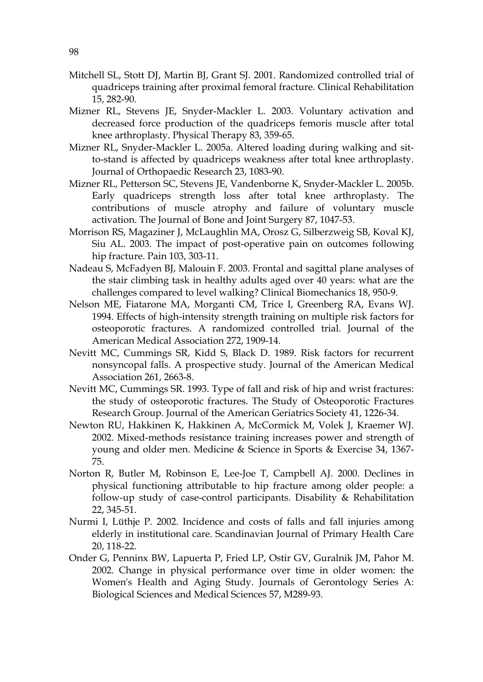- Mitchell SL, Stott DJ, Martin BJ, Grant SJ. 2001. Randomized controlled trial of quadriceps training after proximal femoral fracture. Clinical Rehabilitation 15, 282-90.
- Mizner RL, Stevens JE, Snyder-Mackler L. 2003. Voluntary activation and decreased force production of the quadriceps femoris muscle after total knee arthroplasty. Physical Therapy 83, 359-65.
- Mizner RL, Snyder-Mackler L. 2005a. Altered loading during walking and sitto-stand is affected by quadriceps weakness after total knee arthroplasty. Journal of Orthopaedic Research 23, 1083-90.
- Mizner RL, Petterson SC, Stevens JE, Vandenborne K, Snyder-Mackler L. 2005b. Early quadriceps strength loss after total knee arthroplasty. The contributions of muscle atrophy and failure of voluntary muscle activation. The Journal of Bone and Joint Surgery 87, 1047-53.
- Morrison RS, Magaziner J, McLaughlin MA, Orosz G, Silberzweig SB, Koval KJ, Siu AL. 2003. The impact of post-operative pain on outcomes following hip fracture. Pain 103, 303-11.
- Nadeau S, McFadyen BJ, Malouin F. 2003. Frontal and sagittal plane analyses of the stair climbing task in healthy adults aged over 40 years: what are the challenges compared to level walking? Clinical Biomechanics 18, 950-9.
- Nelson ME, Fiatarone MA, Morganti CM, Trice I, Greenberg RA, Evans WJ. 1994. Effects of high-intensity strength training on multiple risk factors for osteoporotic fractures. A randomized controlled trial. Journal of the American Medical Association 272, 1909-14.
- Nevitt MC, Cummings SR, Kidd S, Black D. 1989. Risk factors for recurrent nonsyncopal falls. A prospective study. Journal of the American Medical Association 261, 2663-8.
- Nevitt MC, Cummings SR. 1993. Type of fall and risk of hip and wrist fractures: the study of osteoporotic fractures. The Study of Osteoporotic Fractures Research Group. Journal of the American Geriatrics Society 41, 1226-34.
- Newton RU, Hakkinen K, Hakkinen A, McCormick M, Volek J, Kraemer WJ. 2002. Mixed-methods resistance training increases power and strength of young and older men. Medicine & Science in Sports & Exercise 34, 1367- 75.
- Norton R, Butler M, Robinson E, Lee-Joe T, Campbell AJ. 2000. Declines in physical functioning attributable to hip fracture among older people: a follow-up study of case-control participants. Disability & Rehabilitation 22, 345-51.
- Nurmi I, Lüthje P. 2002. Incidence and costs of falls and fall injuries among elderly in institutional care. Scandinavian Journal of Primary Health Care 20, 118-22.
- Onder G, Penninx BW, Lapuerta P, Fried LP, Ostir GV, Guralnik JM, Pahor M. 2002. Change in physical performance over time in older women: the Women's Health and Aging Study. Journals of Gerontology Series A: Biological Sciences and Medical Sciences 57, M289-93.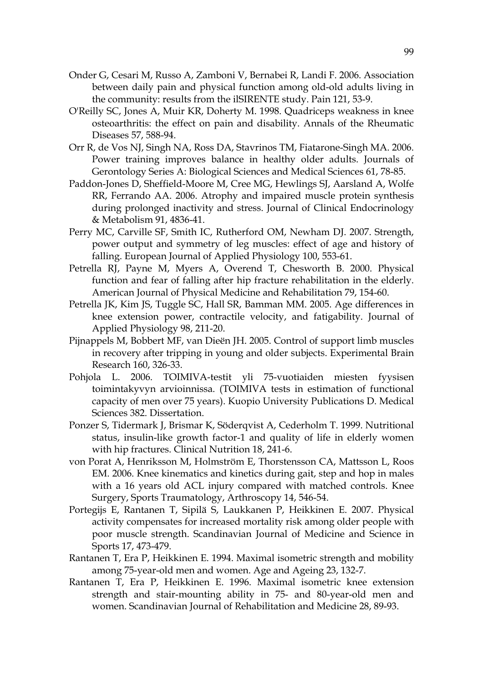- Onder G, Cesari M, Russo A, Zamboni V, Bernabei R, Landi F. 2006. Association between daily pain and physical function among old-old adults living in the community: results from the ilSIRENTE study. Pain 121, 53-9.
- O'Reilly SC, Jones A, Muir KR, Doherty M. 1998. Quadriceps weakness in knee osteoarthritis: the effect on pain and disability. Annals of the Rheumatic Diseases 57, 588-94.
- Orr R, de Vos NJ, Singh NA, Ross DA, Stavrinos TM, Fiatarone-Singh MA. 2006. Power training improves balance in healthy older adults. Journals of Gerontology Series A: Biological Sciences and Medical Sciences 61, 78-85.
- Paddon-Jones D, Sheffield-Moore M, Cree MG, Hewlings SJ, Aarsland A, Wolfe RR, Ferrando AA. 2006. Atrophy and impaired muscle protein synthesis during prolonged inactivity and stress. Journal of Clinical Endocrinology & Metabolism 91, 4836-41.
- Perry MC, Carville SF, Smith IC, Rutherford OM, Newham DJ. 2007. Strength, power output and symmetry of leg muscles: effect of age and history of falling. European Journal of Applied Physiology 100, 553-61.
- Petrella RJ, Payne M, Myers A, Overend T, Chesworth B. 2000. Physical function and fear of falling after hip fracture rehabilitation in the elderly. American Journal of Physical Medicine and Rehabilitation 79, 154-60.
- Petrella JK, Kim JS, Tuggle SC, Hall SR, Bamman MM. 2005. Age differences in knee extension power, contractile velocity, and fatigability. Journal of Applied Physiology 98, 211-20.
- Pijnappels M, Bobbert MF, van Dieën JH. 2005. Control of support limb muscles in recovery after tripping in young and older subjects. Experimental Brain Research 160, 326-33.
- Pohjola L. 2006. TOIMIVA-testit yli 75-vuotiaiden miesten fyysisen toimintakyvyn arvioinnissa. (TOIMIVA tests in estimation of functional capacity of men over 75 years). Kuopio University Publications D. Medical Sciences 382. Dissertation.
- Ponzer S, Tidermark J, Brismar K, Söderqvist A, Cederholm T. 1999. Nutritional status, insulin-like growth factor-1 and quality of life in elderly women with hip fractures. Clinical Nutrition 18, 241-6.
- von Porat A, Henriksson M, Holmström E, Thorstensson CA, Mattsson L, Roos EM. 2006. Knee kinematics and kinetics during gait, step and hop in males with a 16 years old ACL injury compared with matched controls. Knee Surgery, Sports Traumatology, Arthroscopy 14, 546-54.
- Portegijs E, Rantanen T, Sipilä S, Laukkanen P, Heikkinen E. 2007. Physical activity compensates for increased mortality risk among older people with poor muscle strength. Scandinavian Journal of Medicine and Science in Sports 17, 473-479.
- Rantanen T, Era P, Heikkinen E. 1994. Maximal isometric strength and mobility among 75-year-old men and women. Age and Ageing 23, 132-7.
- Rantanen T, Era P, Heikkinen E. 1996. Maximal isometric knee extension strength and stair-mounting ability in 75- and 80-year-old men and women. Scandinavian Journal of Rehabilitation and Medicine 28, 89-93.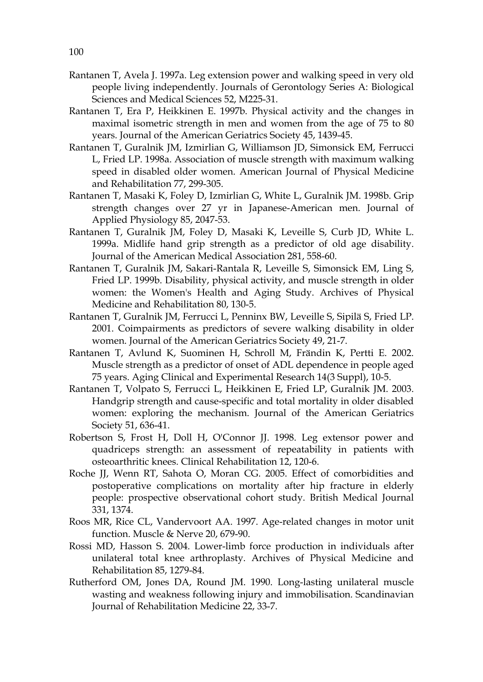- Rantanen T, Avela J. 1997a. Leg extension power and walking speed in very old people living independently. Journals of Gerontology Series A: Biological Sciences and Medical Sciences 52, M225-31.
- Rantanen T, Era P, Heikkinen E. 1997b. Physical activity and the changes in maximal isometric strength in men and women from the age of 75 to 80 years. Journal of the American Geriatrics Society 45, 1439-45.
- Rantanen T, Guralnik JM, Izmirlian G, Williamson JD, Simonsick EM, Ferrucci L, Fried LP. 1998a. Association of muscle strength with maximum walking speed in disabled older women. American Journal of Physical Medicine and Rehabilitation 77, 299-305.
- Rantanen T, Masaki K, Foley D, Izmirlian G, White L, Guralnik JM. 1998b. Grip strength changes over 27 yr in Japanese-American men. Journal of Applied Physiology 85, 2047-53.
- Rantanen T, Guralnik JM, Foley D, Masaki K, Leveille S, Curb JD, White L. 1999a. Midlife hand grip strength as a predictor of old age disability. Journal of the American Medical Association 281, 558-60.
- Rantanen T, Guralnik JM, Sakari-Rantala R, Leveille S, Simonsick EM, Ling S, Fried LP. 1999b. Disability, physical activity, and muscle strength in older women: the Women's Health and Aging Study. Archives of Physical Medicine and Rehabilitation 80, 130-5.
- Rantanen T, Guralnik JM, Ferrucci L, Penninx BW, Leveille S, Sipilä S, Fried LP. 2001. Coimpairments as predictors of severe walking disability in older women. Journal of the American Geriatrics Society 49, 21-7.
- Rantanen T, Avlund K, Suominen H, Schroll M, Frändin K, Pertti E. 2002. Muscle strength as a predictor of onset of ADL dependence in people aged 75 years. Aging Clinical and Experimental Research 14(3 Suppl), 10-5.
- Rantanen T, Volpato S, Ferrucci L, Heikkinen E, Fried LP, Guralnik JM. 2003. Handgrip strength and cause-specific and total mortality in older disabled women: exploring the mechanism. Journal of the American Geriatrics Society 51, 636-41.
- Robertson S, Frost H, Doll H, O'Connor JJ. 1998. Leg extensor power and quadriceps strength: an assessment of repeatability in patients with osteoarthritic knees. Clinical Rehabilitation 12, 120-6.
- Roche JJ, Wenn RT, Sahota O, Moran CG. 2005. Effect of comorbidities and postoperative complications on mortality after hip fracture in elderly people: prospective observational cohort study. British Medical Journal 331, 1374.
- Roos MR, Rice CL, Vandervoort AA. 1997. Age-related changes in motor unit function. Muscle & Nerve 20, 679-90.
- Rossi MD, Hasson S. 2004. Lower-limb force production in individuals after unilateral total knee arthroplasty. Archives of Physical Medicine and Rehabilitation 85, 1279-84.
- Rutherford OM, Jones DA, Round JM. 1990. Long-lasting unilateral muscle wasting and weakness following injury and immobilisation. Scandinavian Journal of Rehabilitation Medicine 22, 33-7.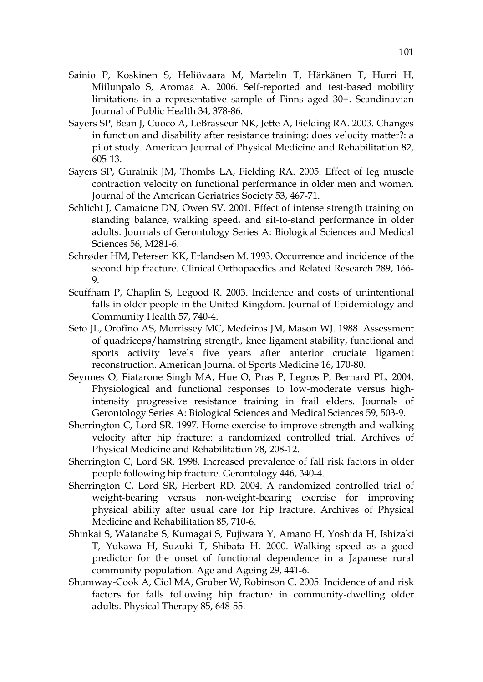- Sainio P, Koskinen S, Heliövaara M, Martelin T, Härkänen T, Hurri H, Miilunpalo S, Aromaa A. 2006. Self-reported and test-based mobility limitations in a representative sample of Finns aged 30+. Scandinavian Journal of Public Health 34, 378-86.
- Sayers SP, Bean J, Cuoco A, LeBrasseur NK, Jette A, Fielding RA. 2003. Changes in function and disability after resistance training: does velocity matter?: a pilot study. American Journal of Physical Medicine and Rehabilitation 82, 605-13.
- Sayers SP, Guralnik JM, Thombs LA, Fielding RA. 2005. Effect of leg muscle contraction velocity on functional performance in older men and women. Journal of the American Geriatrics Society 53, 467-71.
- Schlicht J, Camaione DN, Owen SV. 2001. Effect of intense strength training on standing balance, walking speed, and sit-to-stand performance in older adults. Journals of Gerontology Series A: Biological Sciences and Medical Sciences 56, M281-6.
- Schrøder HM, Petersen KK, Erlandsen M. 1993. Occurrence and incidence of the second hip fracture. Clinical Orthopaedics and Related Research 289, 166- 9.
- Scuffham P, Chaplin S, Legood R. 2003. Incidence and costs of unintentional falls in older people in the United Kingdom. Journal of Epidemiology and Community Health 57, 740-4.
- Seto JL, Orofino AS, Morrissey MC, Medeiros JM, Mason WJ. 1988. Assessment of quadriceps/hamstring strength, knee ligament stability, functional and sports activity levels five years after anterior cruciate ligament reconstruction. American Journal of Sports Medicine 16, 170-80.
- Seynnes O, Fiatarone Singh MA, Hue O, Pras P, Legros P, Bernard PL. 2004. Physiological and functional responses to low-moderate versus highintensity progressive resistance training in frail elders. Journals of Gerontology Series A: Biological Sciences and Medical Sciences 59, 503-9.
- Sherrington C, Lord SR. 1997. Home exercise to improve strength and walking velocity after hip fracture: a randomized controlled trial. Archives of Physical Medicine and Rehabilitation 78, 208-12.
- Sherrington C, Lord SR. 1998. Increased prevalence of fall risk factors in older people following hip fracture. Gerontology 446, 340-4.
- Sherrington C, Lord SR, Herbert RD. 2004. A randomized controlled trial of weight-bearing versus non-weight-bearing exercise for improving physical ability after usual care for hip fracture. Archives of Physical Medicine and Rehabilitation 85, 710-6.
- Shinkai S, Watanabe S, Kumagai S, Fujiwara Y, Amano H, Yoshida H, Ishizaki T, Yukawa H, Suzuki T, Shibata H. 2000. Walking speed as a good predictor for the onset of functional dependence in a Japanese rural community population. Age and Ageing 29, 441-6.
- Shumway-Cook A, Ciol MA, Gruber W, Robinson C. 2005. Incidence of and risk factors for falls following hip fracture in community-dwelling older adults. Physical Therapy 85, 648-55.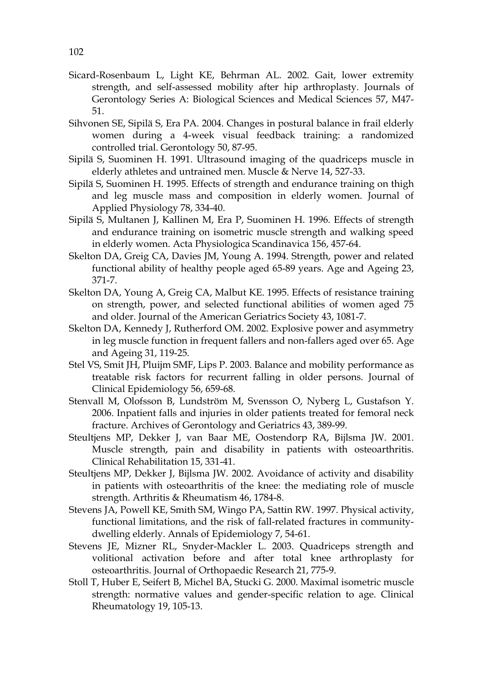- Sicard-Rosenbaum L, Light KE, Behrman AL. 2002. Gait, lower extremity strength, and self-assessed mobility after hip arthroplasty. Journals of Gerontology Series A: Biological Sciences and Medical Sciences 57, M47- 51.
- Sihvonen SE, Sipilä S, Era PA. 2004. Changes in postural balance in frail elderly women during a 4-week visual feedback training: a randomized controlled trial. Gerontology 50, 87-95.
- Sipilä S, Suominen H. 1991. Ultrasound imaging of the quadriceps muscle in elderly athletes and untrained men. Muscle & Nerve 14, 527-33.
- Sipilä S, Suominen H. 1995. Effects of strength and endurance training on thigh and leg muscle mass and composition in elderly women. Journal of Applied Physiology 78, 334-40.
- Sipilä S, Multanen J, Kallinen M, Era P, Suominen H. 1996. Effects of strength and endurance training on isometric muscle strength and walking speed in elderly women. Acta Physiologica Scandinavica 156, 457-64.
- Skelton DA, Greig CA, Davies JM, Young A. 1994. Strength, power and related functional ability of healthy people aged 65-89 years. Age and Ageing 23, 371-7.
- Skelton DA, Young A, Greig CA, Malbut KE. 1995. Effects of resistance training on strength, power, and selected functional abilities of women aged 75 and older. Journal of the American Geriatrics Society 43, 1081-7.
- Skelton DA, Kennedy J, Rutherford OM. 2002. Explosive power and asymmetry in leg muscle function in frequent fallers and non-fallers aged over 65. Age and Ageing 31, 119-25.
- Stel VS, Smit JH, Pluijm SMF, Lips P. 2003. Balance and mobility performance as treatable risk factors for recurrent falling in older persons. Journal of Clinical Epidemiology 56, 659-68.
- Stenvall M, Olofsson B, Lundström M, Svensson O, Nyberg L, Gustafson Y. 2006. Inpatient falls and injuries in older patients treated for femoral neck fracture. Archives of Gerontology and Geriatrics 43, 389-99.
- Steultjens MP, Dekker J, van Baar ME, Oostendorp RA, Bijlsma JW. 2001. Muscle strength, pain and disability in patients with osteoarthritis. Clinical Rehabilitation 15, 331-41.
- Steultjens MP, Dekker J, Bijlsma JW. 2002. Avoidance of activity and disability in patients with osteoarthritis of the knee: the mediating role of muscle strength. Arthritis & Rheumatism 46, 1784-8.
- Stevens JA, Powell KE, Smith SM, Wingo PA, Sattin RW. 1997. Physical activity, functional limitations, and the risk of fall-related fractures in communitydwelling elderly. Annals of Epidemiology 7, 54-61.
- Stevens JE, Mizner RL, Snyder-Mackler L. 2003. Quadriceps strength and volitional activation before and after total knee arthroplasty for osteoarthritis. Journal of Orthopaedic Research 21, 775-9.
- Stoll T, Huber E, Seifert B, Michel BA, Stucki G. 2000. Maximal isometric muscle strength: normative values and gender-specific relation to age. Clinical Rheumatology 19, 105-13.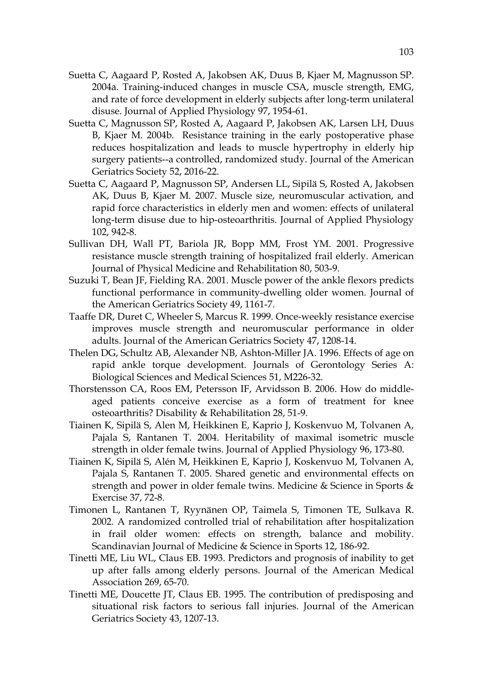- Suetta C, Aagaard P, Rosted A, Jakobsen AK, Duus B, Kjaer M, Magnusson SP. 2004a. Training-induced changes in muscle CSA, muscle strength, EMG, and rate of force development in elderly subjects after long-term unilateral disuse. Journal of Applied Physiology 97, 1954-61.
- Suetta C, Magnusson SP, Rosted A, Aagaard P, Jakobsen AK, Larsen LH, Duus B, Kjaer M. 2004b. Resistance training in the early postoperative phase reduces hospitalization and leads to muscle hypertrophy in elderly hip surgery patients--a controlled, randomized study. Journal of the American Geriatrics Society 52, 2016-22.
- Suetta C, Aagaard P, Magnusson SP, Andersen LL, Sipilä S, Rosted A, Jakobsen AK, Duus B, Kjaer M. 2007. Muscle size, neuromuscular activation, and rapid force characteristics in elderly men and women: effects of unilateral long-term disuse due to hip-osteoarthritis. Journal of Applied Physiology 102, 942-8.
- Sullivan DH, Wall PT, Bariola JR, Bopp MM, Frost YM. 2001. Progressive resistance muscle strength training of hospitalized frail elderly. American Journal of Physical Medicine and Rehabilitation 80, 503-9.
- Suzuki T, Bean JF, Fielding RA. 2001. Muscle power of the ankle flexors predicts functional performance in community-dwelling older women. Journal of the American Geriatrics Society 49, 1161-7.
- Taaffe DR, Duret C, Wheeler S, Marcus R. 1999. Once-weekly resistance exercise improves muscle strength and neuromuscular performance in older adults. Journal of the American Geriatrics Society 47, 1208-14.
- Thelen DG, Schultz AB, Alexander NB, Ashton-Miller JA. 1996. Effects of age on rapid ankle torque development. Journals of Gerontology Series A: Biological Sciences and Medical Sciences 51, M226-32.
- Thorstensson CA, Roos EM, Petersson IF, Arvidsson B. 2006. How do middleaged patients conceive exercise as a form of treatment for knee osteoarthritis? Disability & Rehabilitation 28, 51-9.
- Tiainen K, Sipilä S, Alen M, Heikkinen E, Kaprio J, Koskenvuo M, Tolvanen A, Pajala S, Rantanen T. 2004. Heritability of maximal isometric muscle strength in older female twins. Journal of Applied Physiology 96, 173-80.
- Tiainen K, Sipilä S, Alén M, Heikkinen E, Kaprio J, Koskenvuo M, Tolvanen A, Pajala S, Rantanen T. 2005. Shared genetic and environmental effects on strength and power in older female twins. Medicine & Science in Sports & Exercise 37, 72-8.
- Timonen L, Rantanen T, Ryynänen OP, Taimela S, Timonen TE, Sulkava R. 2002. A randomized controlled trial of rehabilitation after hospitalization in frail older women: effects on strength, balance and mobility. Scandinavian Journal of Medicine & Science in Sports 12, 186-92.
- Tinetti ME, Liu WL, Claus EB. 1993. Predictors and prognosis of inability to get up after falls among elderly persons. Journal of the American Medical Association 269, 65-70.
- Tinetti ME, Doucette JT, Claus EB. 1995. The contribution of predisposing and situational risk factors to serious fall injuries. Journal of the American Geriatrics Society 43, 1207-13.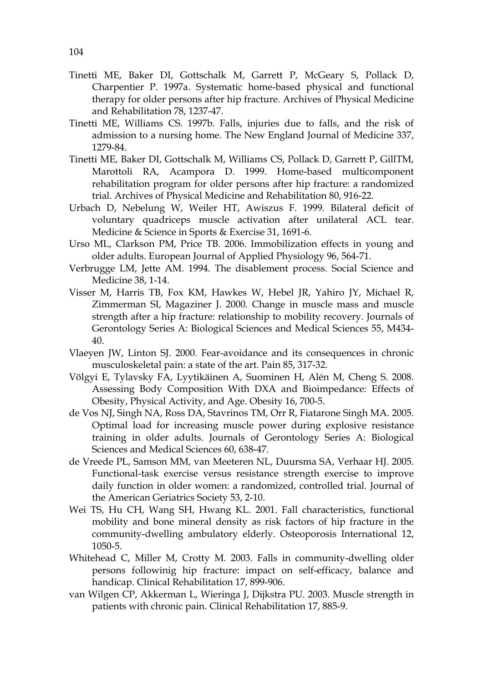- Tinetti ME, Baker DI, Gottschalk M, Garrett P, McGeary S, Pollack D, Charpentier P. 1997a. Systematic home-based physical and functional therapy for older persons after hip fracture. Archives of Physical Medicine and Rehabilitation 78, 1237-47.
- Tinetti ME, Williams CS. 1997b. Falls, injuries due to falls, and the risk of admission to a nursing home. The New England Journal of Medicine 337, 1279-84.
- Tinetti ME, Baker DI, Gottschalk M, Williams CS, Pollack D, Garrett P, GillTM, Marottoli RA, Acampora D. 1999. Home-based multicomponent rehabilitation program for older persons after hip fracture: a randomized trial. Archives of Physical Medicine and Rehabilitation 80, 916-22.
- Urbach D, Nebelung W, Weiler HT, Awiszus F. 1999. Bilateral deficit of voluntary quadriceps muscle activation after unilateral ACL tear. Medicine & Science in Sports & Exercise 31, 1691-6.
- Urso ML, Clarkson PM, Price TB. 2006. Immobilization effects in young and older adults. European Journal of Applied Physiology 96, 564-71.
- Verbrugge LM, Jette AM. 1994. The disablement process. Social Science and Medicine 38, 1-14.
- Visser M, Harris TB, Fox KM, Hawkes W, Hebel JR, Yahiro JY, Michael R, Zimmerman SI, Magaziner J. 2000. Change in muscle mass and muscle strength after a hip fracture: relationship to mobility recovery. Journals of Gerontology Series A: Biological Sciences and Medical Sciences 55, M434- 40.
- Vlaeyen JW, Linton SJ. 2000. Fear-avoidance and its consequences in chronic musculoskeletal pain: a state of the art. Pain 85, 317-32.
- Völgyi E, Tylavsky FA, Lyytikäinen A, Suominen H, Alén M, Cheng S. 2008. Assessing Body Composition With DXA and Bioimpedance: Effects of Obesity, Physical Activity, and Age. Obesity 16, 700-5.
- de Vos NJ, Singh NA, Ross DA, Stavrinos TM, Orr R, Fiatarone Singh MA. 2005. Optimal load for increasing muscle power during explosive resistance training in older adults. Journals of Gerontology Series A: Biological Sciences and Medical Sciences 60, 638-47.
- de Vreede PL, Samson MM, van Meeteren NL, Duursma SA, Verhaar HJ. 2005. Functional-task exercise versus resistance strength exercise to improve daily function in older women: a randomized, controlled trial. Journal of the American Geriatrics Society 53, 2-10.
- Wei TS, Hu CH, Wang SH, Hwang KL. 2001. Fall characteristics, functional mobility and bone mineral density as risk factors of hip fracture in the community-dwelling ambulatory elderly. Osteoporosis International 12, 1050-5.
- Whitehead C, Miller M, Crotty M. 2003. Falls in community-dwelling older persons followinig hip fracture: impact on self-efficacy, balance and handicap. Clinical Rehabilitation 17, 899-906.
- van Wilgen CP, Akkerman L, Wieringa J, Dijkstra PU. 2003. Muscle strength in patients with chronic pain. Clinical Rehabilitation 17, 885-9.